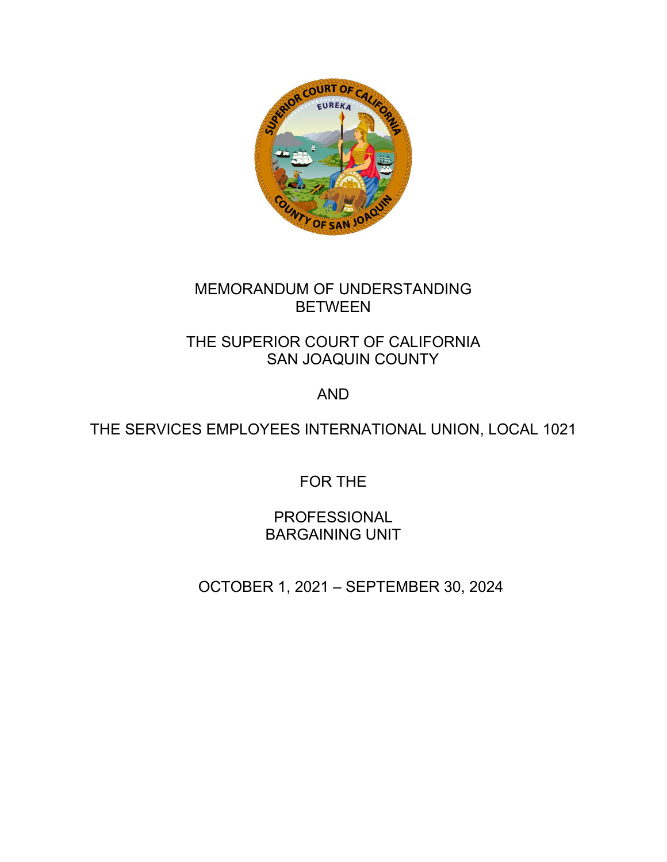

# MEMORANDUM OF UNDERSTANDING **BETWEEN**

# THE SUPERIOR COURT OF CALIFORNIA SAN JOAQUIN COUNTY

# AND

# THE SERVICES EMPLOYEES INTERNATIONAL UNION, LOCAL 1021

FOR THE

PROFESSIONAL BARGAINING UNIT

OCTOBER 1, 2021 – SEPTEMBER 30, 2024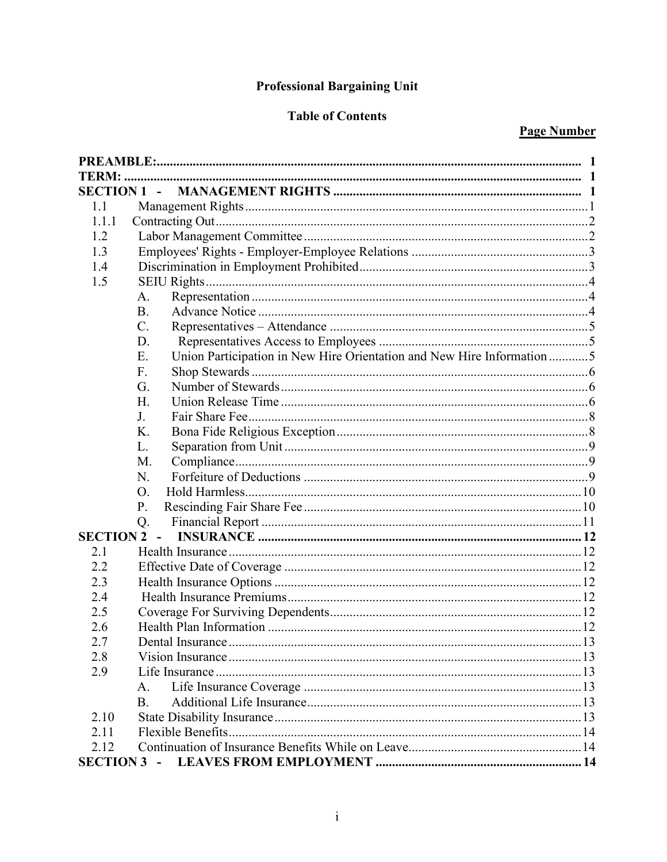# **Professional Bargaining Unit**

# **Table of Contents**

# **Page Number**

| <b>SECTION 1 -</b> |                                                                              |  |
|--------------------|------------------------------------------------------------------------------|--|
| 1.1                |                                                                              |  |
| 1.1.1              |                                                                              |  |
| 1.2                |                                                                              |  |
| 1.3                |                                                                              |  |
| 1.4                |                                                                              |  |
| 1.5                |                                                                              |  |
|                    | А.                                                                           |  |
|                    | <b>B.</b>                                                                    |  |
|                    | C.                                                                           |  |
|                    | D.                                                                           |  |
|                    | Union Participation in New Hire Orientation and New Hire Information 5<br>Ε. |  |
|                    | F.                                                                           |  |
|                    | G.                                                                           |  |
|                    | Η.                                                                           |  |
|                    | J.                                                                           |  |
|                    | Κ.                                                                           |  |
|                    | L.                                                                           |  |
|                    | M.                                                                           |  |
|                    | N.                                                                           |  |
|                    | Ο.                                                                           |  |
|                    | P.                                                                           |  |
|                    | Q.                                                                           |  |
| <b>SECTION 2 -</b> |                                                                              |  |
| 2.1                |                                                                              |  |
| 2.2                |                                                                              |  |
| 2.3                |                                                                              |  |
| 2.4                |                                                                              |  |
| 2.5                |                                                                              |  |
| 2.6                |                                                                              |  |
| 2.7                | Dental Insurance.                                                            |  |
| 2.8                |                                                                              |  |
| 2.9                |                                                                              |  |
|                    | А.                                                                           |  |
|                    | <b>B.</b>                                                                    |  |
| 2.10               |                                                                              |  |
| 2.11               |                                                                              |  |
| 2.12               |                                                                              |  |
|                    |                                                                              |  |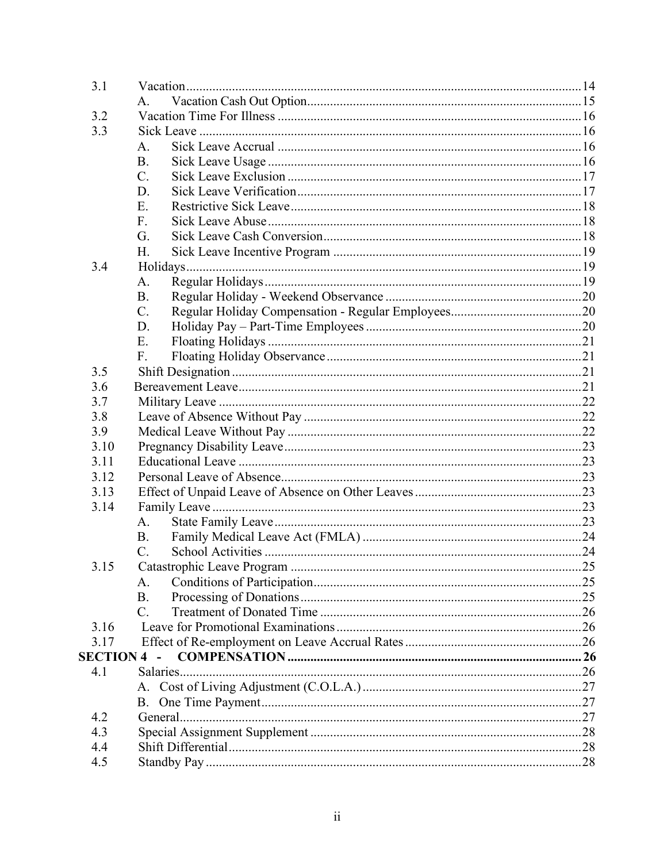| 3.1                |                |  |
|--------------------|----------------|--|
|                    | $A_{.}$        |  |
| 3.2                |                |  |
| 3.3                |                |  |
|                    | A.             |  |
|                    | <b>B.</b>      |  |
|                    | $C_{\cdot}$    |  |
|                    | D.             |  |
|                    | Ε.             |  |
|                    | F <sub>r</sub> |  |
|                    | G.             |  |
|                    | H.             |  |
| 3.4                |                |  |
|                    | A.             |  |
|                    | <b>B.</b>      |  |
|                    | $C_{\cdot}$    |  |
|                    | D.             |  |
|                    | Ε.             |  |
|                    | F.             |  |
| 3.5                |                |  |
| 3.6                |                |  |
| 3.7                |                |  |
| 3.8                |                |  |
| 3.9                |                |  |
| 3.10               |                |  |
| 3.11               |                |  |
| 3.12               |                |  |
| 3.13               |                |  |
| 3.14               |                |  |
|                    | $A_{\cdot}$    |  |
|                    | <b>B.</b>      |  |
|                    | $C_{\cdot}$    |  |
| 3.15               |                |  |
|                    | A.             |  |
|                    | <b>B.</b>      |  |
|                    | $C_{\cdot}$    |  |
| 3.16               |                |  |
| 3.17               |                |  |
| <b>SECTION 4 -</b> |                |  |
| 4.1                |                |  |
|                    |                |  |
|                    | В.             |  |
| 4.2                |                |  |
| 4.3                |                |  |
| 4.4                |                |  |
| 4.5                |                |  |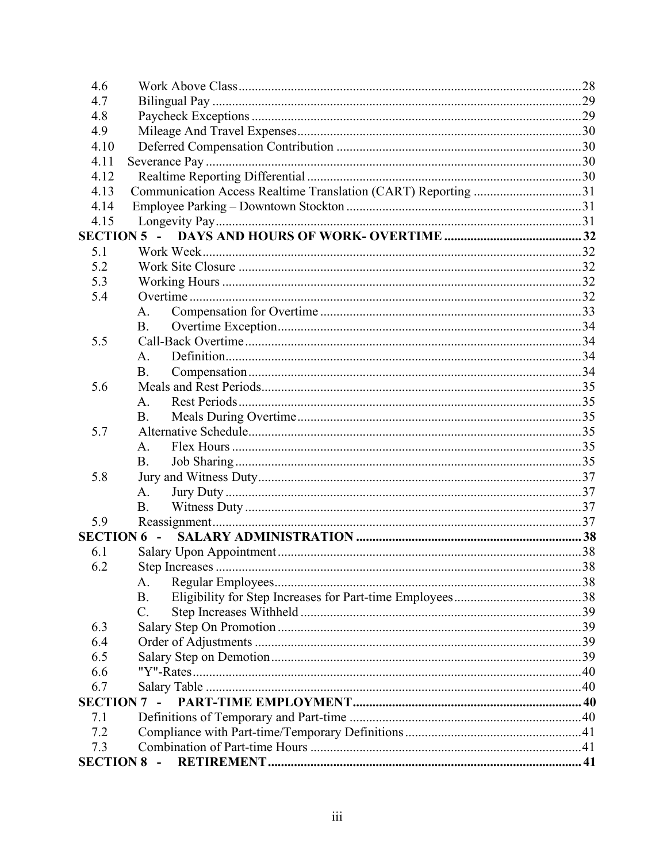| 4.6              |                                                               |  |
|------------------|---------------------------------------------------------------|--|
| 4.7              |                                                               |  |
| 4.8              |                                                               |  |
| 4.9              |                                                               |  |
| 4.10             |                                                               |  |
| 4.11             |                                                               |  |
| 4.12             |                                                               |  |
| 4.13             | Communication Access Realtime Translation (CART) Reporting 31 |  |
| 4.14             |                                                               |  |
| 4.15             |                                                               |  |
|                  | $SECTION 5 -$                                                 |  |
| 5.1              |                                                               |  |
| 5.2              |                                                               |  |
| 5.3              |                                                               |  |
| 5.4              |                                                               |  |
|                  | А.                                                            |  |
|                  | <b>B.</b>                                                     |  |
| 5.5              |                                                               |  |
|                  | A.                                                            |  |
|                  | B.                                                            |  |
| 5.6              |                                                               |  |
|                  | A.                                                            |  |
|                  | <b>B.</b>                                                     |  |
| 5.7              |                                                               |  |
|                  | A.                                                            |  |
|                  | <b>B.</b>                                                     |  |
| 5.8              |                                                               |  |
|                  | А.                                                            |  |
|                  | B.                                                            |  |
| 5.9              |                                                               |  |
|                  | <b>SECTION 6 -</b>                                            |  |
| 6.1              |                                                               |  |
| 6.2              |                                                               |  |
|                  | А.                                                            |  |
|                  | <b>B.</b>                                                     |  |
|                  | $\mathcal{C}$ .                                               |  |
| 6.3              |                                                               |  |
| 6.4              |                                                               |  |
| 6.5              |                                                               |  |
| 6.6              |                                                               |  |
| 6.7              |                                                               |  |
|                  | <b>SECTION 7 -</b>                                            |  |
| 7.1              |                                                               |  |
| 7.2              |                                                               |  |
| 7.3              |                                                               |  |
| <b>SECTION 8</b> | $\sim$                                                        |  |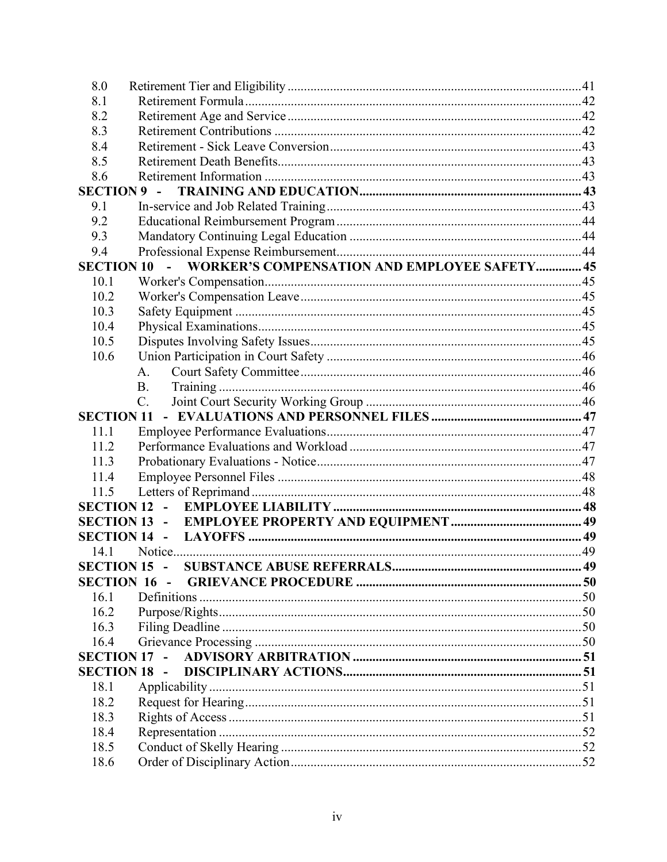| 8.0                 |                     |                                                     |  |  |  |
|---------------------|---------------------|-----------------------------------------------------|--|--|--|
| 8.1                 |                     |                                                     |  |  |  |
| 8.2                 |                     |                                                     |  |  |  |
| 8.3                 |                     |                                                     |  |  |  |
| 8.4                 |                     |                                                     |  |  |  |
| 8.5                 |                     |                                                     |  |  |  |
| 8.6                 |                     |                                                     |  |  |  |
| <b>SECTION 9</b>    |                     |                                                     |  |  |  |
| 9.1                 |                     |                                                     |  |  |  |
| 9.2                 |                     |                                                     |  |  |  |
| 9.3                 |                     |                                                     |  |  |  |
| 9.4                 |                     |                                                     |  |  |  |
| <b>SECTION 10</b>   |                     | <b>WORKER'S COMPENSATION AND EMPLOYEE SAFETY 45</b> |  |  |  |
| 10.1                |                     |                                                     |  |  |  |
| 10.2                |                     |                                                     |  |  |  |
| 10.3                |                     |                                                     |  |  |  |
| 10.4                |                     |                                                     |  |  |  |
| 10.5                |                     |                                                     |  |  |  |
| 10.6                |                     |                                                     |  |  |  |
|                     | A.                  |                                                     |  |  |  |
|                     | B.                  |                                                     |  |  |  |
|                     | $C_{\cdot}$         |                                                     |  |  |  |
| <b>SECTION 11</b>   |                     |                                                     |  |  |  |
| 11.1                |                     |                                                     |  |  |  |
| 11.2                |                     |                                                     |  |  |  |
| 11.3                |                     |                                                     |  |  |  |
| 11.4                |                     |                                                     |  |  |  |
| 11.5                |                     |                                                     |  |  |  |
|                     | <b>SECTION 12 -</b> |                                                     |  |  |  |
|                     |                     |                                                     |  |  |  |
|                     |                     |                                                     |  |  |  |
| 14.1                |                     |                                                     |  |  |  |
|                     |                     |                                                     |  |  |  |
|                     | <b>SECTION 16 -</b> |                                                     |  |  |  |
| 16.1                |                     |                                                     |  |  |  |
| 16.2                |                     |                                                     |  |  |  |
| 16.3                |                     |                                                     |  |  |  |
| 16.4                |                     |                                                     |  |  |  |
| <b>SECTION 17 -</b> |                     |                                                     |  |  |  |
| <b>SECTION 18 -</b> |                     |                                                     |  |  |  |
| 18.1                |                     |                                                     |  |  |  |
| 18.2                |                     |                                                     |  |  |  |
| 18.3                |                     |                                                     |  |  |  |
| 18.4                |                     |                                                     |  |  |  |
| 18.5                |                     |                                                     |  |  |  |
| 18.6                |                     |                                                     |  |  |  |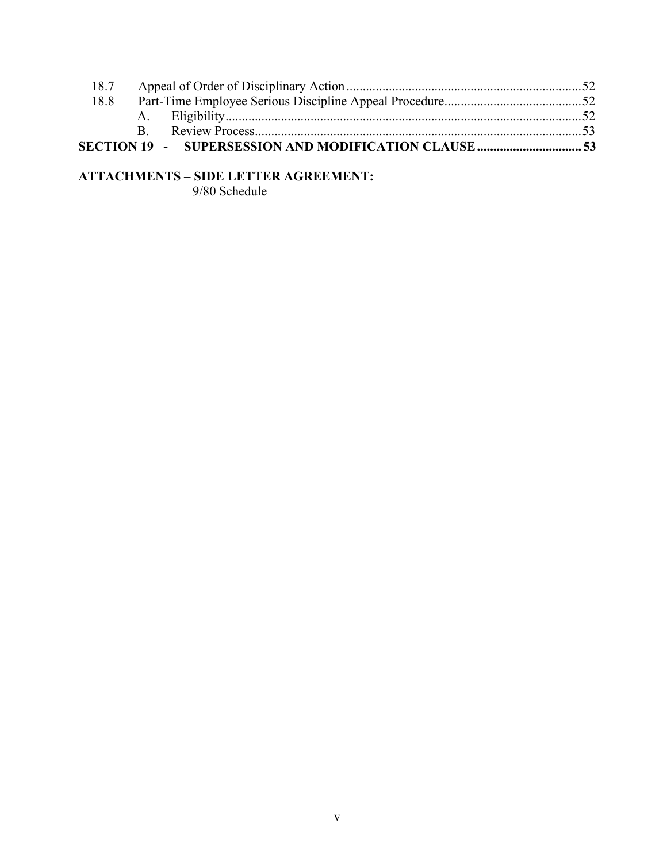| 18.7 |  |  |
|------|--|--|
| 18.8 |  |  |
|      |  |  |
|      |  |  |
|      |  |  |

# **ATTACHMENTS – SIDE LETTER AGREEMENT:**

9/80 Schedule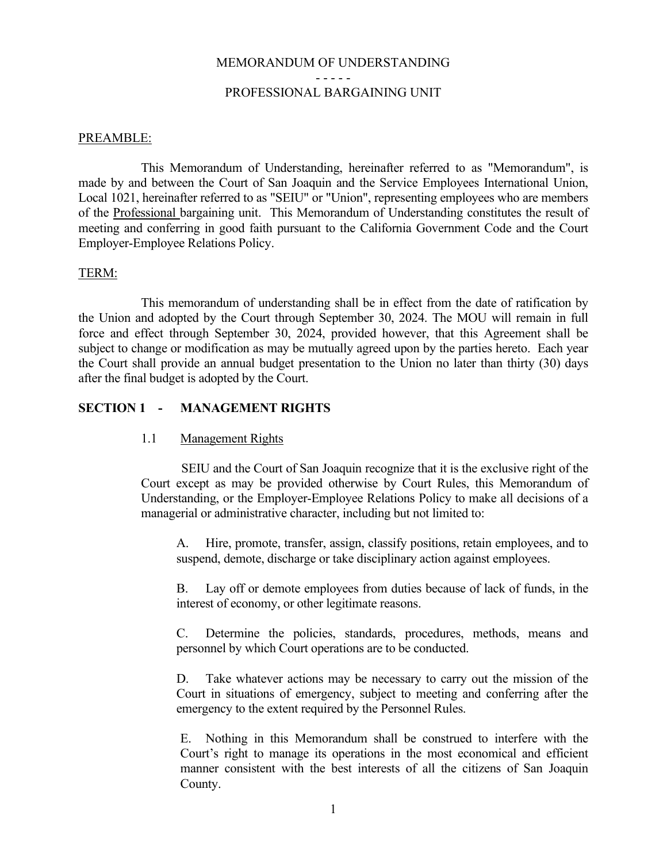# MEMORANDUM OF UNDERSTANDING - - - - - PROFESSIONAL BARGAINING UNIT

# <span id="page-6-0"></span>PREAMBLE:

This Memorandum of Understanding, hereinafter referred to as "Memorandum", is made by and between the Court of San Joaquin and the Service Employees International Union, Local 1021, hereinafter referred to as "SEIU" or "Union", representing employees who are members of the Professional bargaining unit. This Memorandum of Understanding constitutes the result of meeting and conferring in good faith pursuant to the California Government Code and the Court Employer-Employee Relations Policy.

## <span id="page-6-1"></span>TERM:

This memorandum of understanding shall be in effect from the date of ratification by the Union and adopted by the Court through September 30, 2024. The MOU will remain in full force and effect through September 30, 2024, provided however, that this Agreement shall be subject to change or modification as may be mutually agreed upon by the parties hereto. Each year the Court shall provide an annual budget presentation to the Union no later than thirty (30) days after the final budget is adopted by the Court.

# <span id="page-6-2"></span>**SECTION 1 - MANAGEMENT RIGHTS**

# <span id="page-6-3"></span>1.1 Management Rights

SEIU and the Court of San Joaquin recognize that it is the exclusive right of the Court except as may be provided otherwise by Court Rules, this Memorandum of Understanding, or the Employer-Employee Relations Policy to make all decisions of a managerial or administrative character, including but not limited to:

A. Hire, promote, transfer, assign, classify positions, retain employees, and to suspend, demote, discharge or take disciplinary action against employees.

B. Lay off or demote employees from duties because of lack of funds, in the interest of economy, or other legitimate reasons.

C. Determine the policies, standards, procedures, methods, means and personnel by which Court operations are to be conducted.

D. Take whatever actions may be necessary to carry out the mission of the Court in situations of emergency, subject to meeting and conferring after the emergency to the extent required by the Personnel Rules.

E. Nothing in this Memorandum shall be construed to interfere with the Court's right to manage its operations in the most economical and efficient manner consistent with the best interests of all the citizens of San Joaquin County.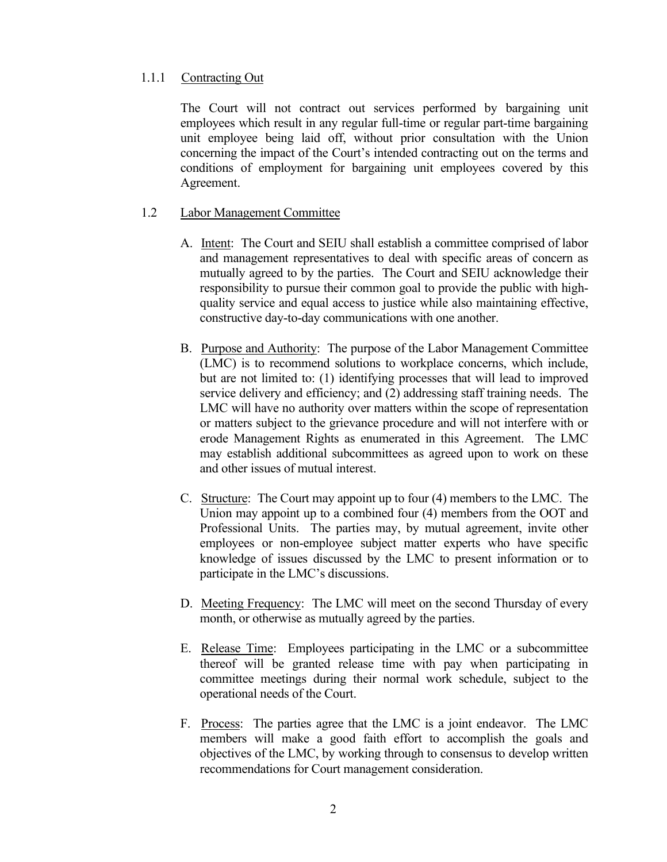# <span id="page-7-0"></span>1.1.1 Contracting Out

The Court will not contract out services performed by bargaining unit employees which result in any regular full-time or regular part-time bargaining unit employee being laid off, without prior consultation with the Union concerning the impact of the Court's intended contracting out on the terms and conditions of employment for bargaining unit employees covered by this Agreement.

# <span id="page-7-1"></span>1.2 Labor Management Committee

- A. Intent: The Court and SEIU shall establish a committee comprised of labor and management representatives to deal with specific areas of concern as mutually agreed to by the parties. The Court and SEIU acknowledge their responsibility to pursue their common goal to provide the public with highquality service and equal access to justice while also maintaining effective, constructive day-to-day communications with one another.
- B. Purpose and Authority: The purpose of the Labor Management Committee (LMC) is to recommend solutions to workplace concerns, which include, but are not limited to: (1) identifying processes that will lead to improved service delivery and efficiency; and (2) addressing staff training needs. The LMC will have no authority over matters within the scope of representation or matters subject to the grievance procedure and will not interfere with or erode Management Rights as enumerated in this Agreement. The LMC may establish additional subcommittees as agreed upon to work on these and other issues of mutual interest.
- C. Structure: The Court may appoint up to four (4) members to the LMC. The Union may appoint up to a combined four (4) members from the OOT and Professional Units. The parties may, by mutual agreement, invite other employees or non-employee subject matter experts who have specific knowledge of issues discussed by the LMC to present information or to participate in the LMC's discussions.
- D. Meeting Frequency: The LMC will meet on the second Thursday of every month, or otherwise as mutually agreed by the parties.
- E. Release Time: Employees participating in the LMC or a subcommittee thereof will be granted release time with pay when participating in committee meetings during their normal work schedule, subject to the operational needs of the Court.
- F. Process: The parties agree that the LMC is a joint endeavor. The LMC members will make a good faith effort to accomplish the goals and objectives of the LMC, by working through to consensus to develop written recommendations for Court management consideration.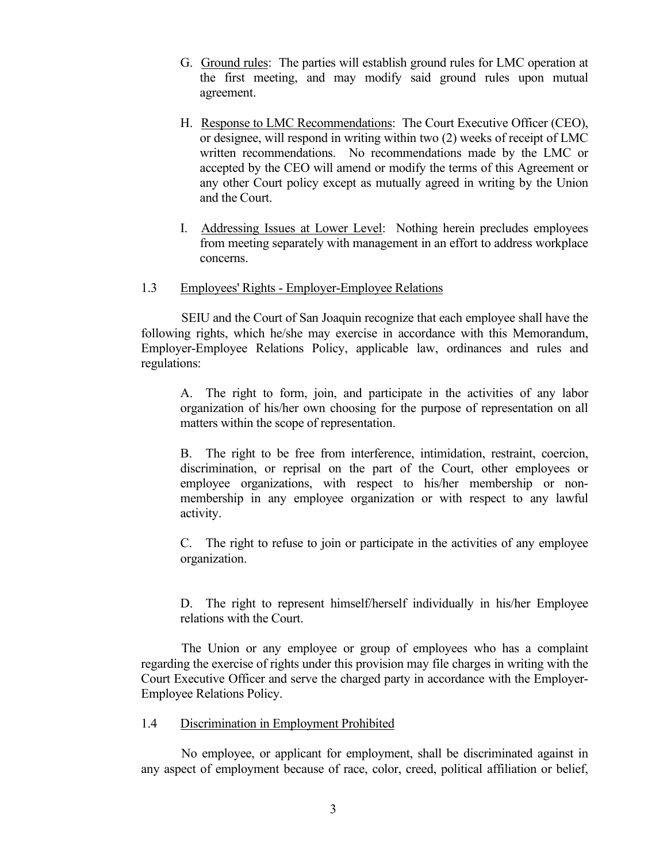- G. Ground rules: The parties will establish ground rules for LMC operation at the first meeting, and may modify said ground rules upon mutual agreement.
- H. Response to LMC Recommendations: The Court Executive Officer (CEO), or designee, will respond in writing within two (2) weeks of receipt of LMC written recommendations. No recommendations made by the LMC or accepted by the CEO will amend or modify the terms of this Agreement or any other Court policy except as mutually agreed in writing by the Union and the Court.
- I. Addressing Issues at Lower Level: Nothing herein precludes employees from meeting separately with management in an effort to address workplace concerns.
- <span id="page-8-0"></span>1.3 Employees' Rights - Employer-Employee Relations

SEIU and the Court of San Joaquin recognize that each employee shall have the following rights, which he/she may exercise in accordance with this Memorandum, Employer-Employee Relations Policy, applicable law, ordinances and rules and regulations:

A. The right to form, join, and participate in the activities of any labor organization of his/her own choosing for the purpose of representation on all matters within the scope of representation.

B. The right to be free from interference, intimidation, restraint, coercion, discrimination, or reprisal on the part of the Court, other employees or employee organizations, with respect to his/her membership or nonmembership in any employee organization or with respect to any lawful activity.

C. The right to refuse to join or participate in the activities of any employee organization.

D. The right to represent himself/herself individually in his/her Employee relations with the Court.

The Union or any employee or group of employees who has a complaint regarding the exercise of rights under this provision may file charges in writing with the Court Executive Officer and serve the charged party in accordance with the Employer-Employee Relations Policy.

# <span id="page-8-1"></span>1.4 Discrimination in Employment Prohibited

No employee, or applicant for employment, shall be discriminated against in any aspect of employment because of race, color, creed, political affiliation or belief,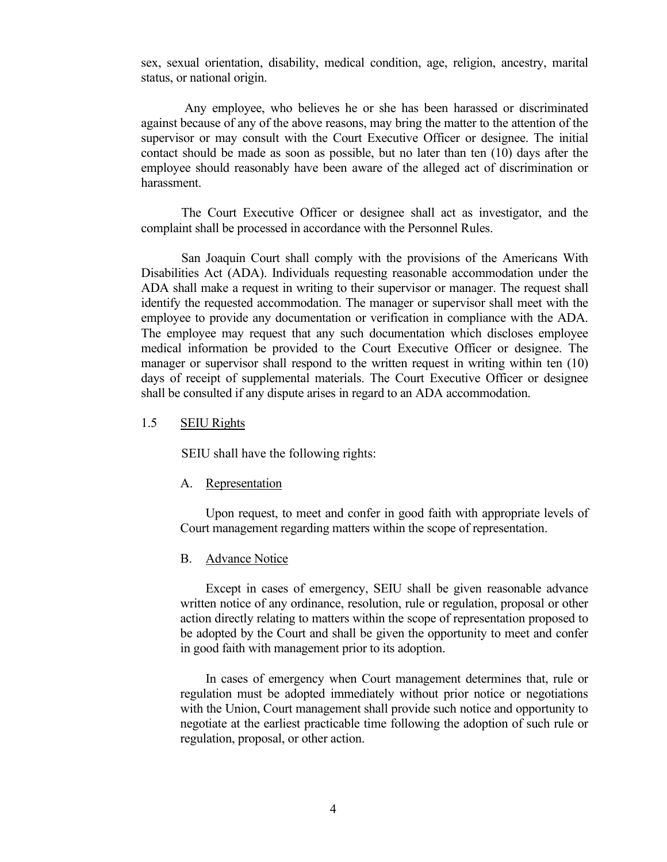sex, sexual orientation, disability, medical condition, age, religion, ancestry, marital status, or national origin.

Any employee, who believes he or she has been harassed or discriminated against because of any of the above reasons, may bring the matter to the attention of the supervisor or may consult with the Court Executive Officer or designee. The initial contact should be made as soon as possible, but no later than ten (10) days after the employee should reasonably have been aware of the alleged act of discrimination or harassment.

The Court Executive Officer or designee shall act as investigator, and the complaint shall be processed in accordance with the Personnel Rules.

San Joaquin Court shall comply with the provisions of the Americans With Disabilities Act (ADA). Individuals requesting reasonable accommodation under the ADA shall make a request in writing to their supervisor or manager. The request shall identify the requested accommodation. The manager or supervisor shall meet with the employee to provide any documentation or verification in compliance with the ADA. The employee may request that any such documentation which discloses employee medical information be provided to the Court Executive Officer or designee. The manager or supervisor shall respond to the written request in writing within ten (10) days of receipt of supplemental materials. The Court Executive Officer or designee shall be consulted if any dispute arises in regard to an ADA accommodation.

#### <span id="page-9-0"></span>1.5 SEIU Rights

SEIU shall have the following rights:

#### <span id="page-9-1"></span>A. Representation

Upon request, to meet and confer in good faith with appropriate levels of Court management regarding matters within the scope of representation.

#### <span id="page-9-2"></span>B. Advance Notice

Except in cases of emergency, SEIU shall be given reasonable advance written notice of any ordinance, resolution, rule or regulation, proposal or other action directly relating to matters within the scope of representation proposed to be adopted by the Court and shall be given the opportunity to meet and confer in good faith with management prior to its adoption.

In cases of emergency when Court management determines that, rule or regulation must be adopted immediately without prior notice or negotiations with the Union, Court management shall provide such notice and opportunity to negotiate at the earliest practicable time following the adoption of such rule or regulation, proposal, or other action.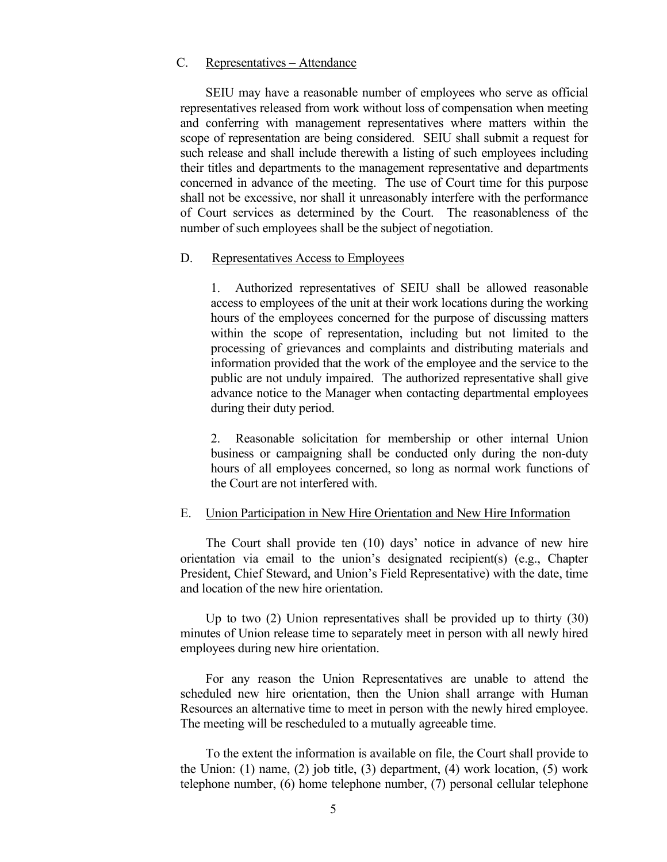## <span id="page-10-0"></span>C. Representatives – Attendance

SEIU may have a reasonable number of employees who serve as official representatives released from work without loss of compensation when meeting and conferring with management representatives where matters within the scope of representation are being considered. SEIU shall submit a request for such release and shall include therewith a listing of such employees including their titles and departments to the management representative and departments concerned in advance of the meeting. The use of Court time for this purpose shall not be excessive, nor shall it unreasonably interfere with the performance of Court services as determined by the Court. The reasonableness of the number of such employees shall be the subject of negotiation.

#### <span id="page-10-1"></span>D. Representatives Access to Employees

1. Authorized representatives of SEIU shall be allowed reasonable access to employees of the unit at their work locations during the working hours of the employees concerned for the purpose of discussing matters within the scope of representation, including but not limited to the processing of grievances and complaints and distributing materials and information provided that the work of the employee and the service to the public are not unduly impaired. The authorized representative shall give advance notice to the Manager when contacting departmental employees during their duty period.

2. Reasonable solicitation for membership or other internal Union business or campaigning shall be conducted only during the non-duty hours of all employees concerned, so long as normal work functions of the Court are not interfered with.

#### <span id="page-10-2"></span>E. Union Participation in New Hire Orientation and New Hire Information

The Court shall provide ten (10) days' notice in advance of new hire orientation via email to the union's designated recipient(s) (e.g., Chapter President, Chief Steward, and Union's Field Representative) with the date, time and location of the new hire orientation.

Up to two (2) Union representatives shall be provided up to thirty (30) minutes of Union release time to separately meet in person with all newly hired employees during new hire orientation.

For any reason the Union Representatives are unable to attend the scheduled new hire orientation, then the Union shall arrange with Human Resources an alternative time to meet in person with the newly hired employee. The meeting will be rescheduled to a mutually agreeable time.

To the extent the information is available on file, the Court shall provide to the Union: (1) name, (2) job title, (3) department, (4) work location, (5) work telephone number, (6) home telephone number, (7) personal cellular telephone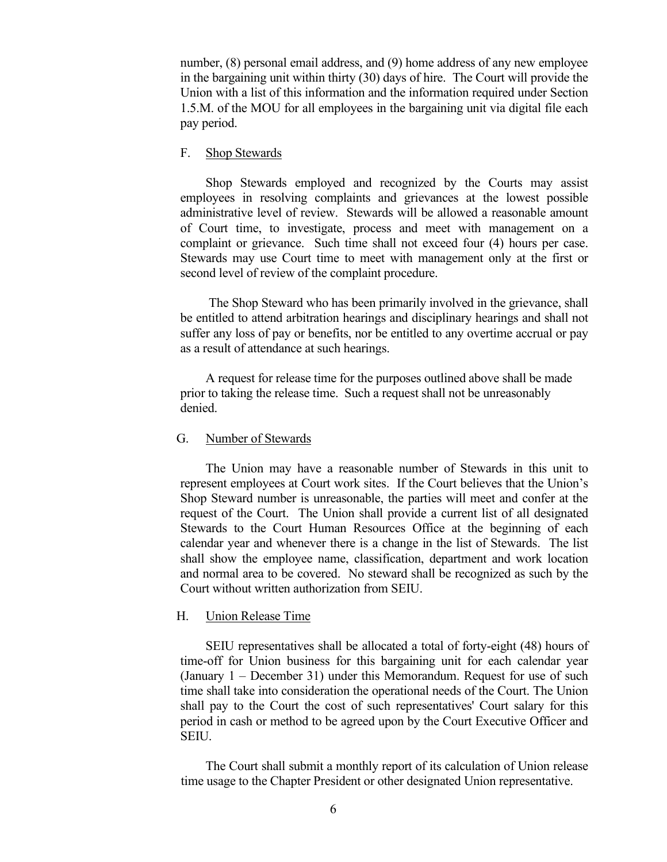number, (8) personal email address, and (9) home address of any new employee in the bargaining unit within thirty (30) days of hire. The Court will provide the Union with a list of this information and the information required under Section 1.5.M. of the MOU for all employees in the bargaining unit via digital file each pay period.

#### <span id="page-11-0"></span>F. Shop Stewards

Shop Stewards employed and recognized by the Courts may assist employees in resolving complaints and grievances at the lowest possible administrative level of review. Stewards will be allowed a reasonable amount of Court time, to investigate, process and meet with management on a complaint or grievance. Such time shall not exceed four (4) hours per case. Stewards may use Court time to meet with management only at the first or second level of review of the complaint procedure.

The Shop Steward who has been primarily involved in the grievance, shall be entitled to attend arbitration hearings and disciplinary hearings and shall not suffer any loss of pay or benefits, nor be entitled to any overtime accrual or pay as a result of attendance at such hearings.

A request for release time for the purposes outlined above shall be made prior to taking the release time. Such a request shall not be unreasonably denied.

#### <span id="page-11-1"></span>G. Number of Stewards

The Union may have a reasonable number of Stewards in this unit to represent employees at Court work sites. If the Court believes that the Union's Shop Steward number is unreasonable, the parties will meet and confer at the request of the Court. The Union shall provide a current list of all designated Stewards to the Court Human Resources Office at the beginning of each calendar year and whenever there is a change in the list of Stewards. The list shall show the employee name, classification, department and work location and normal area to be covered. No steward shall be recognized as such by the Court without written authorization from SEIU.

# <span id="page-11-2"></span>H. Union Release Time

SEIU representatives shall be allocated a total of forty-eight (48) hours of time-off for Union business for this bargaining unit for each calendar year (January 1 – December 31) under this Memorandum. Request for use of such time shall take into consideration the operational needs of the Court. The Union shall pay to the Court the cost of such representatives' Court salary for this period in cash or method to be agreed upon by the Court Executive Officer and SEIU.

The Court shall submit a monthly report of its calculation of Union release time usage to the Chapter President or other designated Union representative.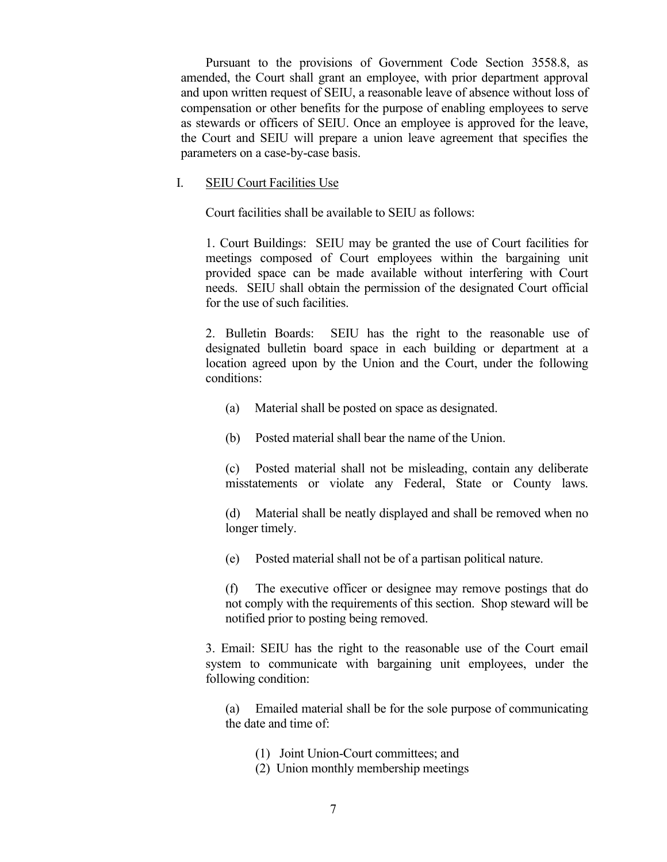Pursuant to the provisions of Government Code Section 3558.8, as amended, the Court shall grant an employee, with prior department approval and upon written request of SEIU, a reasonable leave of absence without loss of compensation or other benefits for the purpose of enabling employees to serve as stewards or officers of SEIU. Once an employee is approved for the leave, the Court and SEIU will prepare a union leave agreement that specifies the parameters on a case-by-case basis.

## I. SEIU Court Facilities Use

Court facilities shall be available to SEIU as follows:

1. Court Buildings: SEIU may be granted the use of Court facilities for meetings composed of Court employees within the bargaining unit provided space can be made available without interfering with Court needs. SEIU shall obtain the permission of the designated Court official for the use of such facilities.

2. Bulletin Boards: SEIU has the right to the reasonable use of designated bulletin board space in each building or department at a location agreed upon by the Union and the Court, under the following conditions:

- (a) Material shall be posted on space as designated.
- (b) Posted material shall bear the name of the Union.

(c) Posted material shall not be misleading, contain any deliberate misstatements or violate any Federal, State or County laws.

(d) Material shall be neatly displayed and shall be removed when no longer timely.

(e) Posted material shall not be of a partisan political nature.

(f) The executive officer or designee may remove postings that do not comply with the requirements of this section. Shop steward will be notified prior to posting being removed.

3. Email: SEIU has the right to the reasonable use of the Court email system to communicate with bargaining unit employees, under the following condition:

(a) Emailed material shall be for the sole purpose of communicating the date and time of:

- (1) Joint Union-Court committees; and
- (2) Union monthly membership meetings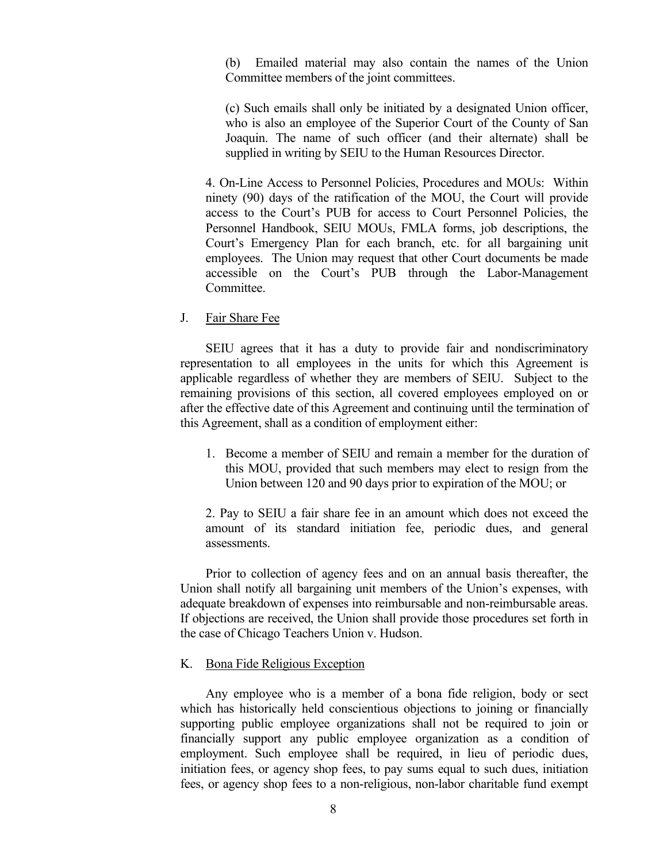(b) Emailed material may also contain the names of the Union Committee members of the joint committees.

(c) Such emails shall only be initiated by a designated Union officer, who is also an employee of the Superior Court of the County of San Joaquin. The name of such officer (and their alternate) shall be supplied in writing by SEIU to the Human Resources Director.

4. On-Line Access to Personnel Policies, Procedures and MOUs: Within ninety (90) days of the ratification of the MOU, the Court will provide access to the Court's PUB for access to Court Personnel Policies, the Personnel Handbook, SEIU MOUs, FMLA forms, job descriptions, the Court's Emergency Plan for each branch, etc. for all bargaining unit employees. The Union may request that other Court documents be made accessible on the Court's PUB through the Labor-Management Committee.

#### <span id="page-13-0"></span>J. Fair Share Fee

SEIU agrees that it has a duty to provide fair and nondiscriminatory representation to all employees in the units for which this Agreement is applicable regardless of whether they are members of SEIU. Subject to the remaining provisions of this section, all covered employees employed on or after the effective date of this Agreement and continuing until the termination of this Agreement, shall as a condition of employment either:

1. Become a member of SEIU and remain a member for the duration of this MOU, provided that such members may elect to resign from the Union between 120 and 90 days prior to expiration of the MOU; or

2. Pay to SEIU a fair share fee in an amount which does not exceed the amount of its standard initiation fee, periodic dues, and general assessments.

Prior to collection of agency fees and on an annual basis thereafter, the Union shall notify all bargaining unit members of the Union's expenses, with adequate breakdown of expenses into reimbursable and non-reimbursable areas. If objections are received, the Union shall provide those procedures set forth in the case of Chicago Teachers Union v. Hudson.

## <span id="page-13-1"></span>K. Bona Fide Religious Exception

Any employee who is a member of a bona fide religion, body or sect which has historically held conscientious objections to joining or financially supporting public employee organizations shall not be required to join or financially support any public employee organization as a condition of employment. Such employee shall be required, in lieu of periodic dues, initiation fees, or agency shop fees, to pay sums equal to such dues, initiation fees, or agency shop fees to a non-religious, non-labor charitable fund exempt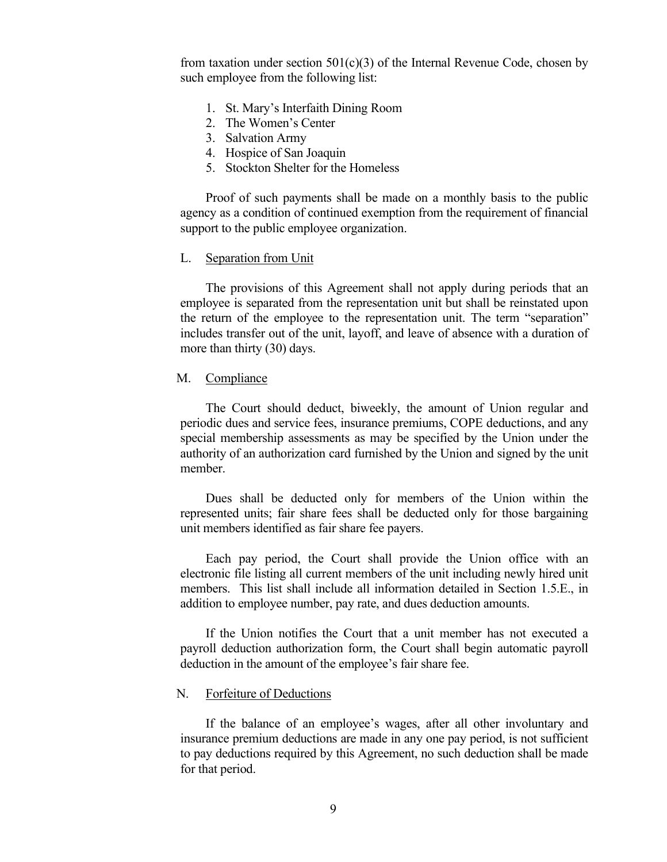from taxation under section  $501(c)(3)$  of the Internal Revenue Code, chosen by such employee from the following list:

- 1. St. Mary's Interfaith Dining Room
- 2. The Women's Center
- 3. Salvation Army
- 4. Hospice of San Joaquin
- 5. Stockton Shelter for the Homeless

Proof of such payments shall be made on a monthly basis to the public agency as a condition of continued exemption from the requirement of financial support to the public employee organization.

#### <span id="page-14-0"></span>L. Separation from Unit

The provisions of this Agreement shall not apply during periods that an employee is separated from the representation unit but shall be reinstated upon the return of the employee to the representation unit. The term "separation" includes transfer out of the unit, layoff, and leave of absence with a duration of more than thirty (30) days.

## <span id="page-14-1"></span>M. Compliance

The Court should deduct, biweekly, the amount of Union regular and periodic dues and service fees, insurance premiums, COPE deductions, and any special membership assessments as may be specified by the Union under the authority of an authorization card furnished by the Union and signed by the unit member.

Dues shall be deducted only for members of the Union within the represented units; fair share fees shall be deducted only for those bargaining unit members identified as fair share fee payers.

Each pay period, the Court shall provide the Union office with an electronic file listing all current members of the unit including newly hired unit members. This list shall include all information detailed in Section 1.5.E., in addition to employee number, pay rate, and dues deduction amounts.

If the Union notifies the Court that a unit member has not executed a payroll deduction authorization form, the Court shall begin automatic payroll deduction in the amount of the employee's fair share fee.

#### <span id="page-14-2"></span>N. Forfeiture of Deductions

If the balance of an employee's wages, after all other involuntary and insurance premium deductions are made in any one pay period, is not sufficient to pay deductions required by this Agreement, no such deduction shall be made for that period.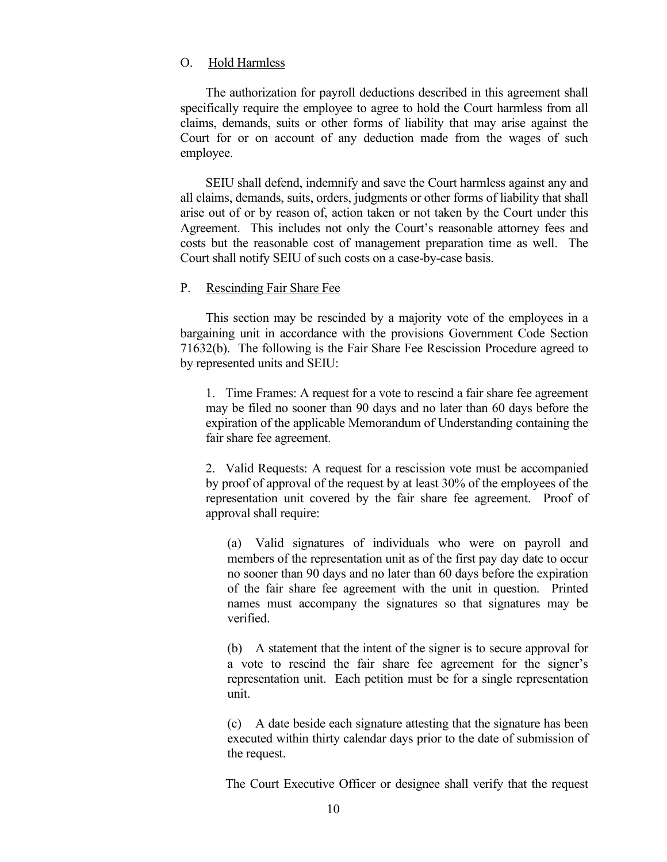## <span id="page-15-0"></span>O. Hold Harmless

The authorization for payroll deductions described in this agreement shall specifically require the employee to agree to hold the Court harmless from all claims, demands, suits or other forms of liability that may arise against the Court for or on account of any deduction made from the wages of such employee.

SEIU shall defend, indemnify and save the Court harmless against any and all claims, demands, suits, orders, judgments or other forms of liability that shall arise out of or by reason of, action taken or not taken by the Court under this Agreement. This includes not only the Court's reasonable attorney fees and costs but the reasonable cost of management preparation time as well. The Court shall notify SEIU of such costs on a case-by-case basis.

## <span id="page-15-1"></span>P. Rescinding Fair Share Fee

This section may be rescinded by a majority vote of the employees in a bargaining unit in accordance with the provisions Government Code Section 71632(b). The following is the Fair Share Fee Rescission Procedure agreed to by represented units and SEIU:

1. Time Frames: A request for a vote to rescind a fair share fee agreement may be filed no sooner than 90 days and no later than 60 days before the expiration of the applicable Memorandum of Understanding containing the fair share fee agreement.

2. Valid Requests: A request for a rescission vote must be accompanied by proof of approval of the request by at least 30% of the employees of the representation unit covered by the fair share fee agreement. Proof of approval shall require:

(a) Valid signatures of individuals who were on payroll and members of the representation unit as of the first pay day date to occur no sooner than 90 days and no later than 60 days before the expiration of the fair share fee agreement with the unit in question. Printed names must accompany the signatures so that signatures may be verified.

(b) A statement that the intent of the signer is to secure approval for a vote to rescind the fair share fee agreement for the signer's representation unit. Each petition must be for a single representation unit.

(c) A date beside each signature attesting that the signature has been executed within thirty calendar days prior to the date of submission of the request.

The Court Executive Officer or designee shall verify that the request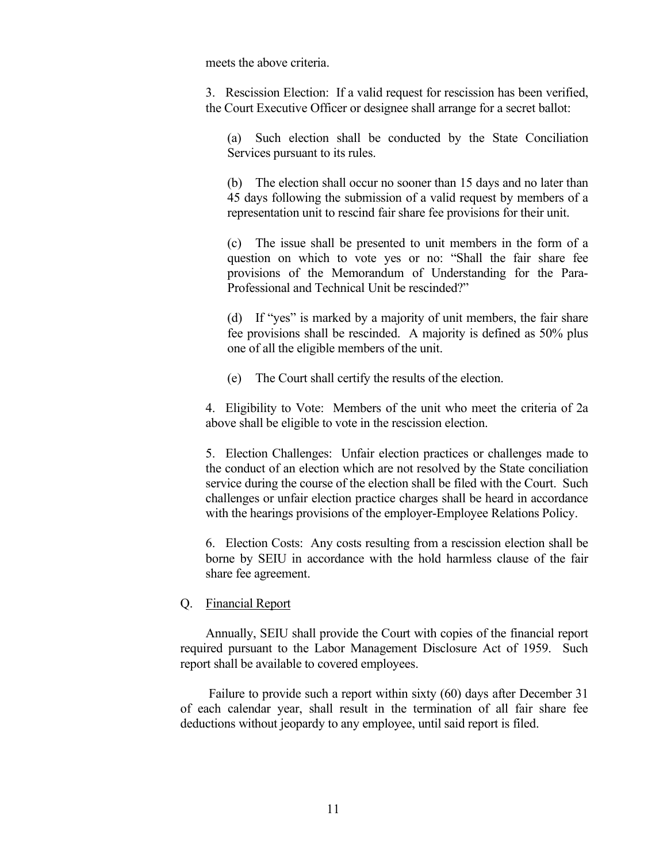meets the above criteria.

3. Rescission Election: If a valid request for rescission has been verified, the Court Executive Officer or designee shall arrange for a secret ballot:

(a) Such election shall be conducted by the State Conciliation Services pursuant to its rules.

(b) The election shall occur no sooner than 15 days and no later than 45 days following the submission of a valid request by members of a representation unit to rescind fair share fee provisions for their unit.

(c) The issue shall be presented to unit members in the form of a question on which to vote yes or no: "Shall the fair share fee provisions of the Memorandum of Understanding for the Para-Professional and Technical Unit be rescinded?"

(d) If "yes" is marked by a majority of unit members, the fair share fee provisions shall be rescinded. A majority is defined as 50% plus one of all the eligible members of the unit.

(e) The Court shall certify the results of the election.

4. Eligibility to Vote: Members of the unit who meet the criteria of 2a above shall be eligible to vote in the rescission election.

5. Election Challenges: Unfair election practices or challenges made to the conduct of an election which are not resolved by the State conciliation service during the course of the election shall be filed with the Court. Such challenges or unfair election practice charges shall be heard in accordance with the hearings provisions of the employer-Employee Relations Policy.

6. Election Costs: Any costs resulting from a rescission election shall be borne by SEIU in accordance with the hold harmless clause of the fair share fee agreement.

## <span id="page-16-0"></span>Q. Financial Report

Annually, SEIU shall provide the Court with copies of the financial report required pursuant to the Labor Management Disclosure Act of 1959. Such report shall be available to covered employees.

<span id="page-16-1"></span>Failure to provide such a report within sixty (60) days after December 31 of each calendar year, shall result in the termination of all fair share fee deductions without jeopardy to any employee, until said report is filed.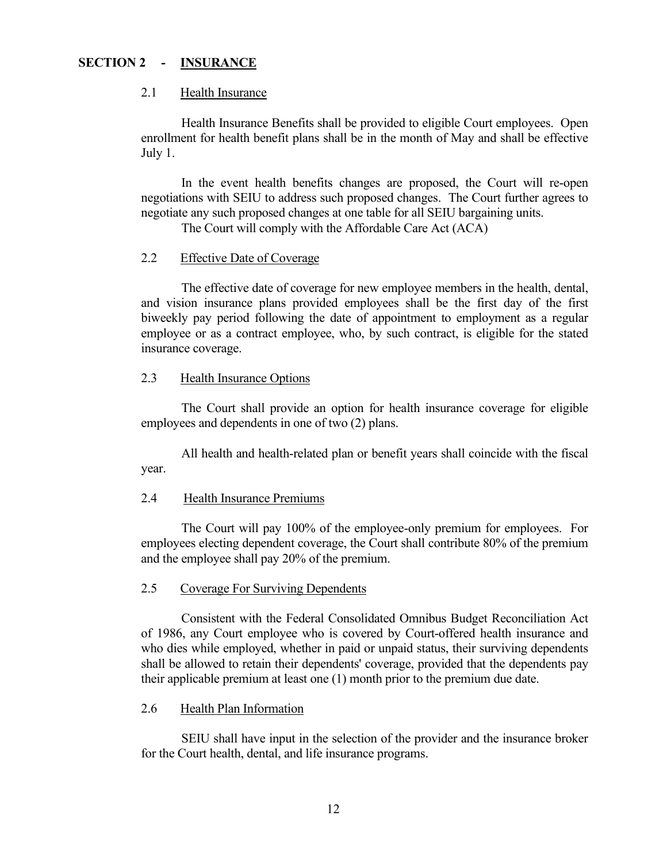# **SECTION 2 - INSURANCE**

## <span id="page-17-0"></span>2.1 Health Insurance

Health Insurance Benefits shall be provided to eligible Court employees. Open enrollment for health benefit plans shall be in the month of May and shall be effective July 1.

In the event health benefits changes are proposed, the Court will re-open negotiations with SEIU to address such proposed changes. The Court further agrees to negotiate any such proposed changes at one table for all SEIU bargaining units.

The Court will comply with the Affordable Care Act (ACA)

# <span id="page-17-1"></span>2.2 Effective Date of Coverage

The effective date of coverage for new employee members in the health, dental, and vision insurance plans provided employees shall be the first day of the first biweekly pay period following the date of appointment to employment as a regular employee or as a contract employee, who, by such contract, is eligible for the stated insurance coverage.

## <span id="page-17-2"></span>2.3 Health Insurance Options

The Court shall provide an option for health insurance coverage for eligible employees and dependents in one of two (2) plans.

All health and health-related plan or benefit years shall coincide with the fiscal year.

# <span id="page-17-3"></span>2.4 Health Insurance Premiums

The Court will pay 100% of the employee-only premium for employees. For employees electing dependent coverage, the Court shall contribute 80% of the premium and the employee shall pay 20% of the premium.

# <span id="page-17-4"></span>2.5 Coverage For Surviving Dependents

Consistent with the Federal Consolidated Omnibus Budget Reconciliation Act of 1986, any Court employee who is covered by Court-offered health insurance and who dies while employed, whether in paid or unpaid status, their surviving dependents shall be allowed to retain their dependents' coverage, provided that the dependents pay their applicable premium at least one (1) month prior to the premium due date.

# <span id="page-17-5"></span>2.6 Health Plan Information

<span id="page-17-6"></span>SEIU shall have input in the selection of the provider and the insurance broker for the Court health, dental, and life insurance programs.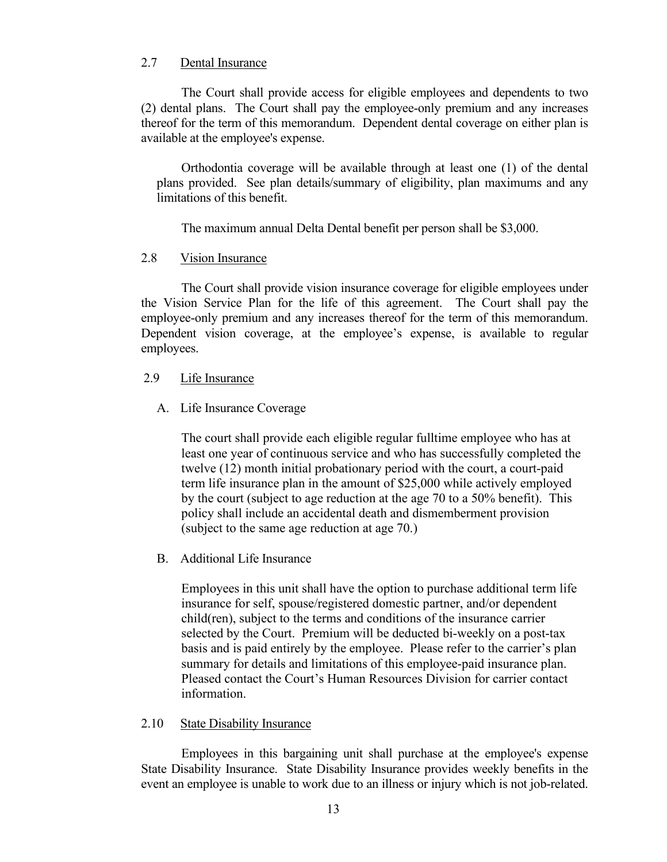# 2.7 Dental Insurance

The Court shall provide access for eligible employees and dependents to two (2) dental plans. The Court shall pay the employee-only premium and any increases thereof for the term of this memorandum. Dependent dental coverage on either plan is available at the employee's expense.

Orthodontia coverage will be available through at least one (1) of the dental plans provided. See plan details/summary of eligibility, plan maximums and any limitations of this benefit.

The maximum annual Delta Dental benefit per person shall be \$3,000.

## <span id="page-18-0"></span>2.8 Vision Insurance

The Court shall provide vision insurance coverage for eligible employees under the Vision Service Plan for the life of this agreement. The Court shall pay the employee-only premium and any increases thereof for the term of this memorandum. Dependent vision coverage, at the employee's expense, is available to regular employees.

## <span id="page-18-2"></span><span id="page-18-1"></span>2.9 Life Insurance

# A. Life Insurance Coverage

The court shall provide each eligible regular fulltime employee who has at least one year of continuous service and who has successfully completed the twelve (12) month initial probationary period with the court, a court-paid term life insurance plan in the amount of \$25,000 while actively employed by the court (subject to age reduction at the age 70 to a 50% benefit). This policy shall include an accidental death and dismemberment provision (subject to the same age reduction at age 70.)

## <span id="page-18-3"></span>B. Additional Life Insurance

Employees in this unit shall have the option to purchase additional term life insurance for self, spouse/registered domestic partner, and/or dependent child(ren), subject to the terms and conditions of the insurance carrier selected by the Court. Premium will be deducted bi-weekly on a post-tax basis and is paid entirely by the employee. Please refer to the carrier's plan summary for details and limitations of this employee-paid insurance plan. Pleased contact the Court's Human Resources Division for carrier contact information.

## <span id="page-18-4"></span>2.10 State Disability Insurance

Employees in this bargaining unit shall purchase at the employee's expense State Disability Insurance. State Disability Insurance provides weekly benefits in the event an employee is unable to work due to an illness or injury which is not job-related.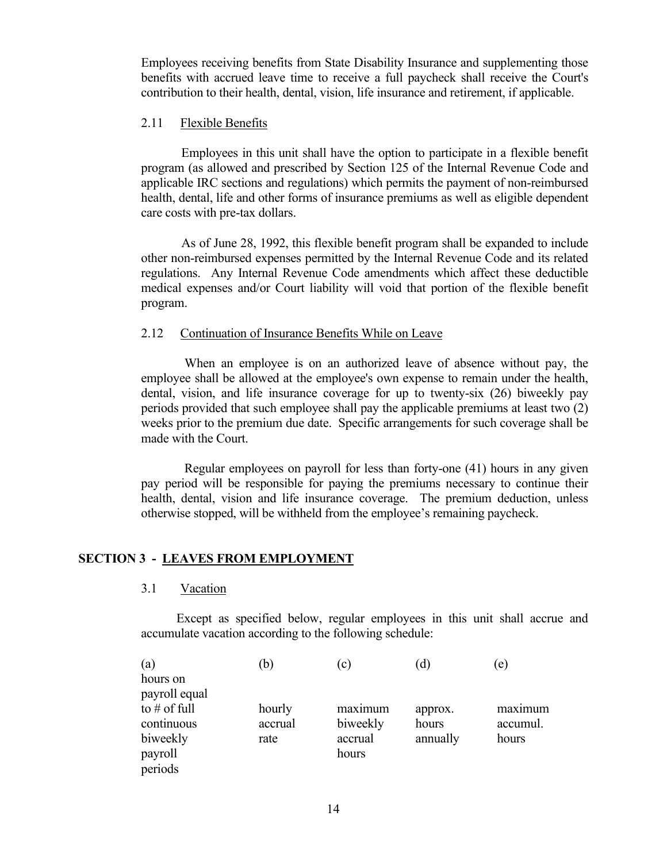Employees receiving benefits from State Disability Insurance and supplementing those benefits with accrued leave time to receive a full paycheck shall receive the Court's contribution to their health, dental, vision, life insurance and retirement, if applicable.

# <span id="page-19-0"></span>2.11 Flexible Benefits

Employees in this unit shall have the option to participate in a flexible benefit program (as allowed and prescribed by Section 125 of the Internal Revenue Code and applicable IRC sections and regulations) which permits the payment of non-reimbursed health, dental, life and other forms of insurance premiums as well as eligible dependent care costs with pre-tax dollars.

As of June 28, 1992, this flexible benefit program shall be expanded to include other non-reimbursed expenses permitted by the Internal Revenue Code and its related regulations. Any Internal Revenue Code amendments which affect these deductible medical expenses and/or Court liability will void that portion of the flexible benefit program.

## <span id="page-19-1"></span>2.12 Continuation of Insurance Benefits While on Leave

When an employee is on an authorized leave of absence without pay, the employee shall be allowed at the employee's own expense to remain under the health, dental, vision, and life insurance coverage for up to twenty-six (26) biweekly pay periods provided that such employee shall pay the applicable premiums at least two (2) weeks prior to the premium due date. Specific arrangements for such coverage shall be made with the Court.

Regular employees on payroll for less than forty-one (41) hours in any given pay period will be responsible for paying the premiums necessary to continue their health, dental, vision and life insurance coverage. The premium deduction, unless otherwise stopped, will be withheld from the employee's remaining paycheck.

# <span id="page-19-2"></span>**SECTION 3 - LEAVES FROM EMPLOYMENT**

<span id="page-19-3"></span>3.1 Vacation

Except as specified below, regular employees in this unit shall accrue and accumulate vacation according to the following schedule:

| a)             | b)      | $\lfloor c \rfloor$ | <sub>d</sub> | e)       |
|----------------|---------|---------------------|--------------|----------|
| hours on       |         |                     |              |          |
| payroll equal  |         |                     |              |          |
| to $#$ of full | hourly  | maximum             | approx.      | maximum  |
| continuous     | accrual | biweekly            | hours        | accumul. |
| biweekly       | rate    | accrual             | annually     | hours    |
| payroll        |         | hours               |              |          |
| periods        |         |                     |              |          |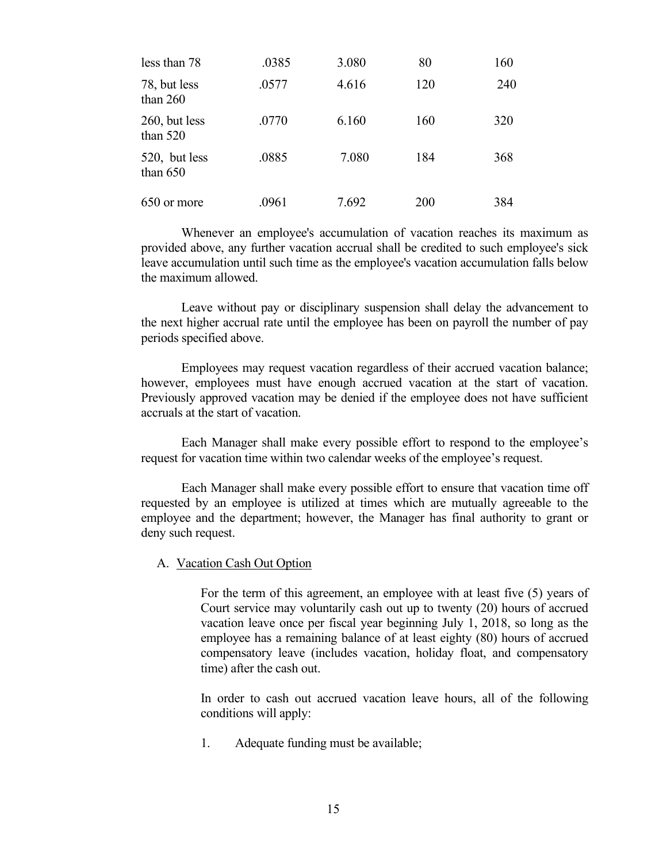| less than 78                | .0385 | 3.080 | 80  | 160 |
|-----------------------------|-------|-------|-----|-----|
| 78, but less<br>than $260$  | .0577 | 4.616 | 120 | 240 |
| 260, but less<br>than $520$ | .0770 | 6.160 | 160 | 320 |
| 520, but less<br>than $650$ | .0885 | 7.080 | 184 | 368 |
| 650 or more                 | .0961 | 7.692 | 200 | 384 |

Whenever an employee's accumulation of vacation reaches its maximum as provided above, any further vacation accrual shall be credited to such employee's sick leave accumulation until such time as the employee's vacation accumulation falls below the maximum allowed.

Leave without pay or disciplinary suspension shall delay the advancement to the next higher accrual rate until the employee has been on payroll the number of pay periods specified above.

Employees may request vacation regardless of their accrued vacation balance; however, employees must have enough accrued vacation at the start of vacation. Previously approved vacation may be denied if the employee does not have sufficient accruals at the start of vacation.

Each Manager shall make every possible effort to respond to the employee's request for vacation time within two calendar weeks of the employee's request.

Each Manager shall make every possible effort to ensure that vacation time off requested by an employee is utilized at times which are mutually agreeable to the employee and the department; however, the Manager has final authority to grant or deny such request.

## <span id="page-20-0"></span>A. Vacation Cash Out Option

For the term of this agreement, an employee with at least five (5) years of Court service may voluntarily cash out up to twenty (20) hours of accrued vacation leave once per fiscal year beginning July 1, 2018, so long as the employee has a remaining balance of at least eighty (80) hours of accrued compensatory leave (includes vacation, holiday float, and compensatory time) after the cash out.

In order to cash out accrued vacation leave hours, all of the following conditions will apply:

1. Adequate funding must be available;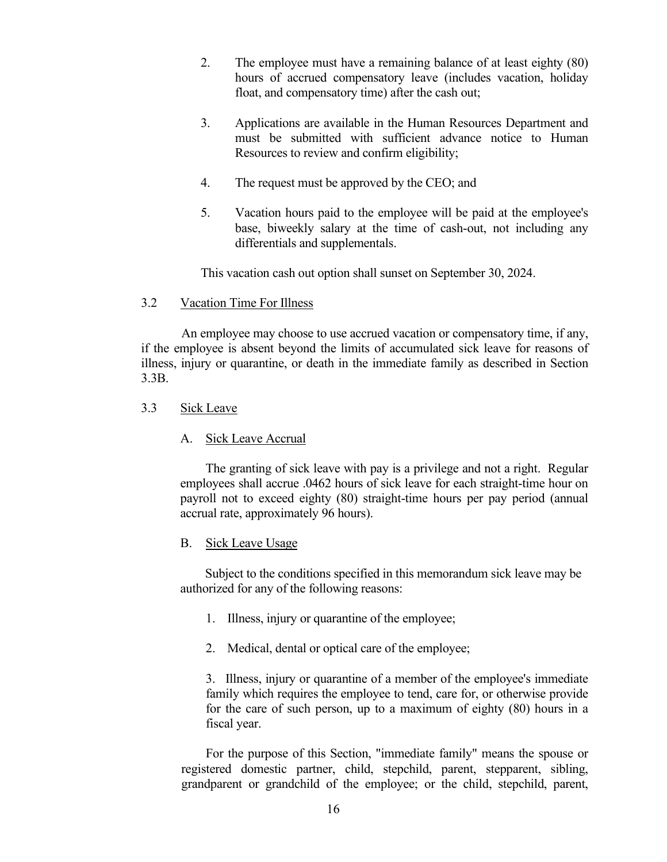- 2. The employee must have a remaining balance of at least eighty (80) hours of accrued compensatory leave (includes vacation, holiday float, and compensatory time) after the cash out;
- 3. Applications are available in the Human Resources Department and must be submitted with sufficient advance notice to Human Resources to review and confirm eligibility;
- 4. The request must be approved by the CEO; and
- 5. Vacation hours paid to the employee will be paid at the employee's base, biweekly salary at the time of cash-out, not including any differentials and supplementals.

This vacation cash out option shall sunset on September 30, 2024.

# <span id="page-21-0"></span>3.2 Vacation Time For Illness

An employee may choose to use accrued vacation or compensatory time, if any, if the employee is absent beyond the limits of accumulated sick leave for reasons of illness, injury or quarantine, or death in the immediate family as described in Section 3.3B.

# <span id="page-21-1"></span>3.3 Sick Leave

# <span id="page-21-2"></span>A. Sick Leave Accrual

The granting of sick leave with pay is a privilege and not a right. Regular employees shall accrue .0462 hours of sick leave for each straight-time hour on payroll not to exceed eighty (80) straight-time hours per pay period (annual accrual rate, approximately 96 hours).

# <span id="page-21-3"></span>B. Sick Leave Usage

 Subject to the conditions specified in this memorandum sick leave may be authorized for any of the following reasons:

- 1. Illness, injury or quarantine of the employee;
- 2. Medical, dental or optical care of the employee;

3. Illness, injury or quarantine of a member of the employee's immediate family which requires the employee to tend, care for, or otherwise provide for the care of such person, up to a maximum of eighty (80) hours in a fiscal year.

For the purpose of this Section, "immediate family" means the spouse or registered domestic partner, child, stepchild, parent, stepparent, sibling, grandparent or grandchild of the employee; or the child, stepchild, parent,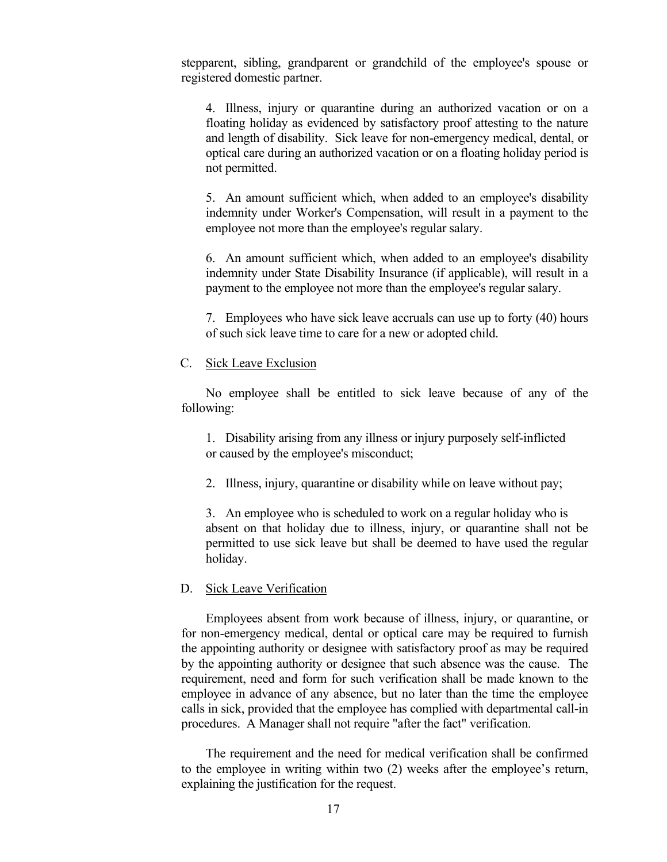stepparent, sibling, grandparent or grandchild of the employee's spouse or registered domestic partner.

4. Illness, injury or quarantine during an authorized vacation or on a floating holiday as evidenced by satisfactory proof attesting to the nature and length of disability. Sick leave for non-emergency medical, dental, or optical care during an authorized vacation or on a floating holiday period is not permitted.

5. An amount sufficient which, when added to an employee's disability indemnity under Worker's Compensation, will result in a payment to the employee not more than the employee's regular salary.

6. An amount sufficient which, when added to an employee's disability indemnity under State Disability Insurance (if applicable), will result in a payment to the employee not more than the employee's regular salary.

7. Employees who have sick leave accruals can use up to forty (40) hours of such sick leave time to care for a new or adopted child.

## <span id="page-22-0"></span>C. Sick Leave Exclusion

No employee shall be entitled to sick leave because of any of the following:

1. Disability arising from any illness or injury purposely self-inflicted or caused by the employee's misconduct;

2. Illness, injury, quarantine or disability while on leave without pay;

3. An employee who is scheduled to work on a regular holiday who is absent on that holiday due to illness, injury, or quarantine shall not be permitted to use sick leave but shall be deemed to have used the regular holiday.

#### <span id="page-22-1"></span>D. Sick Leave Verification

Employees absent from work because of illness, injury, or quarantine, or for non-emergency medical, dental or optical care may be required to furnish the appointing authority or designee with satisfactory proof as may be required by the appointing authority or designee that such absence was the cause. The requirement, need and form for such verification shall be made known to the employee in advance of any absence, but no later than the time the employee calls in sick, provided that the employee has complied with departmental call-in procedures. A Manager shall not require "after the fact" verification.

The requirement and the need for medical verification shall be confirmed to the employee in writing within two (2) weeks after the employee's return, explaining the justification for the request.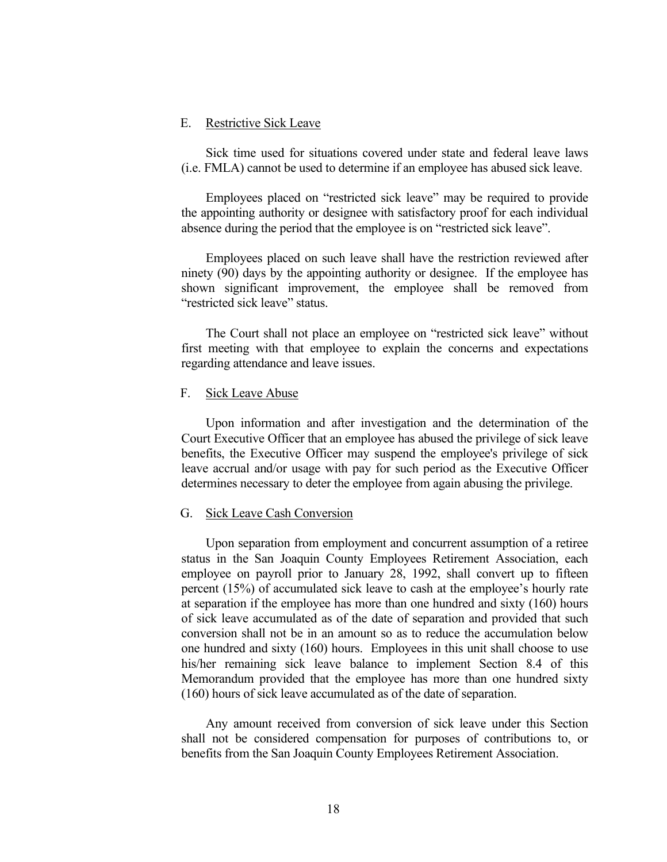#### <span id="page-23-0"></span>E. Restrictive Sick Leave

Sick time used for situations covered under state and federal leave laws (i.e. FMLA) cannot be used to determine if an employee has abused sick leave.

Employees placed on "restricted sick leave" may be required to provide the appointing authority or designee with satisfactory proof for each individual absence during the period that the employee is on "restricted sick leave".

Employees placed on such leave shall have the restriction reviewed after ninety (90) days by the appointing authority or designee. If the employee has shown significant improvement, the employee shall be removed from "restricted sick leave" status.

The Court shall not place an employee on "restricted sick leave" without first meeting with that employee to explain the concerns and expectations regarding attendance and leave issues.

#### <span id="page-23-1"></span>F. Sick Leave Abuse

Upon information and after investigation and the determination of the Court Executive Officer that an employee has abused the privilege of sick leave benefits, the Executive Officer may suspend the employee's privilege of sick leave accrual and/or usage with pay for such period as the Executive Officer determines necessary to deter the employee from again abusing the privilege.

#### <span id="page-23-2"></span>G. Sick Leave Cash Conversion

Upon separation from employment and concurrent assumption of a retiree status in the San Joaquin County Employees Retirement Association, each employee on payroll prior to January 28, 1992, shall convert up to fifteen percent (15%) of accumulated sick leave to cash at the employee's hourly rate at separation if the employee has more than one hundred and sixty (160) hours of sick leave accumulated as of the date of separation and provided that such conversion shall not be in an amount so as to reduce the accumulation below one hundred and sixty (160) hours. Employees in this unit shall choose to use his/her remaining sick leave balance to implement Section 8.4 of this Memorandum provided that the employee has more than one hundred sixty (160) hours of sick leave accumulated as of the date of separation.

Any amount received from conversion of sick leave under this Section shall not be considered compensation for purposes of contributions to, or benefits from the San Joaquin County Employees Retirement Association.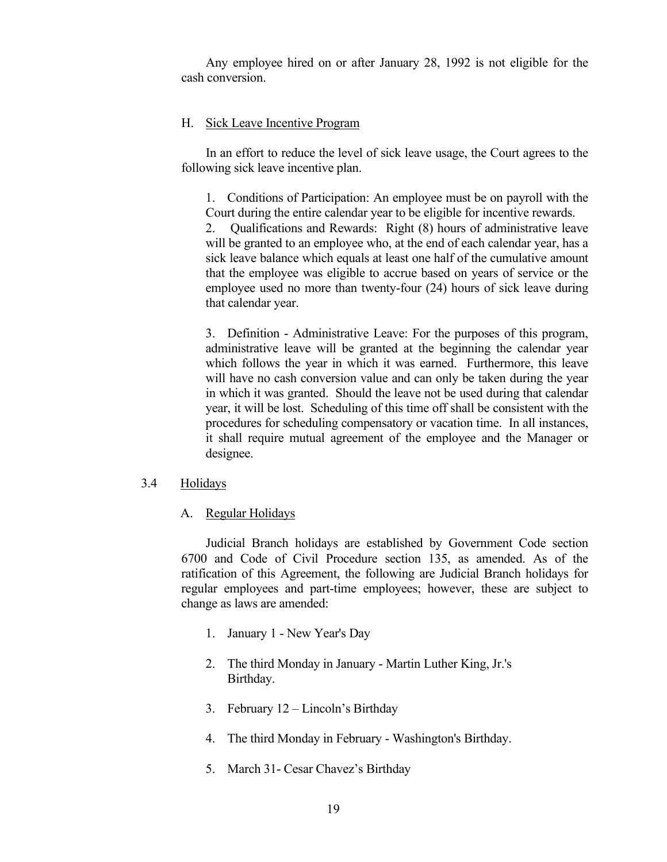Any employee hired on or after January 28, 1992 is not eligible for the cash conversion.

## <span id="page-24-0"></span>H. Sick Leave Incentive Program

In an effort to reduce the level of sick leave usage, the Court agrees to the following sick leave incentive plan.

1. Conditions of Participation: An employee must be on payroll with the Court during the entire calendar year to be eligible for incentive rewards.

 2. Qualifications and Rewards: Right (8) hours of administrative leave will be granted to an employee who, at the end of each calendar year, has a sick leave balance which equals at least one half of the cumulative amount that the employee was eligible to accrue based on years of service or the employee used no more than twenty-four (24) hours of sick leave during that calendar year.

3. Definition - Administrative Leave: For the purposes of this program, administrative leave will be granted at the beginning the calendar year which follows the year in which it was earned. Furthermore, this leave will have no cash conversion value and can only be taken during the year in which it was granted. Should the leave not be used during that calendar year, it will be lost. Scheduling of this time off shall be consistent with the procedures for scheduling compensatory or vacation time. In all instances, it shall require mutual agreement of the employee and the Manager or designee.

#### <span id="page-24-2"></span><span id="page-24-1"></span>3.4 Holidays

#### A. Regular Holidays

Judicial Branch holidays are established by Government Code section 6700 and Code of Civil Procedure section 135, as amended. As of the ratification of this Agreement, the following are Judicial Branch holidays for regular employees and part-time employees; however, these are subject to change as laws are amended:

- 1. January 1 New Year's Day
- 2. The third Monday in January Martin Luther King, Jr.'s Birthday.
- 3. February 12 Lincoln's Birthday
- 4. The third Monday in February Washington's Birthday.
- 5. March 31- Cesar Chavez's Birthday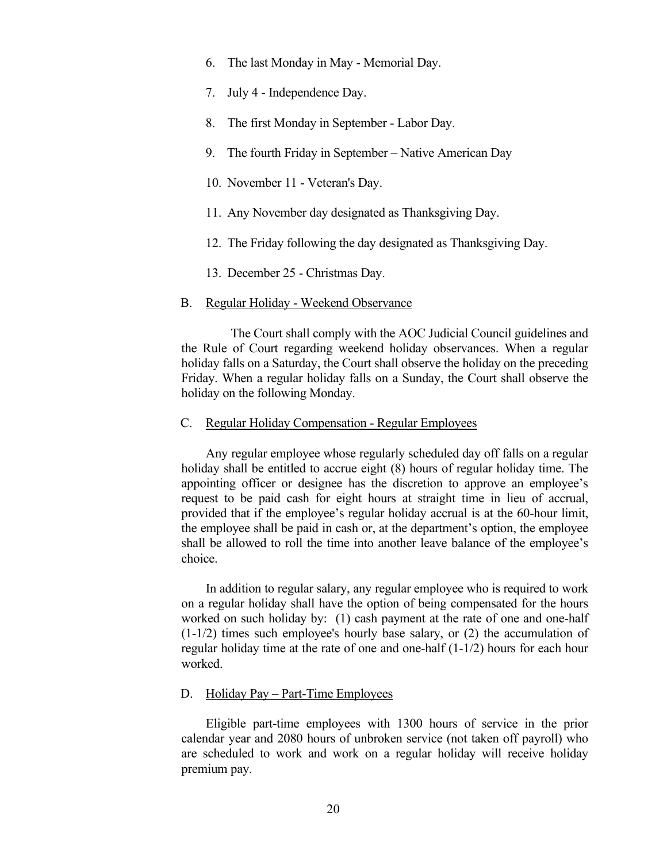- 6. The last Monday in May Memorial Day.
- 7. July 4 Independence Day.
- 8. The first Monday in September Labor Day.
- 9. The fourth Friday in September Native American Day
- 10. November 11 Veteran's Day.
- 11. Any November day designated as Thanksgiving Day.
- 12. The Friday following the day designated as Thanksgiving Day.
- 13. December 25 Christmas Day.

#### <span id="page-25-0"></span>B. Regular Holiday - Weekend Observance

 The Court shall comply with the AOC Judicial Council guidelines and the Rule of Court regarding weekend holiday observances. When a regular holiday falls on a Saturday, the Court shall observe the holiday on the preceding Friday. When a regular holiday falls on a Sunday, the Court shall observe the holiday on the following Monday.

#### <span id="page-25-1"></span>C. Regular Holiday Compensation - Regular Employees

Any regular employee whose regularly scheduled day off falls on a regular holiday shall be entitled to accrue eight (8) hours of regular holiday time. The appointing officer or designee has the discretion to approve an employee's request to be paid cash for eight hours at straight time in lieu of accrual, provided that if the employee's regular holiday accrual is at the 60-hour limit, the employee shall be paid in cash or, at the department's option, the employee shall be allowed to roll the time into another leave balance of the employee's choice.

In addition to regular salary, any regular employee who is required to work on a regular holiday shall have the option of being compensated for the hours worked on such holiday by: (1) cash payment at the rate of one and one-half  $(1-1/2)$  times such employee's hourly base salary, or (2) the accumulation of regular holiday time at the rate of one and one-half (1-1/2) hours for each hour worked.

## <span id="page-25-2"></span>D. Holiday Pay – Part-Time Employees

Eligible part-time employees with 1300 hours of service in the prior calendar year and 2080 hours of unbroken service (not taken off payroll) who are scheduled to work and work on a regular holiday will receive holiday premium pay.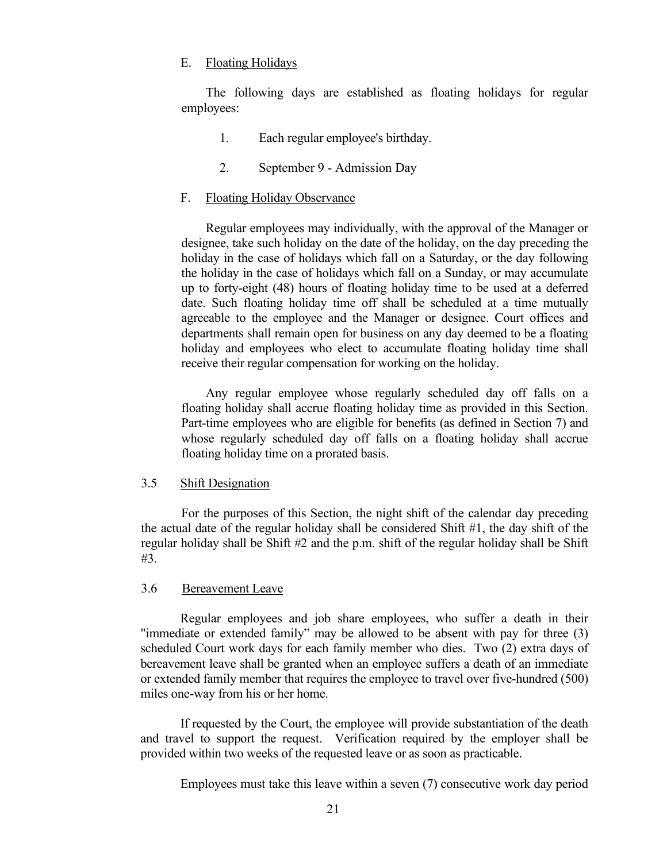## <span id="page-26-0"></span>E. Floating Holidays

The following days are established as floating holidays for regular employees:

- 1. Each regular employee's birthday.
- 2. September 9 Admission Day

## <span id="page-26-1"></span>F. Floating Holiday Observance

Regular employees may individually, with the approval of the Manager or designee, take such holiday on the date of the holiday, on the day preceding the holiday in the case of holidays which fall on a Saturday, or the day following the holiday in the case of holidays which fall on a Sunday, or may accumulate up to forty-eight (48) hours of floating holiday time to be used at a deferred date. Such floating holiday time off shall be scheduled at a time mutually agreeable to the employee and the Manager or designee. Court offices and departments shall remain open for business on any day deemed to be a floating holiday and employees who elect to accumulate floating holiday time shall receive their regular compensation for working on the holiday.

Any regular employee whose regularly scheduled day off falls on a floating holiday shall accrue floating holiday time as provided in this Section. Part-time employees who are eligible for benefits (as defined in Section 7) and whose regularly scheduled day off falls on a floating holiday shall accrue floating holiday time on a prorated basis.

## <span id="page-26-2"></span>3.5 Shift Designation

For the purposes of this Section, the night shift of the calendar day preceding the actual date of the regular holiday shall be considered Shift #1, the day shift of the regular holiday shall be Shift  $#2$  and the p.m. shift of the regular holiday shall be Shift #3.

## <span id="page-26-3"></span>3.6 Bereavement Leave

Regular employees and job share employees, who suffer a death in their "immediate or extended family" may be allowed to be absent with pay for three (3) scheduled Court work days for each family member who dies. Two (2) extra days of bereavement leave shall be granted when an employee suffers a death of an immediate or extended family member that requires the employee to travel over five-hundred (500) miles one-way from his or her home.

If requested by the Court, the employee will provide substantiation of the death and travel to support the request. Verification required by the employer shall be provided within two weeks of the requested leave or as soon as practicable.

Employees must take this leave within a seven (7) consecutive work day period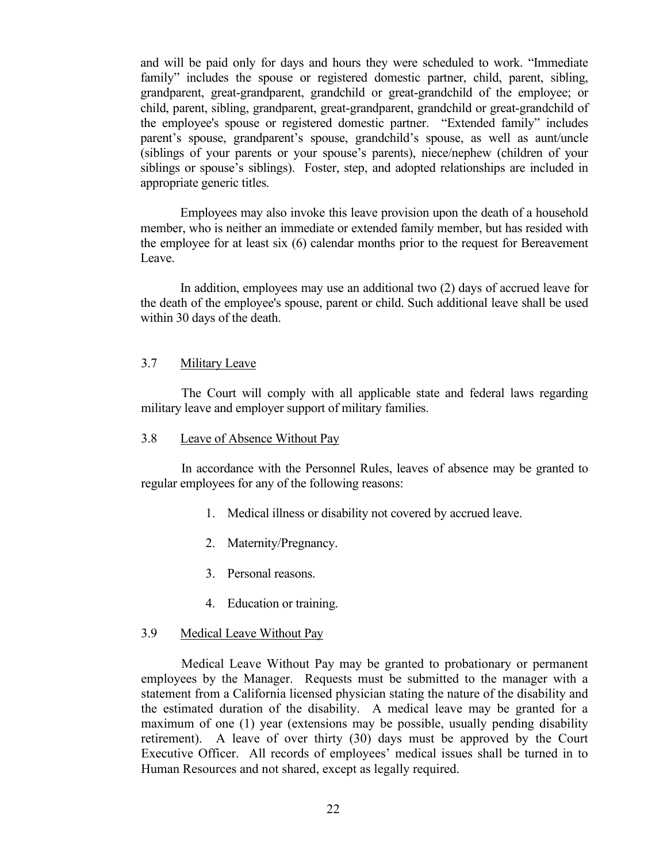and will be paid only for days and hours they were scheduled to work. "Immediate family" includes the spouse or registered domestic partner, child, parent, sibling, grandparent, great-grandparent, grandchild or great-grandchild of the employee; or child, parent, sibling, grandparent, great-grandparent, grandchild or great-grandchild of the employee's spouse or registered domestic partner. "Extended family" includes parent's spouse, grandparent's spouse, grandchild's spouse, as well as aunt/uncle (siblings of your parents or your spouse's parents), niece/nephew (children of your siblings or spouse's siblings). Foster, step, and adopted relationships are included in appropriate generic titles.

Employees may also invoke this leave provision upon the death of a household member, who is neither an immediate or extended family member, but has resided with the employee for at least six (6) calendar months prior to the request for Bereavement Leave.

In addition, employees may use an additional two (2) days of accrued leave for the death of the employee's spouse, parent or child. Such additional leave shall be used within 30 days of the death.

#### <span id="page-27-0"></span>3.7 Military Leave

The Court will comply with all applicable state and federal laws regarding military leave and employer support of military families.

## <span id="page-27-1"></span>3.8 Leave of Absence Without Pay

In accordance with the Personnel Rules, leaves of absence may be granted to regular employees for any of the following reasons:

- 1. Medical illness or disability not covered by accrued leave.
- 2. Maternity/Pregnancy.
- 3. Personal reasons.
- 4. Education or training.

#### <span id="page-27-2"></span>3.9 Medical Leave Without Pay

Medical Leave Without Pay may be granted to probationary or permanent employees by the Manager. Requests must be submitted to the manager with a statement from a California licensed physician stating the nature of the disability and the estimated duration of the disability. A medical leave may be granted for a maximum of one (1) year (extensions may be possible, usually pending disability retirement). A leave of over thirty (30) days must be approved by the Court Executive Officer. All records of employees' medical issues shall be turned in to Human Resources and not shared, except as legally required.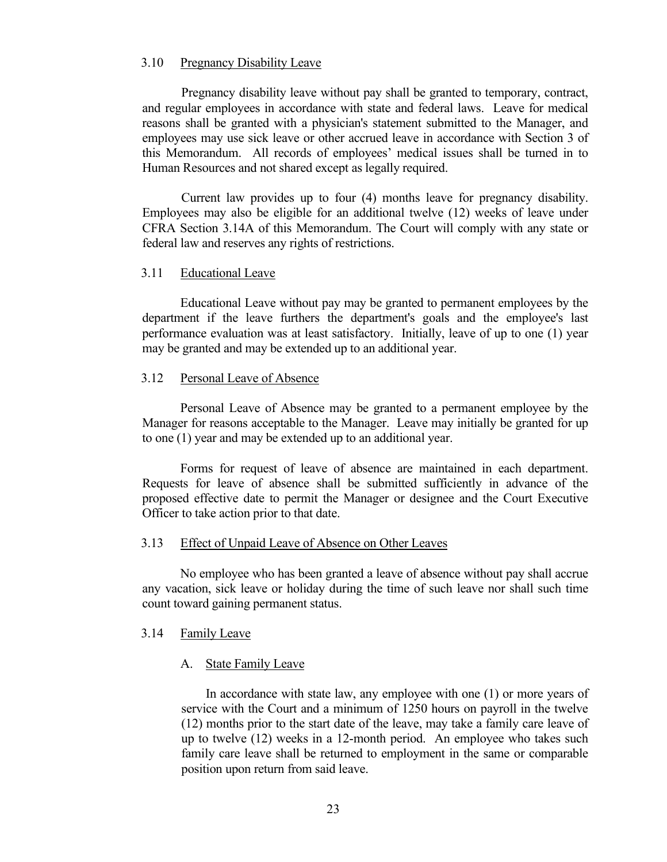## <span id="page-28-0"></span>3.10 Pregnancy Disability Leave

Pregnancy disability leave without pay shall be granted to temporary, contract, and regular employees in accordance with state and federal laws. Leave for medical reasons shall be granted with a physician's statement submitted to the Manager, and employees may use sick leave or other accrued leave in accordance with Section 3 of this Memorandum. All records of employees' medical issues shall be turned in to Human Resources and not shared except as legally required.

Current law provides up to four (4) months leave for pregnancy disability. Employees may also be eligible for an additional twelve (12) weeks of leave under CFRA Section 3.14A of this Memorandum. The Court will comply with any state or federal law and reserves any rights of restrictions.

#### <span id="page-28-1"></span>3.11 Educational Leave

Educational Leave without pay may be granted to permanent employees by the department if the leave furthers the department's goals and the employee's last performance evaluation was at least satisfactory. Initially, leave of up to one (1) year may be granted and may be extended up to an additional year.

## <span id="page-28-2"></span>3.12 Personal Leave of Absence

Personal Leave of Absence may be granted to a permanent employee by the Manager for reasons acceptable to the Manager. Leave may initially be granted for up to one (1) year and may be extended up to an additional year.

Forms for request of leave of absence are maintained in each department. Requests for leave of absence shall be submitted sufficiently in advance of the proposed effective date to permit the Manager or designee and the Court Executive Officer to take action prior to that date.

#### <span id="page-28-3"></span>3.13 Effect of Unpaid Leave of Absence on Other Leaves

No employee who has been granted a leave of absence without pay shall accrue any vacation, sick leave or holiday during the time of such leave nor shall such time count toward gaining permanent status.

#### <span id="page-28-5"></span><span id="page-28-4"></span>3.14 Family Leave

#### A. State Family Leave

In accordance with state law, any employee with one (1) or more years of service with the Court and a minimum of 1250 hours on payroll in the twelve (12) months prior to the start date of the leave, may take a family care leave of up to twelve (12) weeks in a 12-month period. An employee who takes such family care leave shall be returned to employment in the same or comparable position upon return from said leave.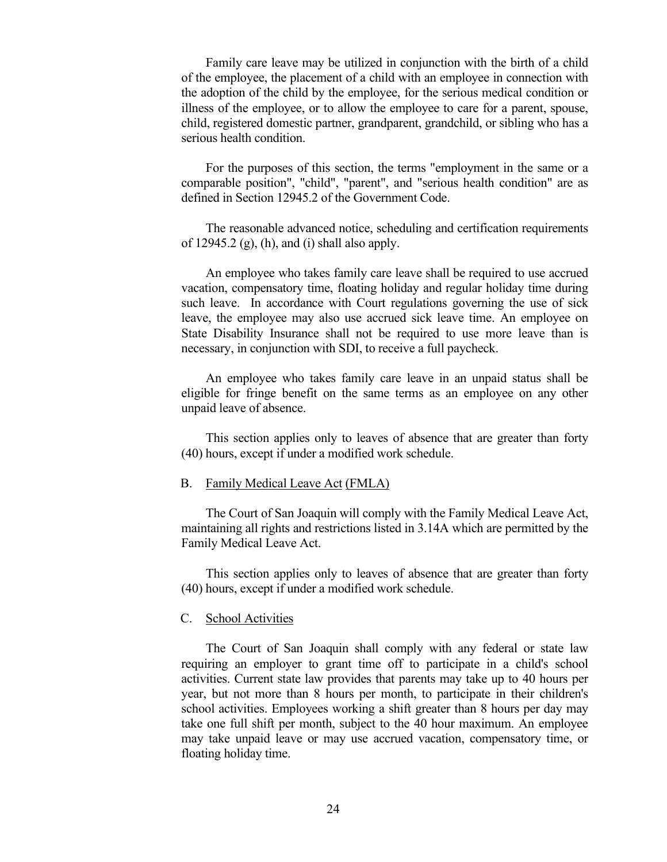Family care leave may be utilized in conjunction with the birth of a child of the employee, the placement of a child with an employee in connection with the adoption of the child by the employee, for the serious medical condition or illness of the employee, or to allow the employee to care for a parent, spouse, child, registered domestic partner, grandparent, grandchild, or sibling who has a serious health condition.

For the purposes of this section, the terms "employment in the same or a comparable position", "child", "parent", and "serious health condition" are as defined in Section 12945.2 of the Government Code.

The reasonable advanced notice, scheduling and certification requirements of 12945.2  $(g)$ ,  $(h)$ , and  $(i)$  shall also apply.

An employee who takes family care leave shall be required to use accrued vacation, compensatory time, floating holiday and regular holiday time during such leave. In accordance with Court regulations governing the use of sick leave, the employee may also use accrued sick leave time. An employee on State Disability Insurance shall not be required to use more leave than is necessary, in conjunction with SDI, to receive a full paycheck.

An employee who takes family care leave in an unpaid status shall be eligible for fringe benefit on the same terms as an employee on any other unpaid leave of absence.

This section applies only to leaves of absence that are greater than forty (40) hours, except if under a modified work schedule.

#### <span id="page-29-0"></span>B. Family Medical Leave Act (FMLA)

The Court of San Joaquin will comply with the Family Medical Leave Act, maintaining all rights and restrictions listed in 3.14A which are permitted by the Family Medical Leave Act.

This section applies only to leaves of absence that are greater than forty (40) hours, except if under a modified work schedule.

#### <span id="page-29-1"></span>C. School Activities

The Court of San Joaquin shall comply with any federal or state law requiring an employer to grant time off to participate in a child's school activities. Current state law provides that parents may take up to 40 hours per year, but not more than 8 hours per month, to participate in their children's school activities. Employees working a shift greater than 8 hours per day may take one full shift per month, subject to the 40 hour maximum. An employee may take unpaid leave or may use accrued vacation, compensatory time, or floating holiday time.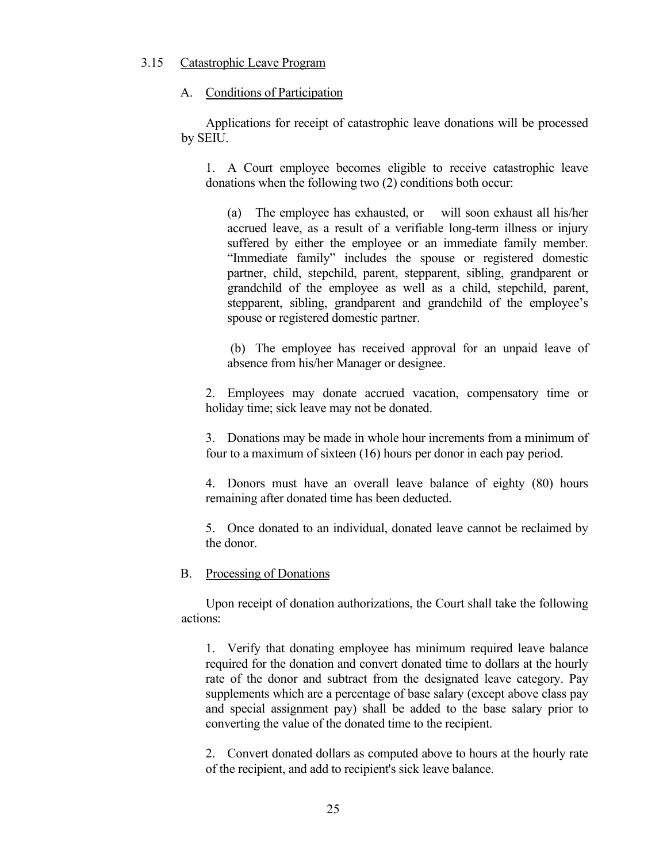## <span id="page-30-0"></span>3.15 Catastrophic Leave Program

## <span id="page-30-1"></span>A. Conditions of Participation

Applications for receipt of catastrophic leave donations will be processed by SEIU.

1. A Court employee becomes eligible to receive catastrophic leave donations when the following two (2) conditions both occur:

(a) The employee has exhausted, or will soon exhaust all his/her accrued leave, as a result of a verifiable long-term illness or injury suffered by either the employee or an immediate family member. "Immediate family" includes the spouse or registered domestic partner, child, stepchild, parent, stepparent, sibling, grandparent or grandchild of the employee as well as a child, stepchild, parent, stepparent, sibling, grandparent and grandchild of the employee's spouse or registered domestic partner.

(b) The employee has received approval for an unpaid leave of absence from his/her Manager or designee.

2. Employees may donate accrued vacation, compensatory time or holiday time; sick leave may not be donated.

3. Donations may be made in whole hour increments from a minimum of four to a maximum of sixteen (16) hours per donor in each pay period.

4. Donors must have an overall leave balance of eighty (80) hours remaining after donated time has been deducted.

5. Once donated to an individual, donated leave cannot be reclaimed by the donor.

## <span id="page-30-2"></span>B. Processing of Donations

Upon receipt of donation authorizations, the Court shall take the following actions:

1. Verify that donating employee has minimum required leave balance required for the donation and convert donated time to dollars at the hourly rate of the donor and subtract from the designated leave category. Pay supplements which are a percentage of base salary (except above class pay and special assignment pay) shall be added to the base salary prior to converting the value of the donated time to the recipient.

2. Convert donated dollars as computed above to hours at the hourly rate of the recipient, and add to recipient's sick leave balance.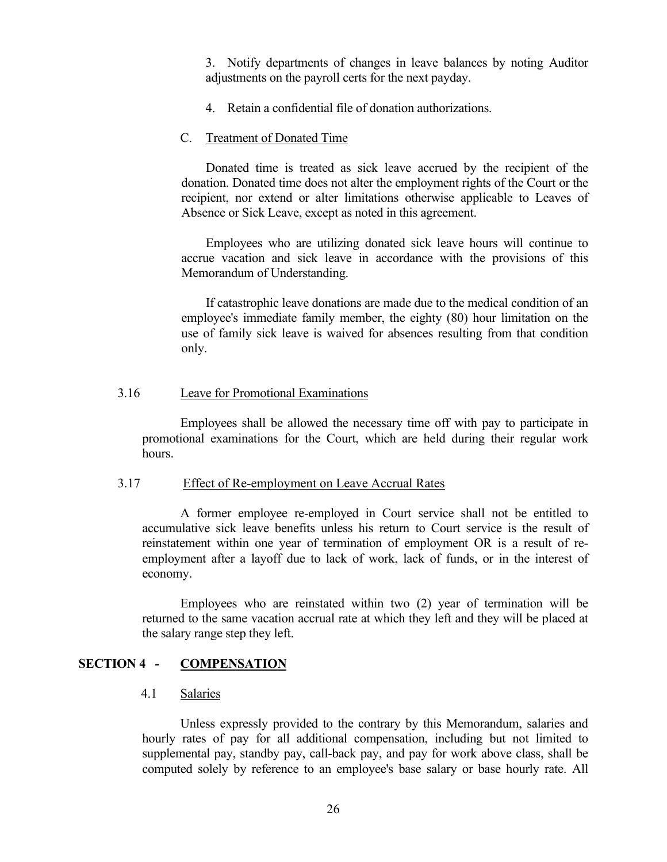3. Notify departments of changes in leave balances by noting Auditor adjustments on the payroll certs for the next payday.

4. Retain a confidential file of donation authorizations.

## <span id="page-31-0"></span>C. Treatment of Donated Time

Donated time is treated as sick leave accrued by the recipient of the donation. Donated time does not alter the employment rights of the Court or the recipient, nor extend or alter limitations otherwise applicable to Leaves of Absence or Sick Leave, except as noted in this agreement.

Employees who are utilizing donated sick leave hours will continue to accrue vacation and sick leave in accordance with the provisions of this Memorandum of Understanding.

If catastrophic leave donations are made due to the medical condition of an employee's immediate family member, the eighty (80) hour limitation on the use of family sick leave is waived for absences resulting from that condition only.

#### <span id="page-31-1"></span>3.16 Leave for Promotional Examinations

Employees shall be allowed the necessary time off with pay to participate in promotional examinations for the Court, which are held during their regular work hours.

## <span id="page-31-2"></span>3.17 Effect of Re-employment on Leave Accrual Rates

A former employee re-employed in Court service shall not be entitled to accumulative sick leave benefits unless his return to Court service is the result of reinstatement within one year of termination of employment OR is a result of reemployment after a layoff due to lack of work, lack of funds, or in the interest of economy.

Employees who are reinstated within two (2) year of termination will be returned to the same vacation accrual rate at which they left and they will be placed at the salary range step they left.

# <span id="page-31-3"></span>**SECTION 4 - COMPENSATION**

## <span id="page-31-4"></span>4.1 Salaries

Unless expressly provided to the contrary by this Memorandum, salaries and hourly rates of pay for all additional compensation, including but not limited to supplemental pay, standby pay, call-back pay, and pay for work above class, shall be computed solely by reference to an employee's base salary or base hourly rate. All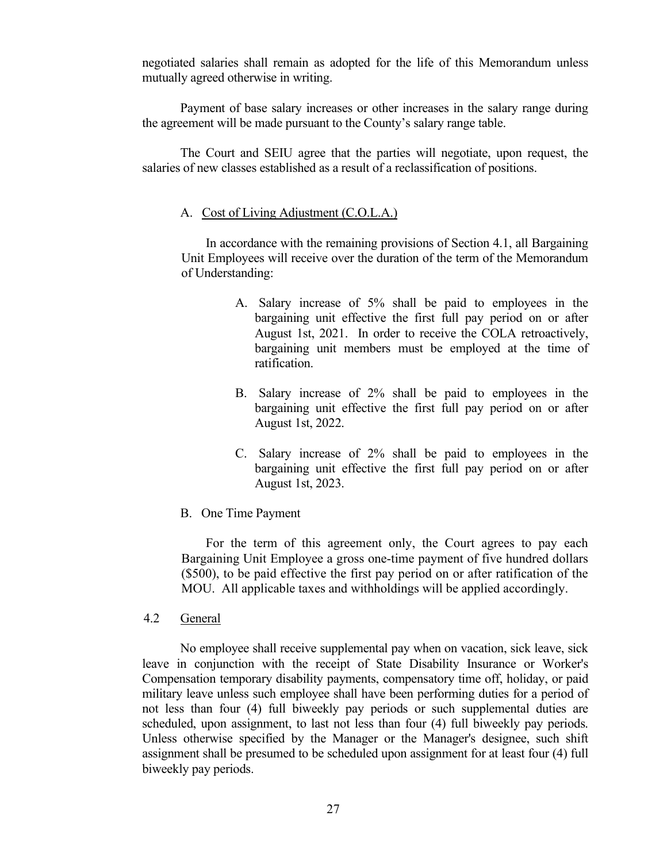negotiated salaries shall remain as adopted for the life of this Memorandum unless mutually agreed otherwise in writing.

Payment of base salary increases or other increases in the salary range during the agreement will be made pursuant to the County's salary range table.

The Court and SEIU agree that the parties will negotiate, upon request, the salaries of new classes established as a result of a reclassification of positions.

## <span id="page-32-0"></span>A. Cost of Living Adjustment (C.O.L.A.)

In accordance with the remaining provisions of Section 4.1, all Bargaining Unit Employees will receive over the duration of the term of the Memorandum of Understanding:

- A. Salary increase of 5% shall be paid to employees in the bargaining unit effective the first full pay period on or after August 1st, 2021. In order to receive the COLA retroactively, bargaining unit members must be employed at the time of ratification.
- B. Salary increase of 2% shall be paid to employees in the bargaining unit effective the first full pay period on or after August 1st, 2022.
- C. Salary increase of 2% shall be paid to employees in the bargaining unit effective the first full pay period on or after August 1st, 2023.
- <span id="page-32-1"></span>B. One Time Payment

 For the term of this agreement only, the Court agrees to pay each Bargaining Unit Employee a gross one-time payment of five hundred dollars (\$500), to be paid effective the first pay period on or after ratification of the MOU. All applicable taxes and withholdings will be applied accordingly.

<span id="page-32-2"></span>4.2 General

No employee shall receive supplemental pay when on vacation, sick leave, sick leave in conjunction with the receipt of State Disability Insurance or Worker's Compensation temporary disability payments, compensatory time off, holiday, or paid military leave unless such employee shall have been performing duties for a period of not less than four (4) full biweekly pay periods or such supplemental duties are scheduled, upon assignment, to last not less than four (4) full biweekly pay periods. Unless otherwise specified by the Manager or the Manager's designee, such shift assignment shall be presumed to be scheduled upon assignment for at least four (4) full biweekly pay periods.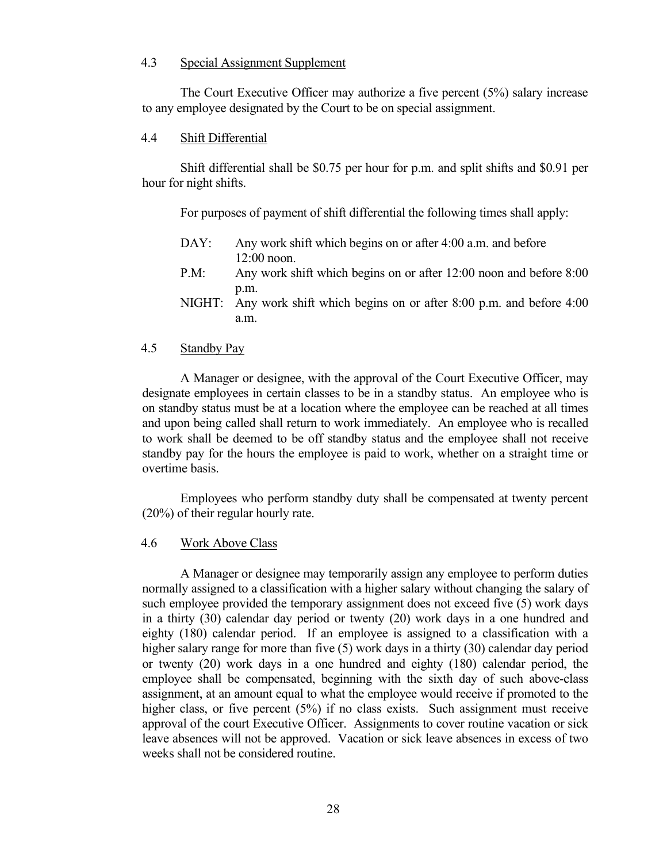# <span id="page-33-0"></span>4.3 Special Assignment Supplement

The Court Executive Officer may authorize a five percent (5%) salary increase to any employee designated by the Court to be on special assignment.

# <span id="page-33-1"></span>4.4 Shift Differential

Shift differential shall be \$0.75 per hour for p.m. and split shifts and \$0.91 per hour for night shifts.

For purposes of payment of shift differential the following times shall apply:

- DAY: Any work shift which begins on or after 4:00 a.m. and before 12:00 noon.
- P.M: Any work shift which begins on or after 12:00 noon and before 8:00 p.m.
- NIGHT: Any work shift which begins on or after 8:00 p.m. and before 4:00 a.m.

## <span id="page-33-2"></span>4.5 Standby Pay

A Manager or designee, with the approval of the Court Executive Officer, may designate employees in certain classes to be in a standby status. An employee who is on standby status must be at a location where the employee can be reached at all times and upon being called shall return to work immediately. An employee who is recalled to work shall be deemed to be off standby status and the employee shall not receive standby pay for the hours the employee is paid to work, whether on a straight time or overtime basis.

Employees who perform standby duty shall be compensated at twenty percent (20%) of their regular hourly rate.

# <span id="page-33-3"></span>4.6 Work Above Class

A Manager or designee may temporarily assign any employee to perform duties normally assigned to a classification with a higher salary without changing the salary of such employee provided the temporary assignment does not exceed five (5) work days in a thirty (30) calendar day period or twenty (20) work days in a one hundred and eighty (180) calendar period. If an employee is assigned to a classification with a higher salary range for more than five (5) work days in a thirty (30) calendar day period or twenty (20) work days in a one hundred and eighty (180) calendar period, the employee shall be compensated, beginning with the sixth day of such above-class assignment, at an amount equal to what the employee would receive if promoted to the higher class, or five percent (5%) if no class exists. Such assignment must receive approval of the court Executive Officer. Assignments to cover routine vacation or sick leave absences will not be approved. Vacation or sick leave absences in excess of two weeks shall not be considered routine.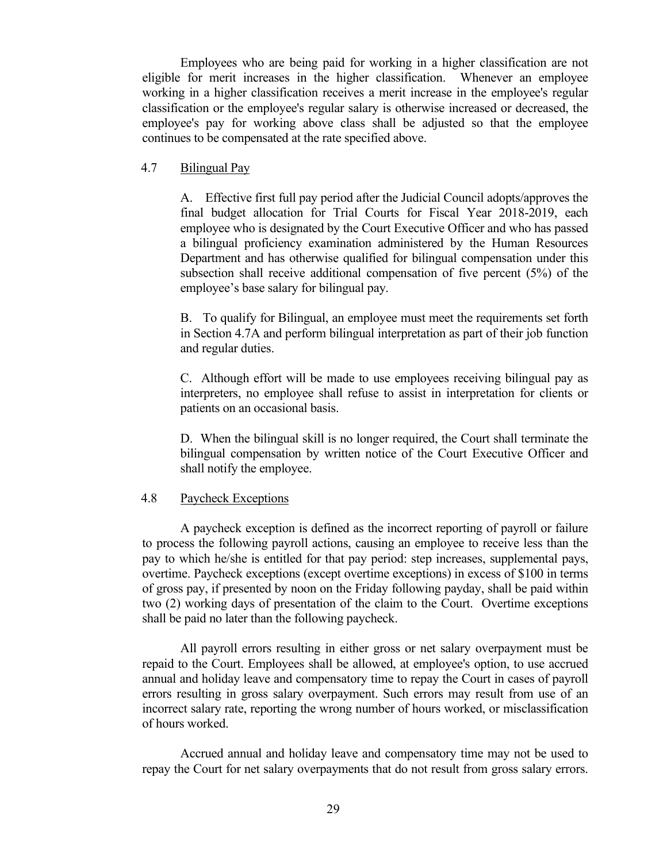Employees who are being paid for working in a higher classification are not eligible for merit increases in the higher classification. Whenever an employee working in a higher classification receives a merit increase in the employee's regular classification or the employee's regular salary is otherwise increased or decreased, the employee's pay for working above class shall be adjusted so that the employee continues to be compensated at the rate specified above.

## <span id="page-34-0"></span>4.7 Bilingual Pay

A. Effective first full pay period after the Judicial Council adopts/approves the final budget allocation for Trial Courts for Fiscal Year 2018-2019, each employee who is designated by the Court Executive Officer and who has passed a bilingual proficiency examination administered by the Human Resources Department and has otherwise qualified for bilingual compensation under this subsection shall receive additional compensation of five percent (5%) of the employee's base salary for bilingual pay.

B. To qualify for Bilingual, an employee must meet the requirements set forth in Section 4.7A and perform bilingual interpretation as part of their job function and regular duties.

C. Although effort will be made to use employees receiving bilingual pay as interpreters, no employee shall refuse to assist in interpretation for clients or patients on an occasional basis.

D. When the bilingual skill is no longer required, the Court shall terminate the bilingual compensation by written notice of the Court Executive Officer and shall notify the employee.

# <span id="page-34-1"></span>4.8 Paycheck Exceptions

A paycheck exception is defined as the incorrect reporting of payroll or failure to process the following payroll actions, causing an employee to receive less than the pay to which he/she is entitled for that pay period: step increases, supplemental pays, overtime. Paycheck exceptions (except overtime exceptions) in excess of \$100 in terms of gross pay, if presented by noon on the Friday following payday, shall be paid within two (2) working days of presentation of the claim to the Court. Overtime exceptions shall be paid no later than the following paycheck.

All payroll errors resulting in either gross or net salary overpayment must be repaid to the Court. Employees shall be allowed, at employee's option, to use accrued annual and holiday leave and compensatory time to repay the Court in cases of payroll errors resulting in gross salary overpayment. Such errors may result from use of an incorrect salary rate, reporting the wrong number of hours worked, or misclassification of hours worked.

Accrued annual and holiday leave and compensatory time may not be used to repay the Court for net salary overpayments that do not result from gross salary errors.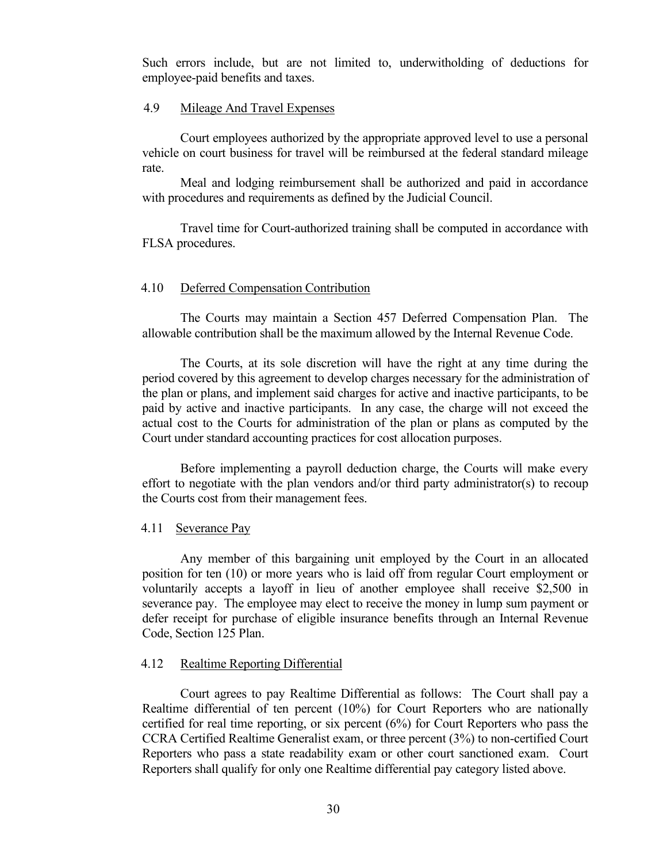Such errors include, but are not limited to, underwitholding of deductions for employee-paid benefits and taxes.

# <span id="page-35-0"></span>4.9 Mileage And Travel Expenses

Court employees authorized by the appropriate approved level to use a personal vehicle on court business for travel will be reimbursed at the federal standard mileage rate.

Meal and lodging reimbursement shall be authorized and paid in accordance with procedures and requirements as defined by the Judicial Council.

Travel time for Court-authorized training shall be computed in accordance with FLSA procedures.

## <span id="page-35-1"></span>4.10 Deferred Compensation Contribution

The Courts may maintain a Section 457 Deferred Compensation Plan. The allowable contribution shall be the maximum allowed by the Internal Revenue Code.

The Courts, at its sole discretion will have the right at any time during the period covered by this agreement to develop charges necessary for the administration of the plan or plans, and implement said charges for active and inactive participants, to be paid by active and inactive participants. In any case, the charge will not exceed the actual cost to the Courts for administration of the plan or plans as computed by the Court under standard accounting practices for cost allocation purposes.

Before implementing a payroll deduction charge, the Courts will make every effort to negotiate with the plan vendors and/or third party administrator(s) to recoup the Courts cost from their management fees.

#### <span id="page-35-2"></span>4.11 Severance Pay

Any member of this bargaining unit employed by the Court in an allocated position for ten (10) or more years who is laid off from regular Court employment or voluntarily accepts a layoff in lieu of another employee shall receive \$2,500 in severance pay. The employee may elect to receive the money in lump sum payment or defer receipt for purchase of eligible insurance benefits through an Internal Revenue Code, Section 125 Plan.

## <span id="page-35-3"></span>4.12 Realtime Reporting Differential

Court agrees to pay Realtime Differential as follows: The Court shall pay a Realtime differential of ten percent (10%) for Court Reporters who are nationally certified for real time reporting, or six percent (6%) for Court Reporters who pass the CCRA Certified Realtime Generalist exam, or three percent (3%) to non-certified Court Reporters who pass a state readability exam or other court sanctioned exam. Court Reporters shall qualify for only one Realtime differential pay category listed above.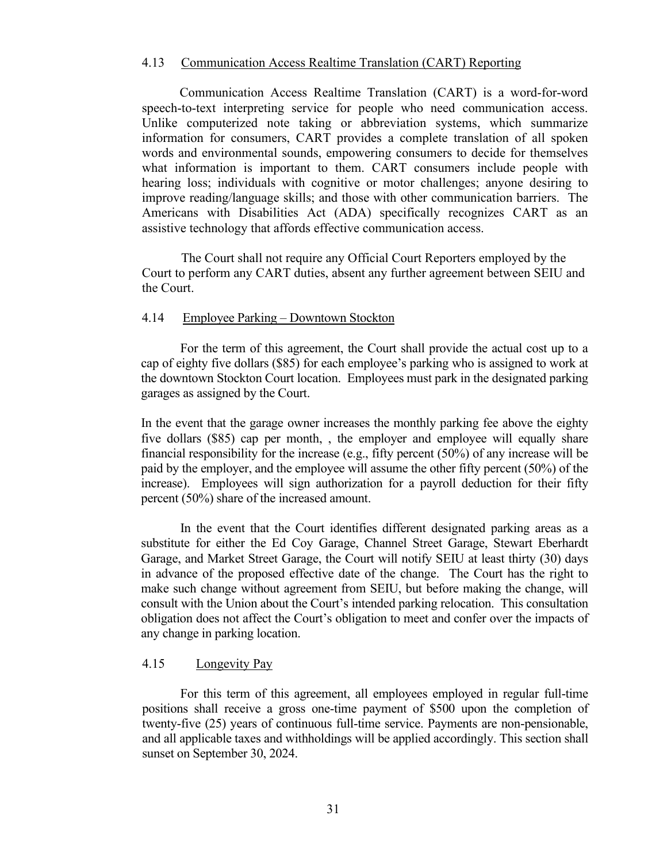## <span id="page-36-0"></span>4.13 Communication Access Realtime Translation (CART) Reporting

 Communication Access Realtime Translation (CART) is a word-for-word speech-to-text interpreting service for people who need communication access. Unlike computerized note taking or abbreviation systems, which summarize information for consumers, CART provides a complete translation of all spoken words and environmental sounds, empowering consumers to decide for themselves what information is important to them. CART consumers include people with hearing loss; individuals with cognitive or motor challenges; anyone desiring to improve reading/language skills; and those with other communication barriers. The Americans with Disabilities Act (ADA) specifically recognizes CART as an assistive technology that affords effective communication access.

The Court shall not require any Official Court Reporters employed by the Court to perform any CART duties, absent any further agreement between SEIU and the Court.

## <span id="page-36-1"></span>4.14 Employee Parking – Downtown Stockton

For the term of this agreement, the Court shall provide the actual cost up to a cap of eighty five dollars (\$85) for each employee's parking who is assigned to work at the downtown Stockton Court location. Employees must park in the designated parking garages as assigned by the Court.

In the event that the garage owner increases the monthly parking fee above the eighty five dollars (\$85) cap per month, , the employer and employee will equally share financial responsibility for the increase (e.g., fifty percent (50%) of any increase will be paid by the employer, and the employee will assume the other fifty percent (50%) of the increase). Employees will sign authorization for a payroll deduction for their fifty percent (50%) share of the increased amount.

In the event that the Court identifies different designated parking areas as a substitute for either the Ed Coy Garage, Channel Street Garage, Stewart Eberhardt Garage, and Market Street Garage, the Court will notify SEIU at least thirty (30) days in advance of the proposed effective date of the change. The Court has the right to make such change without agreement from SEIU, but before making the change, will consult with the Union about the Court's intended parking relocation. This consultation obligation does not affect the Court's obligation to meet and confer over the impacts of any change in parking location.

## <span id="page-36-2"></span>4.15 Longevity Pay

For this term of this agreement, all employees employed in regular full-time positions shall receive a gross one-time payment of \$500 upon the completion of twenty-five (25) years of continuous full-time service. Payments are non-pensionable, and all applicable taxes and withholdings will be applied accordingly. This section shall sunset on September 30, 2024.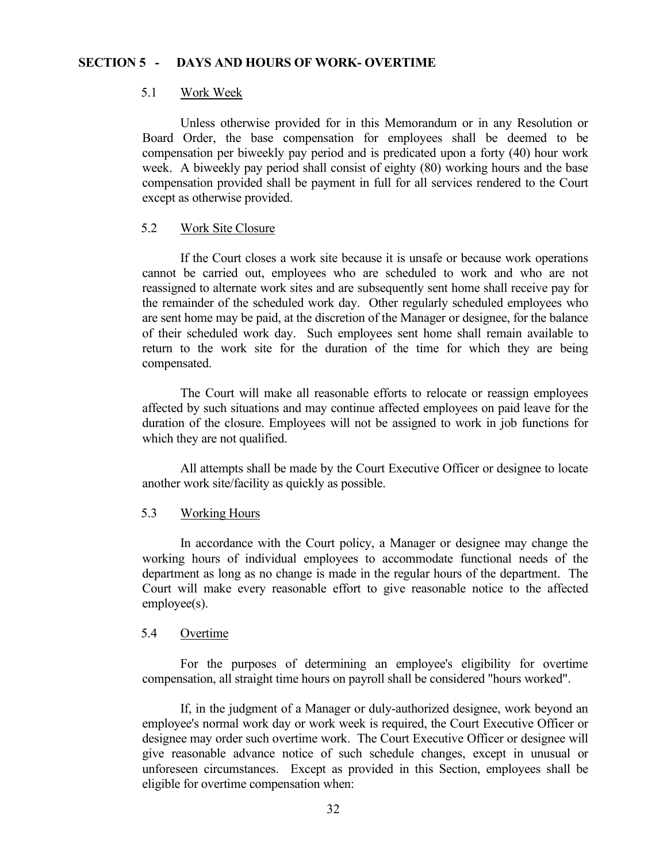## <span id="page-37-0"></span>**SECTION 5 - DAYS AND HOURS OF WORK- OVERTIME**

## <span id="page-37-1"></span>5.1 Work Week

Unless otherwise provided for in this Memorandum or in any Resolution or Board Order, the base compensation for employees shall be deemed to be compensation per biweekly pay period and is predicated upon a forty (40) hour work week. A biweekly pay period shall consist of eighty (80) working hours and the base compensation provided shall be payment in full for all services rendered to the Court except as otherwise provided.

# <span id="page-37-2"></span>5.2 Work Site Closure

If the Court closes a work site because it is unsafe or because work operations cannot be carried out, employees who are scheduled to work and who are not reassigned to alternate work sites and are subsequently sent home shall receive pay for the remainder of the scheduled work day. Other regularly scheduled employees who are sent home may be paid, at the discretion of the Manager or designee, for the balance of their scheduled work day. Such employees sent home shall remain available to return to the work site for the duration of the time for which they are being compensated.

The Court will make all reasonable efforts to relocate or reassign employees affected by such situations and may continue affected employees on paid leave for the duration of the closure. Employees will not be assigned to work in job functions for which they are not qualified.

All attempts shall be made by the Court Executive Officer or designee to locate another work site/facility as quickly as possible.

#### <span id="page-37-3"></span>5.3 Working Hours

In accordance with the Court policy, a Manager or designee may change the working hours of individual employees to accommodate functional needs of the department as long as no change is made in the regular hours of the department. The Court will make every reasonable effort to give reasonable notice to the affected employee(s).

## <span id="page-37-4"></span>5.4 Overtime

For the purposes of determining an employee's eligibility for overtime compensation, all straight time hours on payroll shall be considered "hours worked".

If, in the judgment of a Manager or duly-authorized designee, work beyond an employee's normal work day or work week is required, the Court Executive Officer or designee may order such overtime work. The Court Executive Officer or designee will give reasonable advance notice of such schedule changes, except in unusual or unforeseen circumstances. Except as provided in this Section, employees shall be eligible for overtime compensation when: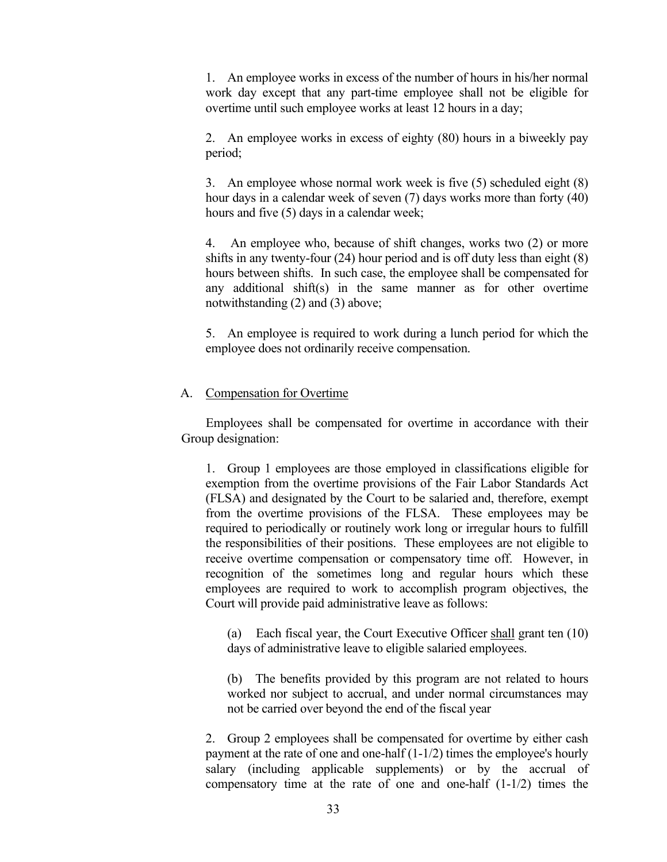1. An employee works in excess of the number of hours in his/her normal work day except that any part-time employee shall not be eligible for overtime until such employee works at least 12 hours in a day;

2. An employee works in excess of eighty (80) hours in a biweekly pay period;

3. An employee whose normal work week is five (5) scheduled eight (8) hour days in a calendar week of seven (7) days works more than forty (40) hours and five (5) days in a calendar week;

4. An employee who, because of shift changes, works two (2) or more shifts in any twenty-four (24) hour period and is off duty less than eight (8) hours between shifts. In such case, the employee shall be compensated for any additional shift(s) in the same manner as for other overtime notwithstanding (2) and (3) above;

5. An employee is required to work during a lunch period for which the employee does not ordinarily receive compensation.

# <span id="page-38-0"></span>A. Compensation for Overtime

Employees shall be compensated for overtime in accordance with their Group designation:

1. Group 1 employees are those employed in classifications eligible for exemption from the overtime provisions of the Fair Labor Standards Act (FLSA) and designated by the Court to be salaried and, therefore, exempt from the overtime provisions of the FLSA. These employees may be required to periodically or routinely work long or irregular hours to fulfill the responsibilities of their positions. These employees are not eligible to receive overtime compensation or compensatory time off. However, in recognition of the sometimes long and regular hours which these employees are required to work to accomplish program objectives, the Court will provide paid administrative leave as follows:

(a) Each fiscal year, the Court Executive Officer shall grant ten (10) days of administrative leave to eligible salaried employees.

(b) The benefits provided by this program are not related to hours worked nor subject to accrual, and under normal circumstances may not be carried over beyond the end of the fiscal year

2. Group 2 employees shall be compensated for overtime by either cash payment at the rate of one and one-half (1-1/2) times the employee's hourly salary (including applicable supplements) or by the accrual of compensatory time at the rate of one and one-half (1-1/2) times the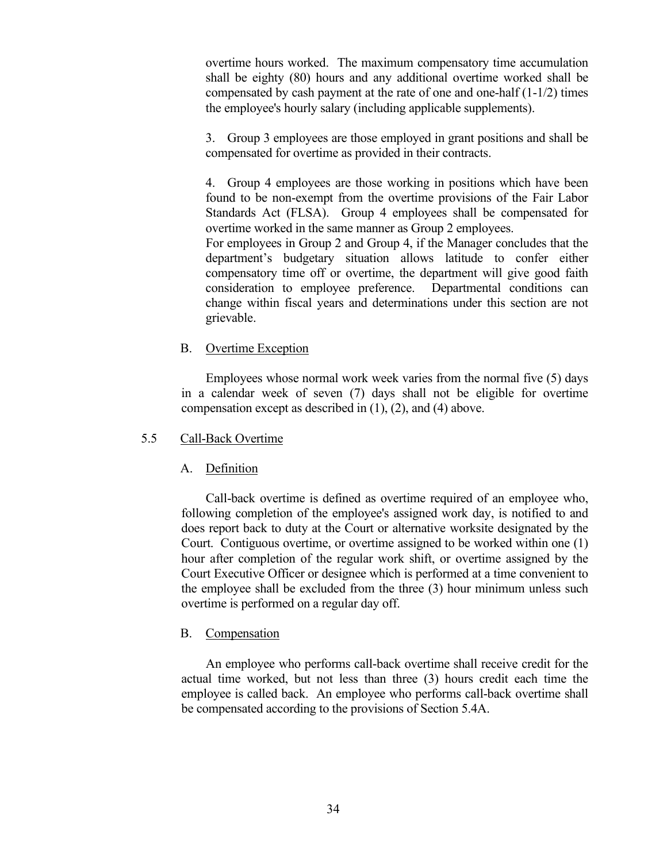overtime hours worked. The maximum compensatory time accumulation shall be eighty (80) hours and any additional overtime worked shall be compensated by cash payment at the rate of one and one-half (1-1/2) times the employee's hourly salary (including applicable supplements).

3. Group 3 employees are those employed in grant positions and shall be compensated for overtime as provided in their contracts.

4. Group 4 employees are those working in positions which have been found to be non-exempt from the overtime provisions of the Fair Labor Standards Act (FLSA). Group 4 employees shall be compensated for overtime worked in the same manner as Group 2 employees.

For employees in Group 2 and Group 4, if the Manager concludes that the department's budgetary situation allows latitude to confer either compensatory time off or overtime, the department will give good faith consideration to employee preference. Departmental conditions can change within fiscal years and determinations under this section are not grievable.

# <span id="page-39-0"></span>B. Overtime Exception

Employees whose normal work week varies from the normal five (5) days in a calendar week of seven (7) days shall not be eligible for overtime compensation except as described in (1), (2), and (4) above.

## <span id="page-39-1"></span>5.5 Call-Back Overtime

# <span id="page-39-2"></span>A. Definition

Call-back overtime is defined as overtime required of an employee who, following completion of the employee's assigned work day, is notified to and does report back to duty at the Court or alternative worksite designated by the Court. Contiguous overtime, or overtime assigned to be worked within one (1) hour after completion of the regular work shift, or overtime assigned by the Court Executive Officer or designee which is performed at a time convenient to the employee shall be excluded from the three (3) hour minimum unless such overtime is performed on a regular day off.

## <span id="page-39-3"></span>B. Compensation

<span id="page-39-4"></span>An employee who performs call-back overtime shall receive credit for the actual time worked, but not less than three (3) hours credit each time the employee is called back. An employee who performs call-back overtime shall be compensated according to the provisions of Section 5.4A.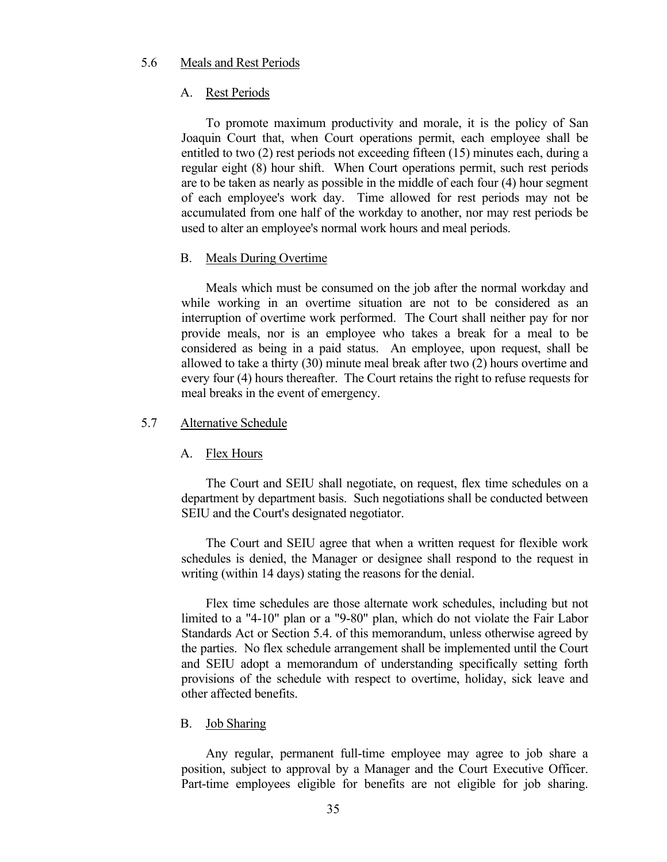## 5.6 Meals and Rest Periods

#### <span id="page-40-0"></span>A. Rest Periods

To promote maximum productivity and morale, it is the policy of San Joaquin Court that, when Court operations permit, each employee shall be entitled to two (2) rest periods not exceeding fifteen (15) minutes each, during a regular eight (8) hour shift. When Court operations permit, such rest periods are to be taken as nearly as possible in the middle of each four (4) hour segment of each employee's work day. Time allowed for rest periods may not be accumulated from one half of the workday to another, nor may rest periods be used to alter an employee's normal work hours and meal periods.

#### <span id="page-40-1"></span>B. Meals During Overtime

Meals which must be consumed on the job after the normal workday and while working in an overtime situation are not to be considered as an interruption of overtime work performed. The Court shall neither pay for nor provide meals, nor is an employee who takes a break for a meal to be considered as being in a paid status. An employee, upon request, shall be allowed to take a thirty (30) minute meal break after two (2) hours overtime and every four (4) hours thereafter. The Court retains the right to refuse requests for meal breaks in the event of emergency.

#### <span id="page-40-2"></span>5.7 Alternative Schedule

#### <span id="page-40-3"></span>A. Flex Hours

The Court and SEIU shall negotiate, on request, flex time schedules on a department by department basis. Such negotiations shall be conducted between SEIU and the Court's designated negotiator.

The Court and SEIU agree that when a written request for flexible work schedules is denied, the Manager or designee shall respond to the request in writing (within 14 days) stating the reasons for the denial.

Flex time schedules are those alternate work schedules, including but not limited to a "4-10" plan or a "9-80" plan, which do not violate the Fair Labor Standards Act or Section 5.4. of this memorandum, unless otherwise agreed by the parties. No flex schedule arrangement shall be implemented until the Court and SEIU adopt a memorandum of understanding specifically setting forth provisions of the schedule with respect to overtime, holiday, sick leave and other affected benefits.

#### <span id="page-40-4"></span>B. Job Sharing

Any regular, permanent full-time employee may agree to job share a position, subject to approval by a Manager and the Court Executive Officer. Part-time employees eligible for benefits are not eligible for job sharing.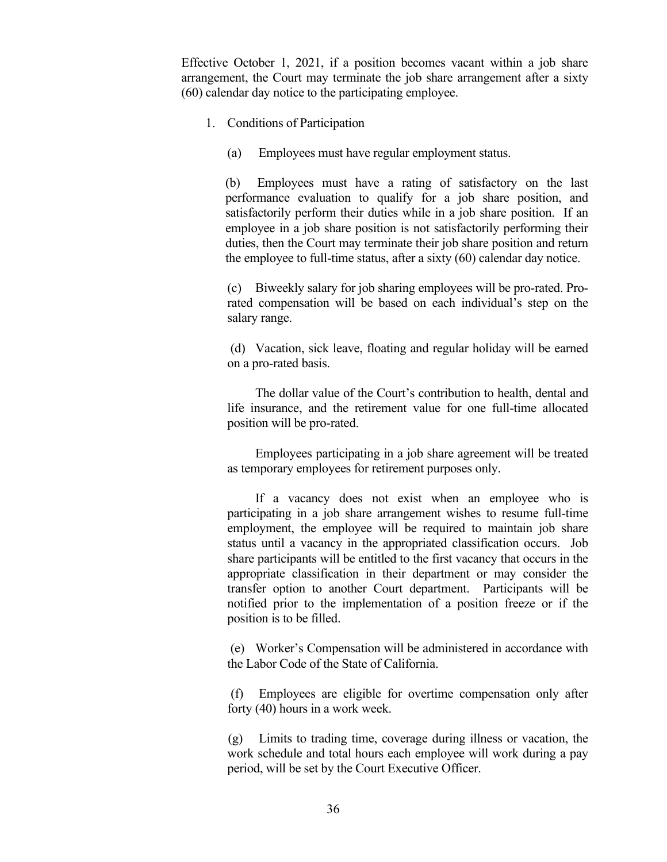Effective October 1, 2021, if a position becomes vacant within a job share arrangement, the Court may terminate the job share arrangement after a sixty (60) calendar day notice to the participating employee.

- 1. Conditions of Participation
	- (a) Employees must have regular employment status.

(b) Employees must have a rating of satisfactory on the last performance evaluation to qualify for a job share position, and satisfactorily perform their duties while in a job share position. If an employee in a job share position is not satisfactorily performing their duties, then the Court may terminate their job share position and return the employee to full-time status, after a sixty (60) calendar day notice.

(c) Biweekly salary for job sharing employees will be pro-rated. Prorated compensation will be based on each individual's step on the salary range.

(d) Vacation, sick leave, floating and regular holiday will be earned on a pro-rated basis.

The dollar value of the Court's contribution to health, dental and life insurance, and the retirement value for one full-time allocated position will be pro-rated.

Employees participating in a job share agreement will be treated as temporary employees for retirement purposes only.

If a vacancy does not exist when an employee who is participating in a job share arrangement wishes to resume full-time employment, the employee will be required to maintain job share status until a vacancy in the appropriated classification occurs. Job share participants will be entitled to the first vacancy that occurs in the appropriate classification in their department or may consider the transfer option to another Court department. Participants will be notified prior to the implementation of a position freeze or if the position is to be filled.

(e) Worker's Compensation will be administered in accordance with the Labor Code of the State of California.

 (f) Employees are eligible for overtime compensation only after forty (40) hours in a work week.

 (g) Limits to trading time, coverage during illness or vacation, the work schedule and total hours each employee will work during a pay period, will be set by the Court Executive Officer.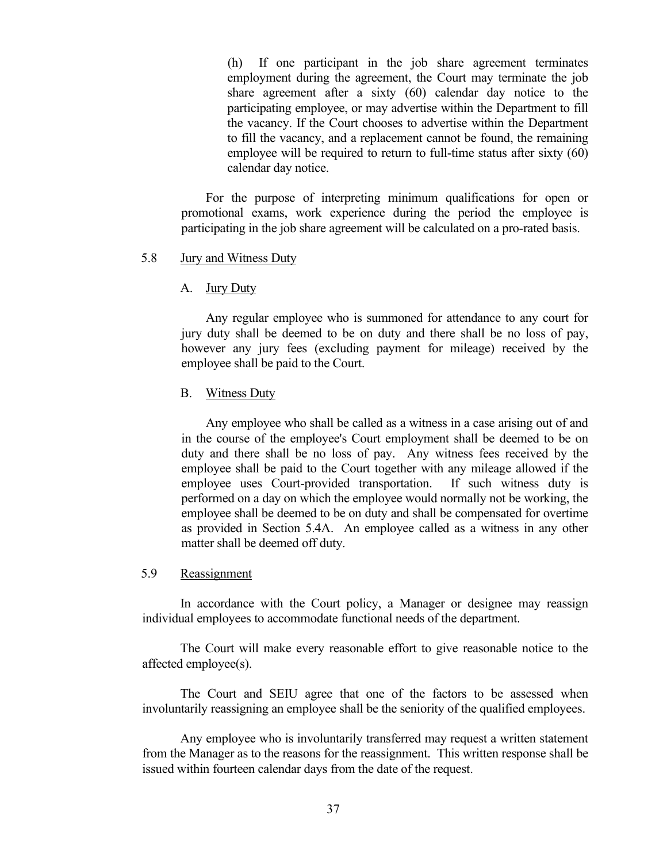(h) If one participant in the job share agreement terminates employment during the agreement, the Court may terminate the job share agreement after a sixty (60) calendar day notice to the participating employee, or may advertise within the Department to fill the vacancy. If the Court chooses to advertise within the Department to fill the vacancy, and a replacement cannot be found, the remaining employee will be required to return to full-time status after sixty (60) calendar day notice.

For the purpose of interpreting minimum qualifications for open or promotional exams, work experience during the period the employee is participating in the job share agreement will be calculated on a pro-rated basis.

#### <span id="page-42-0"></span>5.8 Jury and Witness Duty

#### <span id="page-42-1"></span>A. Jury Duty

Any regular employee who is summoned for attendance to any court for jury duty shall be deemed to be on duty and there shall be no loss of pay, however any jury fees (excluding payment for mileage) received by the employee shall be paid to the Court.

#### <span id="page-42-2"></span>B. Witness Duty

Any employee who shall be called as a witness in a case arising out of and in the course of the employee's Court employment shall be deemed to be on duty and there shall be no loss of pay. Any witness fees received by the employee shall be paid to the Court together with any mileage allowed if the employee uses Court-provided transportation. If such witness duty is performed on a day on which the employee would normally not be working, the employee shall be deemed to be on duty and shall be compensated for overtime as provided in Section 5.4A. An employee called as a witness in any other matter shall be deemed off duty.

#### <span id="page-42-3"></span>5.9 Reassignment

In accordance with the Court policy, a Manager or designee may reassign individual employees to accommodate functional needs of the department.

 The Court will make every reasonable effort to give reasonable notice to the affected employee(s).

 The Court and SEIU agree that one of the factors to be assessed when involuntarily reassigning an employee shall be the seniority of the qualified employees.

Any employee who is involuntarily transferred may request a written statement from the Manager as to the reasons for the reassignment. This written response shall be issued within fourteen calendar days from the date of the request.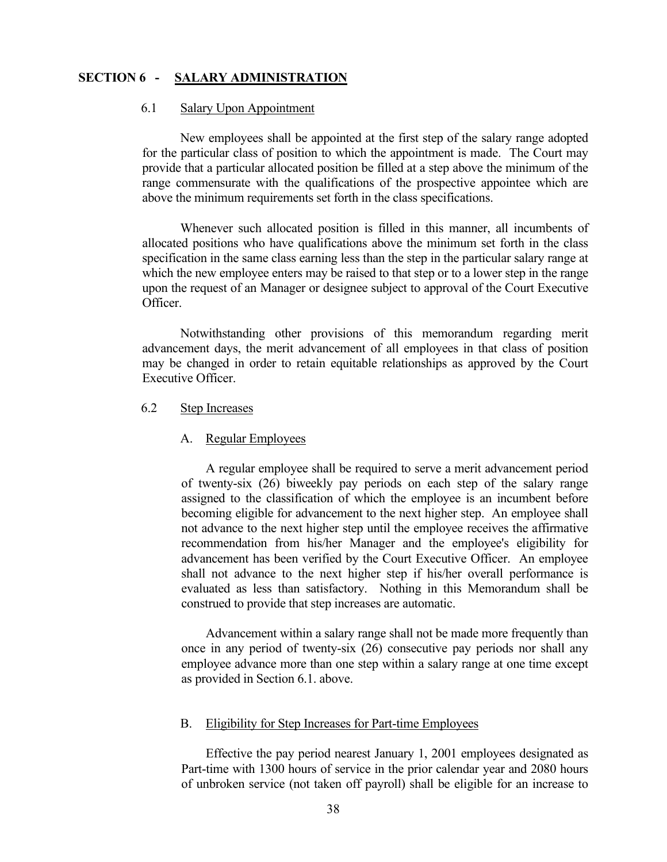# <span id="page-43-0"></span>**SECTION 6 - SALARY ADMINISTRATION**

# <span id="page-43-1"></span>6.1 Salary Upon Appointment

New employees shall be appointed at the first step of the salary range adopted for the particular class of position to which the appointment is made. The Court may provide that a particular allocated position be filled at a step above the minimum of the range commensurate with the qualifications of the prospective appointee which are above the minimum requirements set forth in the class specifications.

Whenever such allocated position is filled in this manner, all incumbents of allocated positions who have qualifications above the minimum set forth in the class specification in the same class earning less than the step in the particular salary range at which the new employee enters may be raised to that step or to a lower step in the range upon the request of an Manager or designee subject to approval of the Court Executive Officer.

Notwithstanding other provisions of this memorandum regarding merit advancement days, the merit advancement of all employees in that class of position may be changed in order to retain equitable relationships as approved by the Court Executive Officer.

# <span id="page-43-2"></span>6.2 Step Increases

#### <span id="page-43-3"></span>A. Regular Employees

A regular employee shall be required to serve a merit advancement period of twenty-six (26) biweekly pay periods on each step of the salary range assigned to the classification of which the employee is an incumbent before becoming eligible for advancement to the next higher step. An employee shall not advance to the next higher step until the employee receives the affirmative recommendation from his/her Manager and the employee's eligibility for advancement has been verified by the Court Executive Officer. An employee shall not advance to the next higher step if his/her overall performance is evaluated as less than satisfactory. Nothing in this Memorandum shall be construed to provide that step increases are automatic.

Advancement within a salary range shall not be made more frequently than once in any period of twenty-six (26) consecutive pay periods nor shall any employee advance more than one step within a salary range at one time except as provided in Section 6.1. above.

#### <span id="page-43-4"></span>B. Eligibility for Step Increases for Part-time Employees

Effective the pay period nearest January 1, 2001 employees designated as Part-time with 1300 hours of service in the prior calendar year and 2080 hours of unbroken service (not taken off payroll) shall be eligible for an increase to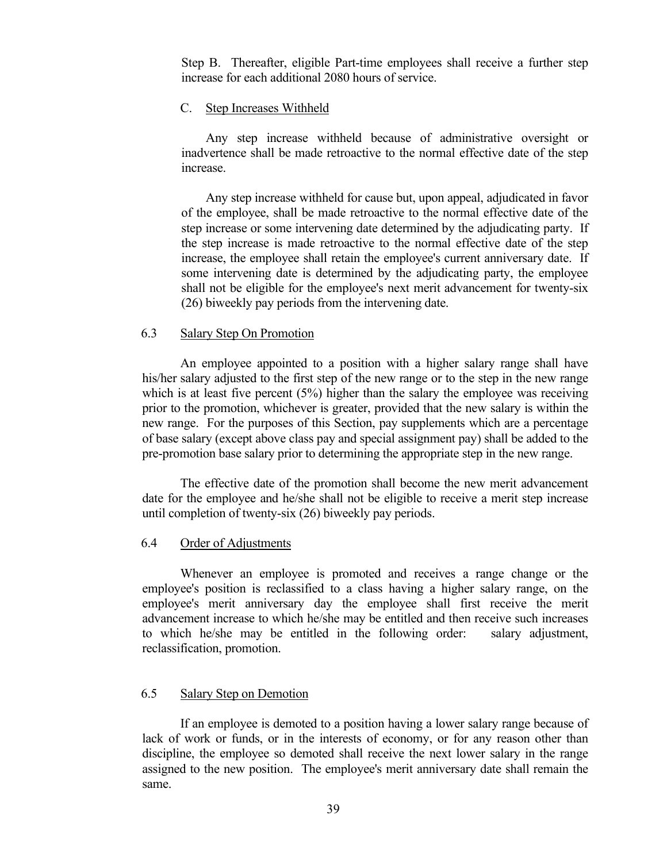Step B. Thereafter, eligible Part-time employees shall receive a further step increase for each additional 2080 hours of service.

## <span id="page-44-0"></span>C. Step Increases Withheld

Any step increase withheld because of administrative oversight or inadvertence shall be made retroactive to the normal effective date of the step increase.

Any step increase withheld for cause but, upon appeal, adjudicated in favor of the employee, shall be made retroactive to the normal effective date of the step increase or some intervening date determined by the adjudicating party. If the step increase is made retroactive to the normal effective date of the step increase, the employee shall retain the employee's current anniversary date. If some intervening date is determined by the adjudicating party, the employee shall not be eligible for the employee's next merit advancement for twenty-six (26) biweekly pay periods from the intervening date.

#### <span id="page-44-1"></span>6.3 Salary Step On Promotion

An employee appointed to a position with a higher salary range shall have his/her salary adjusted to the first step of the new range or to the step in the new range which is at least five percent  $(5%)$  higher than the salary the employee was receiving prior to the promotion, whichever is greater, provided that the new salary is within the new range. For the purposes of this Section, pay supplements which are a percentage of base salary (except above class pay and special assignment pay) shall be added to the pre-promotion base salary prior to determining the appropriate step in the new range.

The effective date of the promotion shall become the new merit advancement date for the employee and he/she shall not be eligible to receive a merit step increase until completion of twenty-six (26) biweekly pay periods.

#### <span id="page-44-2"></span>6.4 Order of Adjustments

Whenever an employee is promoted and receives a range change or the employee's position is reclassified to a class having a higher salary range, on the employee's merit anniversary day the employee shall first receive the merit advancement increase to which he/she may be entitled and then receive such increases to which he/she may be entitled in the following order: salary adjustment, reclassification, promotion.

# <span id="page-44-3"></span>6.5 Salary Step on Demotion

If an employee is demoted to a position having a lower salary range because of lack of work or funds, or in the interests of economy, or for any reason other than discipline, the employee so demoted shall receive the next lower salary in the range assigned to the new position. The employee's merit anniversary date shall remain the same.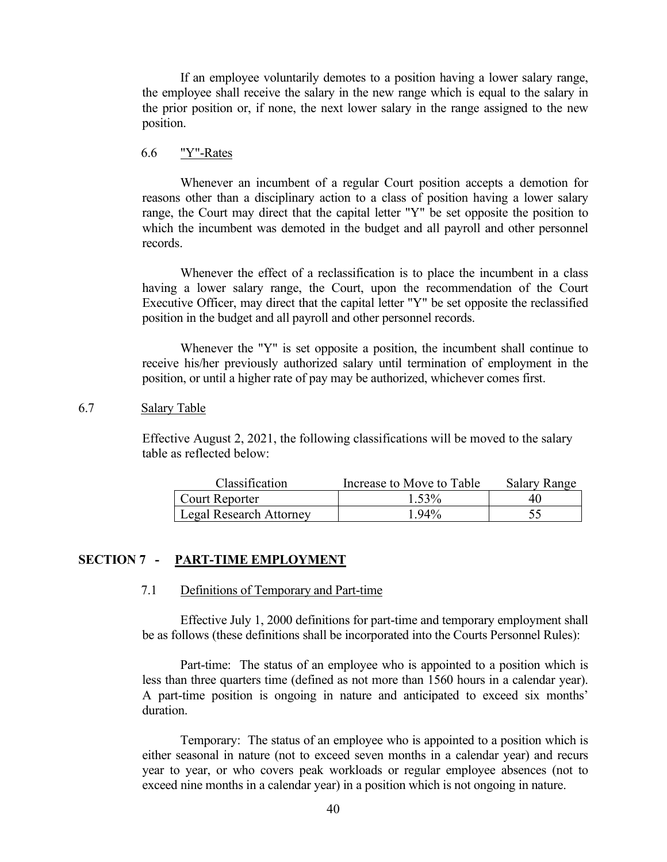If an employee voluntarily demotes to a position having a lower salary range, the employee shall receive the salary in the new range which is equal to the salary in the prior position or, if none, the next lower salary in the range assigned to the new position.

### <span id="page-45-0"></span>6.6 "Y"-Rates

Whenever an incumbent of a regular Court position accepts a demotion for reasons other than a disciplinary action to a class of position having a lower salary range, the Court may direct that the capital letter "Y" be set opposite the position to which the incumbent was demoted in the budget and all payroll and other personnel records.

Whenever the effect of a reclassification is to place the incumbent in a class having a lower salary range, the Court, upon the recommendation of the Court Executive Officer, may direct that the capital letter "Y" be set opposite the reclassified position in the budget and all payroll and other personnel records.

Whenever the "Y" is set opposite a position, the incumbent shall continue to receive his/her previously authorized salary until termination of employment in the position, or until a higher rate of pay may be authorized, whichever comes first.

## <span id="page-45-1"></span>6.7 Salary Table

Effective August 2, 2021, the following classifications will be moved to the salary table as reflected below:

| Classification                 | Increase to Move to Table | Salary Range |
|--------------------------------|---------------------------|--------------|
| Court Reporter                 | 1.53%                     |              |
| <b>Legal Research Attorney</b> | $Q_40\text{/}$            |              |

## <span id="page-45-3"></span><span id="page-45-2"></span>**SECTION 7 - PART-TIME EMPLOYMENT**

### 7.1 Definitions of Temporary and Part-time

Effective July 1, 2000 definitions for part-time and temporary employment shall be as follows (these definitions shall be incorporated into the Courts Personnel Rules):

Part-time: The status of an employee who is appointed to a position which is less than three quarters time (defined as not more than 1560 hours in a calendar year). A part-time position is ongoing in nature and anticipated to exceed six months' duration.

Temporary: The status of an employee who is appointed to a position which is either seasonal in nature (not to exceed seven months in a calendar year) and recurs year to year, or who covers peak workloads or regular employee absences (not to exceed nine months in a calendar year) in a position which is not ongoing in nature.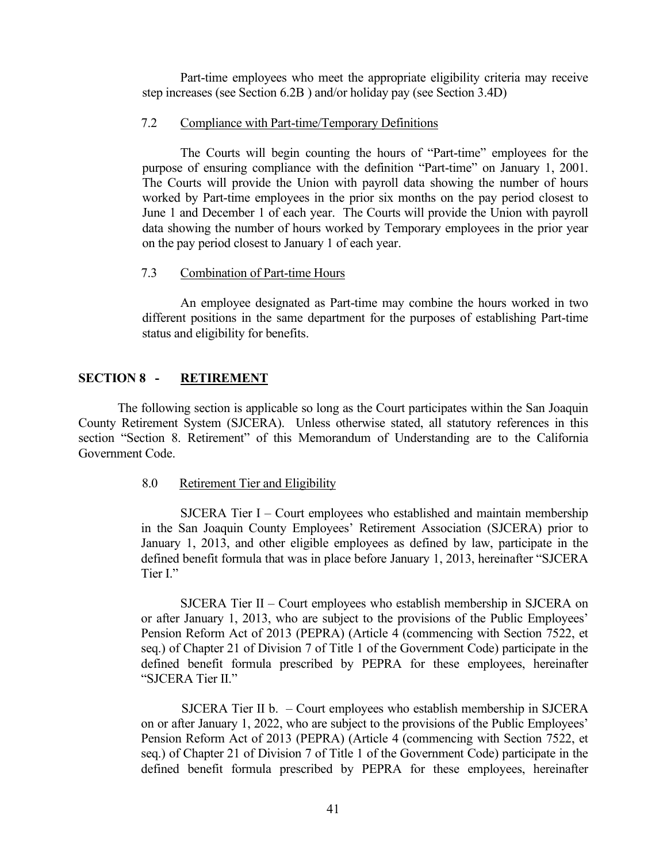Part-time employees who meet the appropriate eligibility criteria may receive step increases (see Section 6.2B ) and/or holiday pay (see Section 3.4D)

## <span id="page-46-0"></span>7.2 Compliance with Part-time/Temporary Definitions

The Courts will begin counting the hours of "Part-time" employees for the purpose of ensuring compliance with the definition "Part-time" on January 1, 2001. The Courts will provide the Union with payroll data showing the number of hours worked by Part-time employees in the prior six months on the pay period closest to June 1 and December 1 of each year. The Courts will provide the Union with payroll data showing the number of hours worked by Temporary employees in the prior year on the pay period closest to January 1 of each year.

## <span id="page-46-1"></span>7.3 Combination of Part-time Hours

An employee designated as Part-time may combine the hours worked in two different positions in the same department for the purposes of establishing Part-time status and eligibility for benefits.

# <span id="page-46-2"></span>**SECTION 8 - RETIREMENT**

The following section is applicable so long as the Court participates within the San Joaquin County Retirement System (SJCERA). Unless otherwise stated, all statutory references in this section "Section 8. Retirement" of this Memorandum of Understanding are to the California Government Code.

## <span id="page-46-3"></span>8.0 Retirement Tier and Eligibility

SJCERA Tier I – Court employees who established and maintain membership in the San Joaquin County Employees' Retirement Association (SJCERA) prior to January 1, 2013, and other eligible employees as defined by law, participate in the defined benefit formula that was in place before January 1, 2013, hereinafter "SJCERA Tier I."

SJCERA Tier II – Court employees who establish membership in SJCERA on or after January 1, 2013, who are subject to the provisions of the Public Employees' Pension Reform Act of 2013 (PEPRA) (Article 4 (commencing with Section 7522, et seq.) of Chapter 21 of Division 7 of Title 1 of the Government Code) participate in the defined benefit formula prescribed by PEPRA for these employees, hereinafter "SJCERA Tier II."

 SJCERA Tier II b. – Court employees who establish membership in SJCERA on or after January 1, 2022, who are subject to the provisions of the Public Employees' Pension Reform Act of 2013 (PEPRA) (Article 4 (commencing with Section 7522, et seq.) of Chapter 21 of Division 7 of Title 1 of the Government Code) participate in the defined benefit formula prescribed by PEPRA for these employees, hereinafter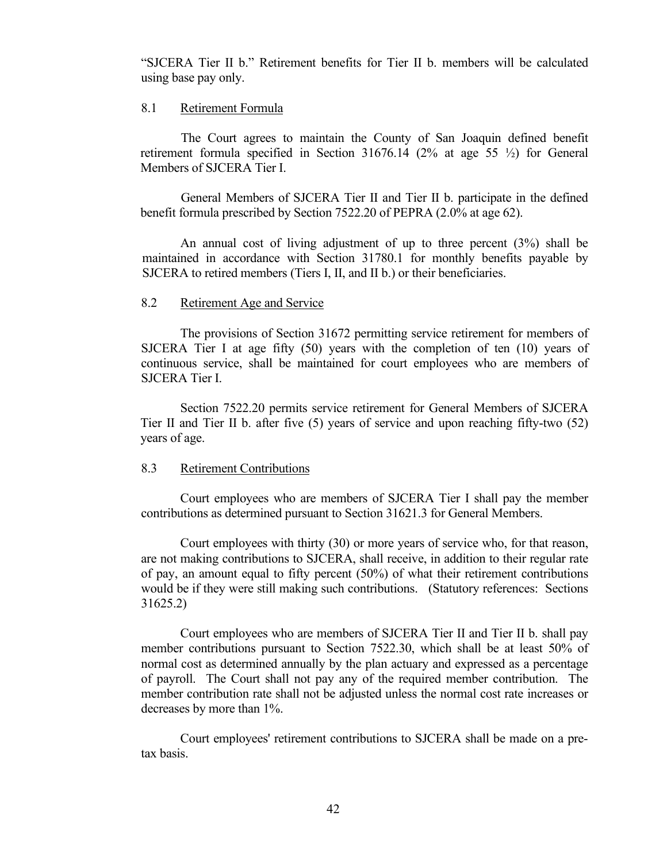"SJCERA Tier II b." Retirement benefits for Tier II b. members will be calculated using base pay only.

# <span id="page-47-0"></span>8.1 Retirement Formula

The Court agrees to maintain the County of San Joaquin defined benefit retirement formula specified in Section 31676.14 (2% at age 55 ½) for General Members of SJCERA Tier I.

General Members of SJCERA Tier II and Tier II b. participate in the defined benefit formula prescribed by Section 7522.20 of PEPRA (2.0% at age 62).

An annual cost of living adjustment of up to three percent (3%) shall be maintained in accordance with Section 31780.1 for monthly benefits payable by SJCERA to retired members (Tiers I, II, and II b.) or their beneficiaries.

## <span id="page-47-1"></span>8.2 Retirement Age and Service

The provisions of Section 31672 permitting service retirement for members of SJCERA Tier I at age fifty  $(50)$  years with the completion of ten  $(10)$  years of continuous service, shall be maintained for court employees who are members of SJCERA Tier I.

Section 7522.20 permits service retirement for General Members of SJCERA Tier II and Tier II b. after five (5) years of service and upon reaching fifty-two (52) years of age.

## <span id="page-47-2"></span>8.3 Retirement Contributions

Court employees who are members of SJCERA Tier I shall pay the member contributions as determined pursuant to Section 31621.3 for General Members.

Court employees with thirty (30) or more years of service who, for that reason, are not making contributions to SJCERA, shall receive, in addition to their regular rate of pay, an amount equal to fifty percent (50%) of what their retirement contributions would be if they were still making such contributions. (Statutory references: Sections 31625.2)

Court employees who are members of SJCERA Tier II and Tier II b. shall pay member contributions pursuant to Section 7522.30, which shall be at least 50% of normal cost as determined annually by the plan actuary and expressed as a percentage of payroll. The Court shall not pay any of the required member contribution. The member contribution rate shall not be adjusted unless the normal cost rate increases or decreases by more than 1%.

<span id="page-47-3"></span>Court employees' retirement contributions to SJCERA shall be made on a pretax basis.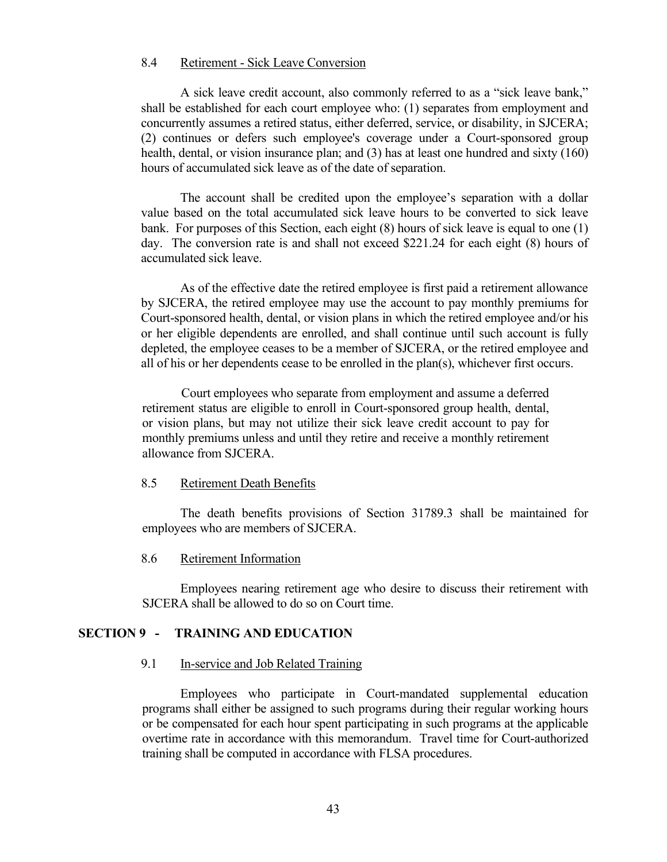# 8.4 Retirement - Sick Leave Conversion

A sick leave credit account, also commonly referred to as a "sick leave bank," shall be established for each court employee who: (1) separates from employment and concurrently assumes a retired status, either deferred, service, or disability, in SJCERA; (2) continues or defers such employee's coverage under a Court-sponsored group health, dental, or vision insurance plan; and (3) has at least one hundred and sixty (160) hours of accumulated sick leave as of the date of separation.

The account shall be credited upon the employee's separation with a dollar value based on the total accumulated sick leave hours to be converted to sick leave bank. For purposes of this Section, each eight (8) hours of sick leave is equal to one (1) day. The conversion rate is and shall not exceed \$221.24 for each eight (8) hours of accumulated sick leave.

As of the effective date the retired employee is first paid a retirement allowance by SJCERA, the retired employee may use the account to pay monthly premiums for Court-sponsored health, dental, or vision plans in which the retired employee and/or his or her eligible dependents are enrolled, and shall continue until such account is fully depleted, the employee ceases to be a member of SJCERA, or the retired employee and all of his or her dependents cease to be enrolled in the plan(s), whichever first occurs.

Court employees who separate from employment and assume a deferred retirement status are eligible to enroll in Court-sponsored group health, dental, or vision plans, but may not utilize their sick leave credit account to pay for monthly premiums unless and until they retire and receive a monthly retirement allowance from SJCERA.

## <span id="page-48-0"></span>8.5 Retirement Death Benefits

The death benefits provisions of Section 31789.3 shall be maintained for employees who are members of SJCERA.

## <span id="page-48-1"></span>8.6 Retirement Information

Employees nearing retirement age who desire to discuss their retirement with SJCERA shall be allowed to do so on Court time.

## <span id="page-48-3"></span><span id="page-48-2"></span>**SECTION 9 - TRAINING AND EDUCATION**

#### 9.1 In-service and Job Related Training

Employees who participate in Court-mandated supplemental education programs shall either be assigned to such programs during their regular working hours or be compensated for each hour spent participating in such programs at the applicable overtime rate in accordance with this memorandum. Travel time for Court-authorized training shall be computed in accordance with FLSA procedures.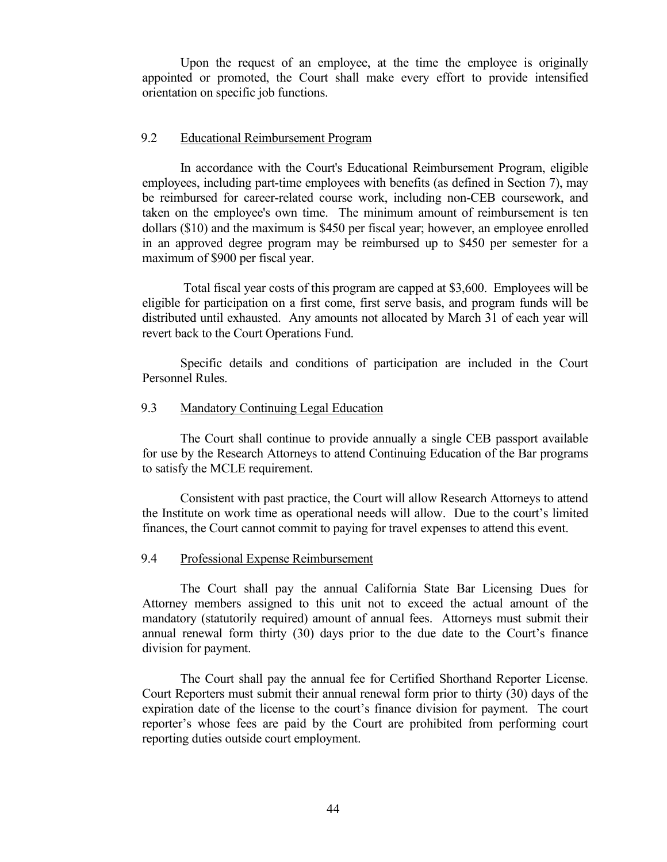Upon the request of an employee, at the time the employee is originally appointed or promoted, the Court shall make every effort to provide intensified orientation on specific job functions.

# <span id="page-49-0"></span>9.2 Educational Reimbursement Program

In accordance with the Court's Educational Reimbursement Program, eligible employees, including part-time employees with benefits (as defined in Section 7), may be reimbursed for career-related course work, including non-CEB coursework, and taken on the employee's own time. The minimum amount of reimbursement is ten dollars (\$10) and the maximum is \$450 per fiscal year; however, an employee enrolled in an approved degree program may be reimbursed up to \$450 per semester for a maximum of \$900 per fiscal year.

Total fiscal year costs of this program are capped at \$3,600. Employees will be eligible for participation on a first come, first serve basis, and program funds will be distributed until exhausted. Any amounts not allocated by March 31 of each year will revert back to the Court Operations Fund.

Specific details and conditions of participation are included in the Court Personnel Rules.

## <span id="page-49-1"></span>9.3 Mandatory Continuing Legal Education

The Court shall continue to provide annually a single CEB passport available for use by the Research Attorneys to attend Continuing Education of the Bar programs to satisfy the MCLE requirement.

Consistent with past practice, the Court will allow Research Attorneys to attend the Institute on work time as operational needs will allow. Due to the court's limited finances, the Court cannot commit to paying for travel expenses to attend this event.

## <span id="page-49-2"></span>9.4 Professional Expense Reimbursement

The Court shall pay the annual California State Bar Licensing Dues for Attorney members assigned to this unit not to exceed the actual amount of the mandatory (statutorily required) amount of annual fees. Attorneys must submit their annual renewal form thirty (30) days prior to the due date to the Court's finance division for payment.

The Court shall pay the annual fee for Certified Shorthand Reporter License. Court Reporters must submit their annual renewal form prior to thirty (30) days of the expiration date of the license to the court's finance division for payment. The court reporter's whose fees are paid by the Court are prohibited from performing court reporting duties outside court employment.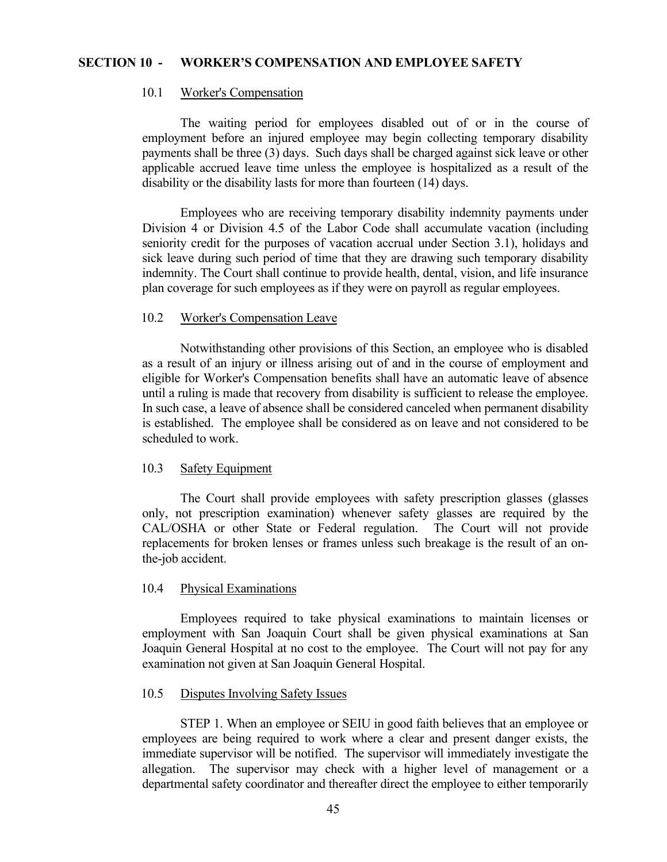### <span id="page-50-1"></span><span id="page-50-0"></span>**SECTION 10 - WORKER'S COMPENSATION AND EMPLOYEE SAFETY**

## 10.1 Worker's Compensation

The waiting period for employees disabled out of or in the course of employment before an injured employee may begin collecting temporary disability payments shall be three (3) days. Such days shall be charged against sick leave or other applicable accrued leave time unless the employee is hospitalized as a result of the disability or the disability lasts for more than fourteen (14) days.

Employees who are receiving temporary disability indemnity payments under Division 4 or Division 4.5 of the Labor Code shall accumulate vacation (including seniority credit for the purposes of vacation accrual under Section 3.1), holidays and sick leave during such period of time that they are drawing such temporary disability indemnity. The Court shall continue to provide health, dental, vision, and life insurance plan coverage for such employees as if they were on payroll as regular employees.

## <span id="page-50-2"></span>10.2 Worker's Compensation Leave

Notwithstanding other provisions of this Section, an employee who is disabled as a result of an injury or illness arising out of and in the course of employment and eligible for Worker's Compensation benefits shall have an automatic leave of absence until a ruling is made that recovery from disability is sufficient to release the employee. In such case, a leave of absence shall be considered canceled when permanent disability is established. The employee shall be considered as on leave and not considered to be scheduled to work.

### <span id="page-50-3"></span>10.3 Safety Equipment

The Court shall provide employees with safety prescription glasses (glasses only, not prescription examination) whenever safety glasses are required by the CAL/OSHA or other State or Federal regulation. The Court will not provide replacements for broken lenses or frames unless such breakage is the result of an onthe-job accident.

#### <span id="page-50-4"></span>10.4 Physical Examinations

Employees required to take physical examinations to maintain licenses or employment with San Joaquin Court shall be given physical examinations at San Joaquin General Hospital at no cost to the employee. The Court will not pay for any examination not given at San Joaquin General Hospital.

#### <span id="page-50-5"></span>10.5 Disputes Involving Safety Issues

STEP 1. When an employee or SEIU in good faith believes that an employee or employees are being required to work where a clear and present danger exists, the immediate supervisor will be notified. The supervisor will immediately investigate the allegation. The supervisor may check with a higher level of management or a departmental safety coordinator and thereafter direct the employee to either temporarily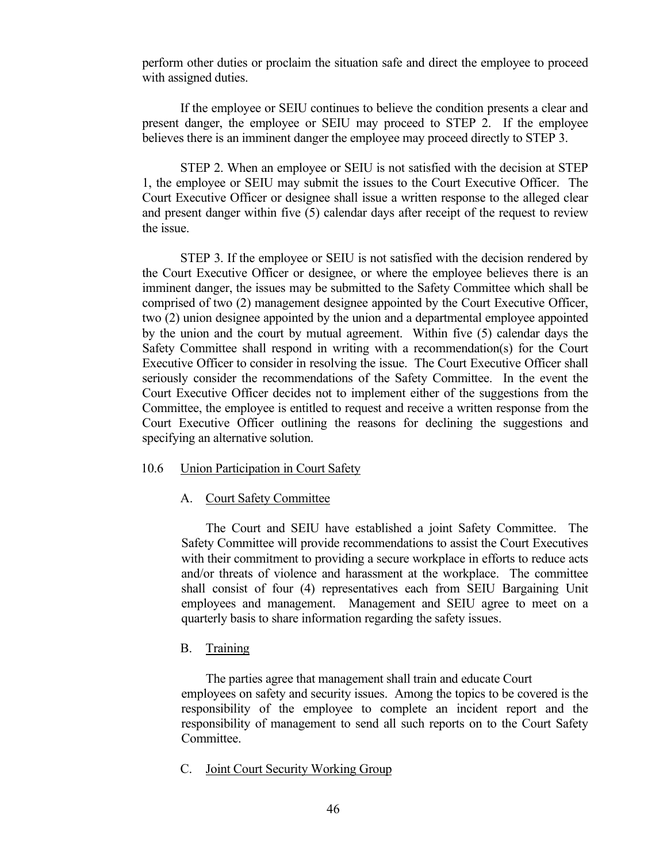perform other duties or proclaim the situation safe and direct the employee to proceed with assigned duties.

If the employee or SEIU continues to believe the condition presents a clear and present danger, the employee or SEIU may proceed to STEP 2. If the employee believes there is an imminent danger the employee may proceed directly to STEP 3.

STEP 2. When an employee or SEIU is not satisfied with the decision at STEP 1, the employee or SEIU may submit the issues to the Court Executive Officer. The Court Executive Officer or designee shall issue a written response to the alleged clear and present danger within five (5) calendar days after receipt of the request to review the issue.

STEP 3. If the employee or SEIU is not satisfied with the decision rendered by the Court Executive Officer or designee, or where the employee believes there is an imminent danger, the issues may be submitted to the Safety Committee which shall be comprised of two (2) management designee appointed by the Court Executive Officer, two (2) union designee appointed by the union and a departmental employee appointed by the union and the court by mutual agreement. Within five (5) calendar days the Safety Committee shall respond in writing with a recommendation(s) for the Court Executive Officer to consider in resolving the issue. The Court Executive Officer shall seriously consider the recommendations of the Safety Committee. In the event the Court Executive Officer decides not to implement either of the suggestions from the Committee, the employee is entitled to request and receive a written response from the Court Executive Officer outlining the reasons for declining the suggestions and specifying an alternative solution.

### <span id="page-51-0"></span>10.6 Union Participation in Court Safety

## <span id="page-51-1"></span>A. Court Safety Committee

The Court and SEIU have established a joint Safety Committee. The Safety Committee will provide recommendations to assist the Court Executives with their commitment to providing a secure workplace in efforts to reduce acts and/or threats of violence and harassment at the workplace. The committee shall consist of four (4) representatives each from SEIU Bargaining Unit employees and management. Management and SEIU agree to meet on a quarterly basis to share information regarding the safety issues.

## <span id="page-51-2"></span>B. Training

The parties agree that management shall train and educate Court employees on safety and security issues. Among the topics to be covered is the responsibility of the employee to complete an incident report and the responsibility of management to send all such reports on to the Court Safety Committee.

## <span id="page-51-3"></span>C. Joint Court Security Working Group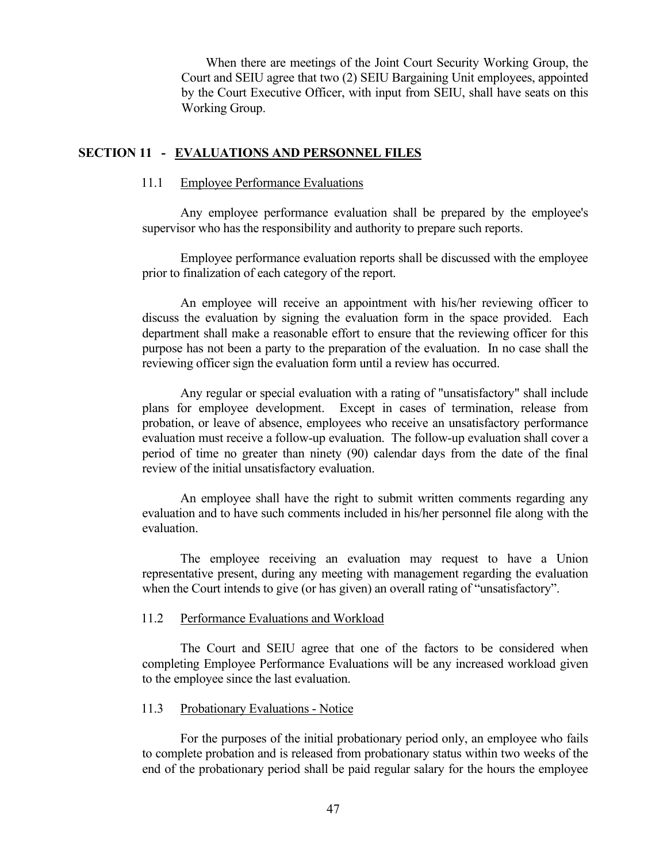When there are meetings of the Joint Court Security Working Group, the Court and SEIU agree that two (2) SEIU Bargaining Unit employees, appointed by the Court Executive Officer, with input from SEIU, shall have seats on this Working Group.

## <span id="page-52-0"></span>**SECTION 11 - EVALUATIONS AND PERSONNEL FILES**

## <span id="page-52-1"></span>11.1 Employee Performance Evaluations

Any employee performance evaluation shall be prepared by the employee's supervisor who has the responsibility and authority to prepare such reports.

Employee performance evaluation reports shall be discussed with the employee prior to finalization of each category of the report.

An employee will receive an appointment with his/her reviewing officer to discuss the evaluation by signing the evaluation form in the space provided. Each department shall make a reasonable effort to ensure that the reviewing officer for this purpose has not been a party to the preparation of the evaluation. In no case shall the reviewing officer sign the evaluation form until a review has occurred.

Any regular or special evaluation with a rating of "unsatisfactory" shall include plans for employee development. Except in cases of termination, release from probation, or leave of absence, employees who receive an unsatisfactory performance evaluation must receive a follow-up evaluation. The follow-up evaluation shall cover a period of time no greater than ninety (90) calendar days from the date of the final review of the initial unsatisfactory evaluation.

An employee shall have the right to submit written comments regarding any evaluation and to have such comments included in his/her personnel file along with the evaluation.

The employee receiving an evaluation may request to have a Union representative present, during any meeting with management regarding the evaluation when the Court intends to give (or has given) an overall rating of "unsatisfactory".

#### <span id="page-52-2"></span>11.2 Performance Evaluations and Workload

The Court and SEIU agree that one of the factors to be considered when completing Employee Performance Evaluations will be any increased workload given to the employee since the last evaluation.

#### <span id="page-52-3"></span>11.3 Probationary Evaluations - Notice

For the purposes of the initial probationary period only, an employee who fails to complete probation and is released from probationary status within two weeks of the end of the probationary period shall be paid regular salary for the hours the employee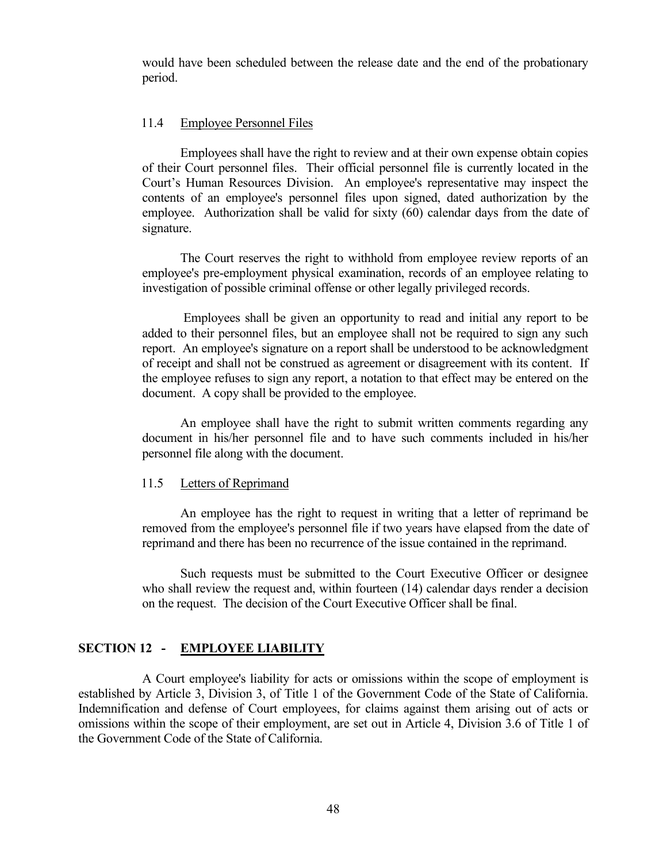would have been scheduled between the release date and the end of the probationary period.

## <span id="page-53-0"></span>11.4 Employee Personnel Files

Employees shall have the right to review and at their own expense obtain copies of their Court personnel files. Their official personnel file is currently located in the Court's Human Resources Division. An employee's representative may inspect the contents of an employee's personnel files upon signed, dated authorization by the employee. Authorization shall be valid for sixty (60) calendar days from the date of signature.

The Court reserves the right to withhold from employee review reports of an employee's pre-employment physical examination, records of an employee relating to investigation of possible criminal offense or other legally privileged records.

Employees shall be given an opportunity to read and initial any report to be added to their personnel files, but an employee shall not be required to sign any such report. An employee's signature on a report shall be understood to be acknowledgment of receipt and shall not be construed as agreement or disagreement with its content. If the employee refuses to sign any report, a notation to that effect may be entered on the document. A copy shall be provided to the employee.

An employee shall have the right to submit written comments regarding any document in his/her personnel file and to have such comments included in his/her personnel file along with the document.

#### <span id="page-53-1"></span>11.5 Letters of Reprimand

An employee has the right to request in writing that a letter of reprimand be removed from the employee's personnel file if two years have elapsed from the date of reprimand and there has been no recurrence of the issue contained in the reprimand.

Such requests must be submitted to the Court Executive Officer or designee who shall review the request and, within fourteen (14) calendar days render a decision on the request. The decision of the Court Executive Officer shall be final.

# <span id="page-53-2"></span>**SECTION 12 - EMPLOYEE LIABILITY**

A Court employee's liability for acts or omissions within the scope of employment is established by Article 3, Division 3, of Title 1 of the Government Code of the State of California. Indemnification and defense of Court employees, for claims against them arising out of acts or omissions within the scope of their employment, are set out in Article 4, Division 3.6 of Title 1 of the Government Code of the State of California.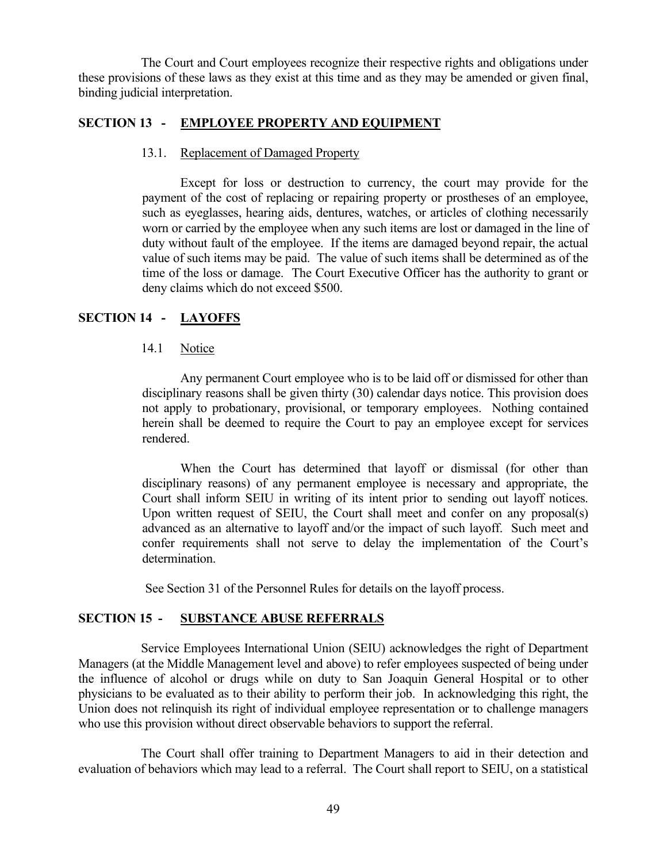The Court and Court employees recognize their respective rights and obligations under these provisions of these laws as they exist at this time and as they may be amended or given final, binding judicial interpretation.

# <span id="page-54-0"></span>**SECTION 13 - EMPLOYEE PROPERTY AND EQUIPMENT**

## 13.1. Replacement of Damaged Property

Except for loss or destruction to currency, the court may provide for the payment of the cost of replacing or repairing property or prostheses of an employee, such as eyeglasses, hearing aids, dentures, watches, or articles of clothing necessarily worn or carried by the employee when any such items are lost or damaged in the line of duty without fault of the employee. If the items are damaged beyond repair, the actual value of such items may be paid. The value of such items shall be determined as of the time of the loss or damage. The Court Executive Officer has the authority to grant or deny claims which do not exceed \$500.

# <span id="page-54-2"></span><span id="page-54-1"></span>**SECTION 14 - LAYOFFS**

## 14.1 Notice

Any permanent Court employee who is to be laid off or dismissed for other than disciplinary reasons shall be given thirty (30) calendar days notice. This provision does not apply to probationary, provisional, or temporary employees. Nothing contained herein shall be deemed to require the Court to pay an employee except for services rendered.

When the Court has determined that layoff or dismissal (for other than disciplinary reasons) of any permanent employee is necessary and appropriate, the Court shall inform SEIU in writing of its intent prior to sending out layoff notices. Upon written request of SEIU, the Court shall meet and confer on any proposal(s) advanced as an alternative to layoff and/or the impact of such layoff. Such meet and confer requirements shall not serve to delay the implementation of the Court's determination.

See Section 31 of the Personnel Rules for details on the layoff process.

## <span id="page-54-3"></span>**SECTION 15 - SUBSTANCE ABUSE REFERRALS**

Service Employees International Union (SEIU) acknowledges the right of Department Managers (at the Middle Management level and above) to refer employees suspected of being under the influence of alcohol or drugs while on duty to San Joaquin General Hospital or to other physicians to be evaluated as to their ability to perform their job. In acknowledging this right, the Union does not relinquish its right of individual employee representation or to challenge managers who use this provision without direct observable behaviors to support the referral.

The Court shall offer training to Department Managers to aid in their detection and evaluation of behaviors which may lead to a referral. The Court shall report to SEIU, on a statistical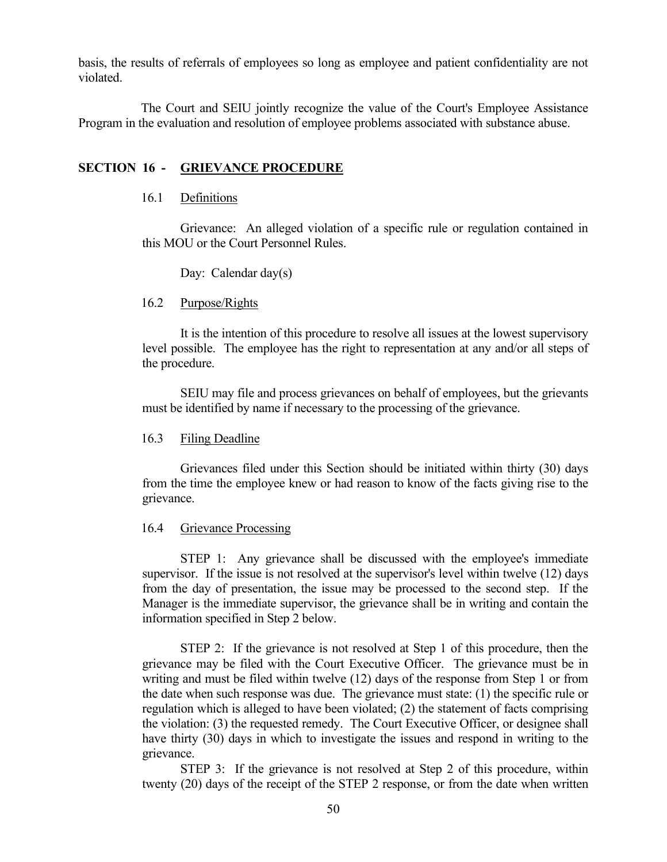basis, the results of referrals of employees so long as employee and patient confidentiality are not violated.

The Court and SEIU jointly recognize the value of the Court's Employee Assistance Program in the evaluation and resolution of employee problems associated with substance abuse.

# <span id="page-55-1"></span><span id="page-55-0"></span>**SECTION 16 - GRIEVANCE PROCEDURE**

## 16.1 Definitions

Grievance: An alleged violation of a specific rule or regulation contained in this MOU or the Court Personnel Rules.

Day: Calendar day(s)

## <span id="page-55-2"></span>16.2 Purpose/Rights

It is the intention of this procedure to resolve all issues at the lowest supervisory level possible. The employee has the right to representation at any and/or all steps of the procedure.

SEIU may file and process grievances on behalf of employees, but the grievants must be identified by name if necessary to the processing of the grievance.

## <span id="page-55-3"></span>16.3 Filing Deadline

Grievances filed under this Section should be initiated within thirty (30) days from the time the employee knew or had reason to know of the facts giving rise to the grievance.

## <span id="page-55-4"></span>16.4 Grievance Processing

STEP 1: Any grievance shall be discussed with the employee's immediate supervisor. If the issue is not resolved at the supervisor's level within twelve (12) days from the day of presentation, the issue may be processed to the second step. If the Manager is the immediate supervisor, the grievance shall be in writing and contain the information specified in Step 2 below.

STEP 2: If the grievance is not resolved at Step 1 of this procedure, then the grievance may be filed with the Court Executive Officer. The grievance must be in writing and must be filed within twelve (12) days of the response from Step 1 or from the date when such response was due. The grievance must state: (1) the specific rule or regulation which is alleged to have been violated; (2) the statement of facts comprising the violation: (3) the requested remedy. The Court Executive Officer, or designee shall have thirty (30) days in which to investigate the issues and respond in writing to the grievance.

STEP 3: If the grievance is not resolved at Step 2 of this procedure, within twenty (20) days of the receipt of the STEP 2 response, or from the date when written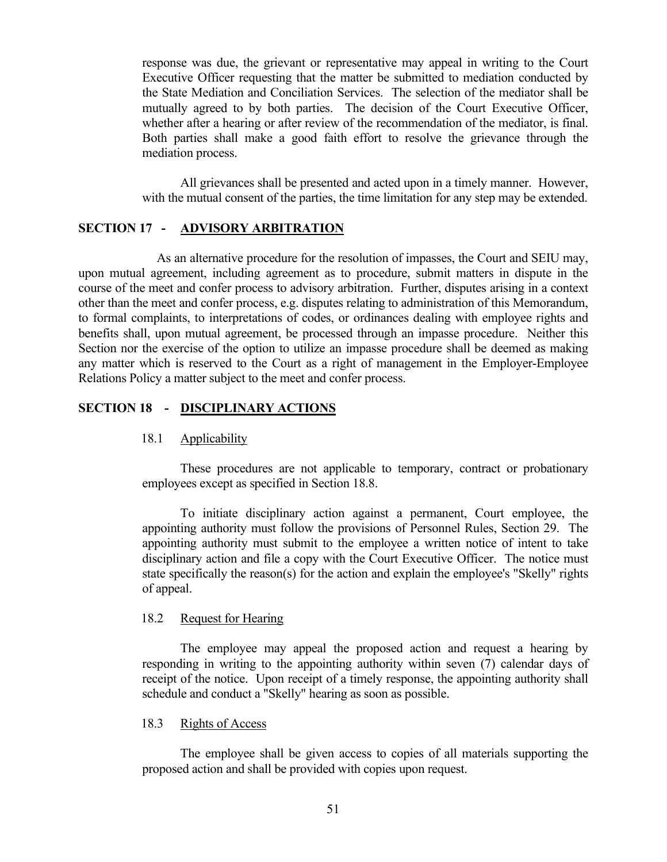response was due, the grievant or representative may appeal in writing to the Court Executive Officer requesting that the matter be submitted to mediation conducted by the State Mediation and Conciliation Services. The selection of the mediator shall be mutually agreed to by both parties. The decision of the Court Executive Officer, whether after a hearing or after review of the recommendation of the mediator, is final. Both parties shall make a good faith effort to resolve the grievance through the mediation process.

All grievances shall be presented and acted upon in a timely manner. However, with the mutual consent of the parties, the time limitation for any step may be extended.

# <span id="page-56-0"></span>**SECTION 17 - ADVISORY ARBITRATION**

 As an alternative procedure for the resolution of impasses, the Court and SEIU may, upon mutual agreement, including agreement as to procedure, submit matters in dispute in the course of the meet and confer process to advisory arbitration. Further, disputes arising in a context other than the meet and confer process, e.g. disputes relating to administration of this Memorandum, to formal complaints, to interpretations of codes, or ordinances dealing with employee rights and benefits shall, upon mutual agreement, be processed through an impasse procedure. Neither this Section nor the exercise of the option to utilize an impasse procedure shall be deemed as making any matter which is reserved to the Court as a right of management in the Employer-Employee Relations Policy a matter subject to the meet and confer process.

# <span id="page-56-2"></span><span id="page-56-1"></span>**SECTION 18 - DISCIPLINARY ACTIONS**

## 18.1 Applicability

These procedures are not applicable to temporary, contract or probationary employees except as specified in Section 18.8.

To initiate disciplinary action against a permanent, Court employee, the appointing authority must follow the provisions of Personnel Rules, Section 29. The appointing authority must submit to the employee a written notice of intent to take disciplinary action and file a copy with the Court Executive Officer. The notice must state specifically the reason(s) for the action and explain the employee's "Skelly" rights of appeal.

## <span id="page-56-3"></span>18.2 Request for Hearing

The employee may appeal the proposed action and request a hearing by responding in writing to the appointing authority within seven (7) calendar days of receipt of the notice. Upon receipt of a timely response, the appointing authority shall schedule and conduct a "Skelly" hearing as soon as possible.

### <span id="page-56-4"></span>18.3 Rights of Access

The employee shall be given access to copies of all materials supporting the proposed action and shall be provided with copies upon request.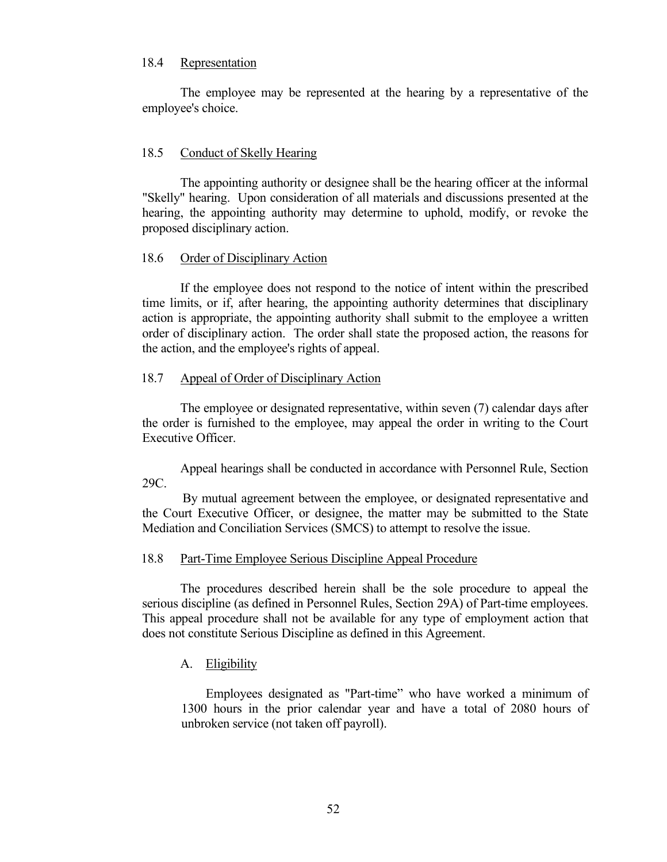## <span id="page-57-0"></span>18.4 Representation

The employee may be represented at the hearing by a representative of the employee's choice.

## <span id="page-57-1"></span>18.5 Conduct of Skelly Hearing

The appointing authority or designee shall be the hearing officer at the informal "Skelly" hearing. Upon consideration of all materials and discussions presented at the hearing, the appointing authority may determine to uphold, modify, or revoke the proposed disciplinary action.

## <span id="page-57-2"></span>18.6 Order of Disciplinary Action

If the employee does not respond to the notice of intent within the prescribed time limits, or if, after hearing, the appointing authority determines that disciplinary action is appropriate, the appointing authority shall submit to the employee a written order of disciplinary action. The order shall state the proposed action, the reasons for the action, and the employee's rights of appeal.

## <span id="page-57-3"></span>18.7 Appeal of Order of Disciplinary Action

The employee or designated representative, within seven (7) calendar days after the order is furnished to the employee, may appeal the order in writing to the Court Executive Officer.

Appeal hearings shall be conducted in accordance with Personnel Rule, Section 29C.

 By mutual agreement between the employee, or designated representative and the Court Executive Officer, or designee, the matter may be submitted to the State Mediation and Conciliation Services (SMCS) to attempt to resolve the issue.

## <span id="page-57-4"></span>18.8 Part-Time Employee Serious Discipline Appeal Procedure

The procedures described herein shall be the sole procedure to appeal the serious discipline (as defined in Personnel Rules, Section 29A) of Part-time employees. This appeal procedure shall not be available for any type of employment action that does not constitute Serious Discipline as defined in this Agreement.

# <span id="page-57-5"></span>A. Eligibility

Employees designated as "Part-time" who have worked a minimum of 1300 hours in the prior calendar year and have a total of 2080 hours of unbroken service (not taken off payroll).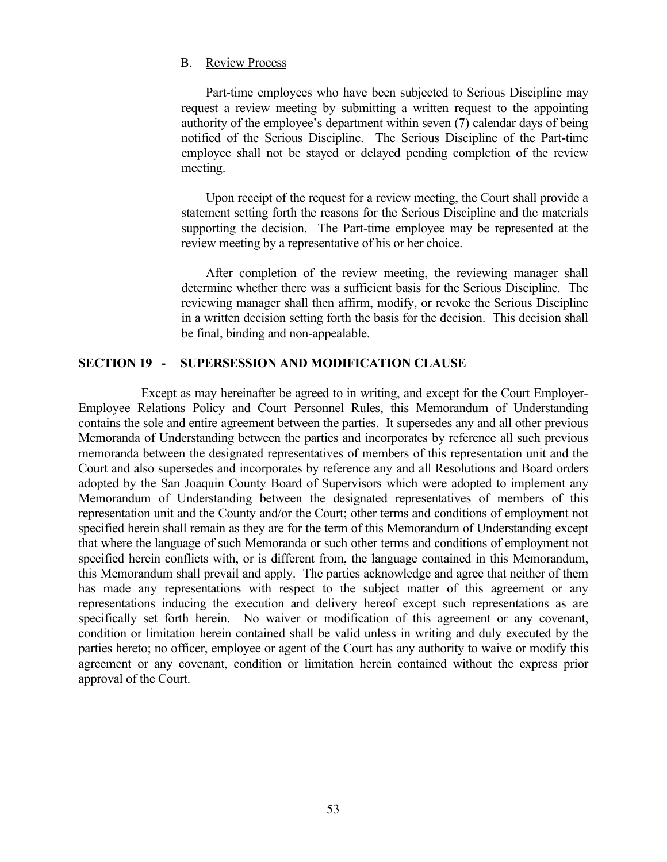## <span id="page-58-0"></span>B. Review Process

Part-time employees who have been subjected to Serious Discipline may request a review meeting by submitting a written request to the appointing authority of the employee's department within seven (7) calendar days of being notified of the Serious Discipline. The Serious Discipline of the Part-time employee shall not be stayed or delayed pending completion of the review meeting.

Upon receipt of the request for a review meeting, the Court shall provide a statement setting forth the reasons for the Serious Discipline and the materials supporting the decision. The Part-time employee may be represented at the review meeting by a representative of his or her choice.

After completion of the review meeting, the reviewing manager shall determine whether there was a sufficient basis for the Serious Discipline. The reviewing manager shall then affirm, modify, or revoke the Serious Discipline in a written decision setting forth the basis for the decision. This decision shall be final, binding and non-appealable.

## <span id="page-58-1"></span>**SECTION 19 - SUPERSESSION AND MODIFICATION CLAUSE**

Except as may hereinafter be agreed to in writing, and except for the Court Employer-Employee Relations Policy and Court Personnel Rules, this Memorandum of Understanding contains the sole and entire agreement between the parties. It supersedes any and all other previous Memoranda of Understanding between the parties and incorporates by reference all such previous memoranda between the designated representatives of members of this representation unit and the Court and also supersedes and incorporates by reference any and all Resolutions and Board orders adopted by the San Joaquin County Board of Supervisors which were adopted to implement any Memorandum of Understanding between the designated representatives of members of this representation unit and the County and/or the Court; other terms and conditions of employment not specified herein shall remain as they are for the term of this Memorandum of Understanding except that where the language of such Memoranda or such other terms and conditions of employment not specified herein conflicts with, or is different from, the language contained in this Memorandum, this Memorandum shall prevail and apply. The parties acknowledge and agree that neither of them has made any representations with respect to the subject matter of this agreement or any representations inducing the execution and delivery hereof except such representations as are specifically set forth herein. No waiver or modification of this agreement or any covenant, condition or limitation herein contained shall be valid unless in writing and duly executed by the parties hereto; no officer, employee or agent of the Court has any authority to waive or modify this agreement or any covenant, condition or limitation herein contained without the express prior approval of the Court.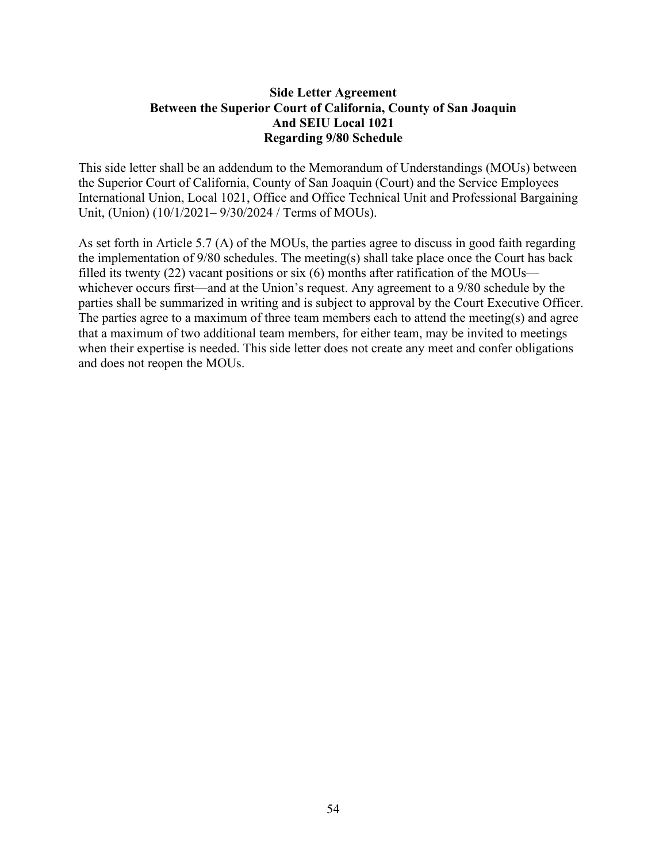# **Side Letter Agreement Between the Superior Court of California, County of San Joaquin And SEIU Local 1021 Regarding 9/80 Schedule**

This side letter shall be an addendum to the Memorandum of Understandings (MOUs) between the Superior Court of California, County of San Joaquin (Court) and the Service Employees International Union, Local 1021, Office and Office Technical Unit and Professional Bargaining Unit, (Union) (10/1/2021– 9/30/2024 / Terms of MOUs).

As set forth in Article 5.7 (A) of the MOUs, the parties agree to discuss in good faith regarding the implementation of 9/80 schedules. The meeting(s) shall take place once the Court has back filled its twenty (22) vacant positions or six (6) months after ratification of the MOUs whichever occurs first—and at the Union's request. Any agreement to a 9/80 schedule by the parties shall be summarized in writing and is subject to approval by the Court Executive Officer. The parties agree to a maximum of three team members each to attend the meeting(s) and agree that a maximum of two additional team members, for either team, may be invited to meetings when their expertise is needed. This side letter does not create any meet and confer obligations and does not reopen the MOUs.